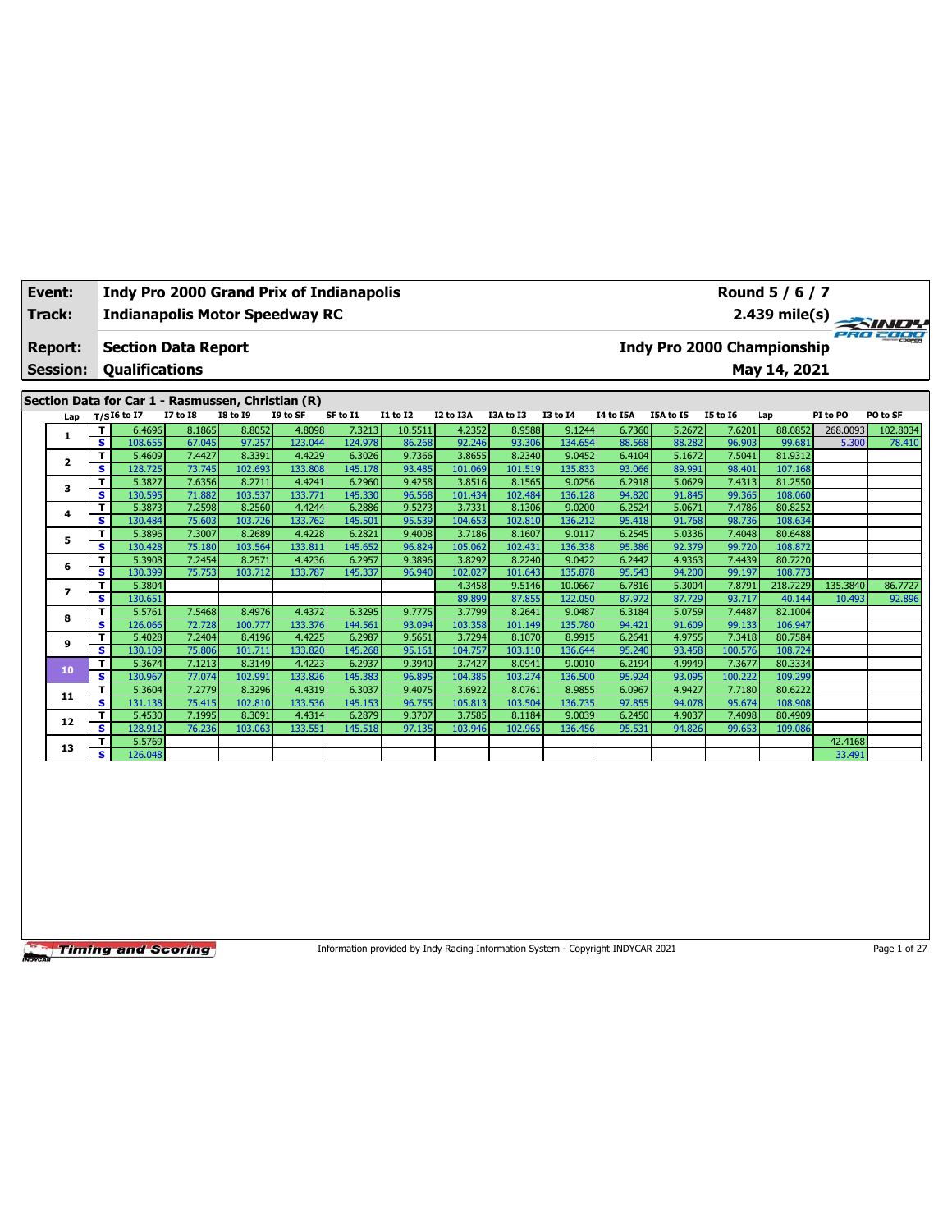|  | Event:<br>Track:                     |    |                       |                            |                                                   | <b>Indy Pro 2000 Grand Prix of Indianapolis</b><br><b>Indianapolis Motor Speedway RC</b> |          |                 |           |           |                 |           |           |                                   | Round 5 / 6 / 7 |          | $\frac{2.439 \text{ mile(s)}}{2.439 \text{ mile(s)}}$ |
|--|--------------------------------------|----|-----------------------|----------------------------|---------------------------------------------------|------------------------------------------------------------------------------------------|----------|-----------------|-----------|-----------|-----------------|-----------|-----------|-----------------------------------|-----------------|----------|-------------------------------------------------------|
|  | Report:<br><b>Session:</b>           |    | <b>Qualifications</b> | <b>Section Data Report</b> |                                                   |                                                                                          |          |                 |           |           |                 |           |           | <b>Indy Pro 2000 Championship</b> | May 14, 2021    |          |                                                       |
|  |                                      |    |                       |                            | Section Data for Car 1 - Rasmussen, Christian (R) |                                                                                          |          |                 |           |           |                 |           |           |                                   |                 |          |                                                       |
|  | Lap                                  |    | T/SI6 to $17$         | <b>I7 to 18</b>            | <b>18 to 19</b>                                   | I9 to SF                                                                                 | SF to I1 | <b>I1 to I2</b> | I2 to I3A | I3A to I3 | <b>I3 to 14</b> | I4 to I5A | I5A to I5 | <b>15 to 16</b>                   | Lap             | PI to PO | PO to SF                                              |
|  |                                      | т  | 6.4696                | 8.1865                     | 8.8052                                            | 4.8098                                                                                   | 7.3213   | 10.5511         | 4.2352    | 8.9588    | 9.1244          | 6.7360    | 5.2672    | 7.6201                            | 88.0852         | 268.0093 | 102.8034                                              |
|  |                                      | s. | 108.655               | 67.045                     | 97.257                                            | 123.044                                                                                  | 124.978  | 86.268          | 92.246    | 93.306    | 134.654         | 88.568    | 88.282    | 96.903                            | 99.681          | 5.300    | 78.410                                                |
|  | $\mathbf{2}$<br>3                    | т  | 5.4609                | 7.4427                     | 8.3391                                            | 4.4229                                                                                   | 6.3026   | 9.7366          | 3.8655    | 8.2340    | 9.0452          | 6.4104    | 5.1672    | 7.5041                            | 81.9312         |          |                                                       |
|  |                                      | s. | 128.725               | 73.745                     | 102.693                                           | 133.808                                                                                  | 145.178  | 93.485          | 101.069   | 101.519   | 135.833         | 93.066    | 89.991    | 98.401                            | 107.168         |          |                                                       |
|  |                                      | т  | 5.3827                | 7.6356                     | 8.2711                                            | 4.4241                                                                                   | 6.2960   | 9.4258          | 3.8516    | 8.1565    | 9.0256          | 6.2918    | 5.0629    | 7.4313                            | 81.2550         |          |                                                       |
|  |                                      | s  | 130.595               | 71.882                     | 103.537                                           | 133.771                                                                                  | 145.330  | 96.568          | 101.434   | 102.484   | 136.128         | 94.820    | 91.845    | 99.365                            | 108.060         |          |                                                       |
|  | 4                                    | т  | 5.3873                | 7.2598                     | 8.2560                                            | 4.4244                                                                                   | 6.2886   | 9.5273          | 3.7331    | 8.1306    | 9.0200          | 6.2524    | 5.0671    | 7.4786                            | 80.8252         |          |                                                       |
|  |                                      | s. | 130.484               | 75.603                     | 103.726                                           | 133.762                                                                                  | 145.501  | 95.539          | 104.653   | 102.810   | 136.212         | 95.418    | 91.768    | 98.736                            | 108.634         |          |                                                       |
|  |                                      | т  | 5.3896                | 7.3007                     | 8.2689                                            | 4.4228                                                                                   | 6.2821   | 9.4008          | 3.7186    | 8.1607    | 9.0117          | 6.2545    | 5.0336    | 7.4048                            | 80.6488         |          |                                                       |
|  | 5<br>s<br>т<br>6<br>т<br>7<br>т<br>8 |    | 130.428               | 75.180                     | 103.564                                           | 133.811                                                                                  | 145.652  | 96.824          | 105.062   | 102.431   | 136.338         | 95.386    | 92.379    | 99.720                            | 108.872         |          |                                                       |
|  |                                      |    | 5.3908                | 7.2454                     | 8.2571                                            | 4.4236                                                                                   | 6.2957   | 9.3896          | 3.8292    | 8.2240    | 9.0422          | 6.2442    | 4.9363    | 7.4439                            | 80.7220         |          |                                                       |
|  |                                      | s. | 130.399               | 75.753                     | 103.712                                           | 133.787                                                                                  | 145.337  | 96.940          | 102.027   | 101.643   | 135.878         | 95.543    | 94.200    | 99.197                            | 108.773         |          |                                                       |
|  |                                      |    | 5.3804                |                            |                                                   |                                                                                          |          |                 | 4.3458    | 9.5146    | 10.0667         | 6.7816    | 5.3004    | 7.8791                            | 218.7229        | 135.3840 | 86.7727                                               |
|  |                                      | s. | 130.651               |                            |                                                   |                                                                                          |          |                 | 89.899    | 87.855    | 122.050         | 87.972    | 87.729    | 93.717                            | 40.144          | 10.493   | 92.896                                                |
|  |                                      |    | 5.5761                | 7.5468                     | 8.4976                                            | 4.4372                                                                                   | 6.3295   | 9.7775          | 3.7799    | 8.2641    | 9.0487          | 6.3184    | 5.0759    | 7.4487                            | 82.1004         |          |                                                       |
|  |                                      | s. | 126.066               | 72.728                     | 100.777                                           | 133.376                                                                                  | 144.561  | 93.094          | 103.358   | 101.149   | 135.780         | 94.421    | 91.609    | 99.133                            | 106.947         |          |                                                       |

**<sup>9</sup> <sup>T</sup>** 5.4028 7.2404 8.4196 4.4225 6.2987 9.5651 3.7294 8.1070 8.9915 6.2641 4.9755 7.3418 80.7584 **S** 130.109 75.806 101.711 133.820 145.268 95.161 104.757 103.110 136.644 95.240 93.458 100.576 108.724 **<sup>10</sup> <sup>T</sup>** 5.3674 7.1213 8.3149 4.4223 6.2937 9.3940 3.7427 8.0941 9.0010 6.2194 4.9949 7.3677 80.3334 **S** 130.967 77.074 102.991 133.826 145.383 96.895 104.385 103.274 136.500 95.924 93.095 100.222 109.299 **<sup>11</sup> <sup>T</sup>** 5.3604 7.2779 8.3296 4.4319 6.3037 9.4075 3.6922 8.0761 8.9855 6.0967 4.9427 7.7180 80.6222 **S** 131.138 75.415 102.810 133.536 145.153 96.755 105.813 103.504 136.735 97.855 94.078 95.674 108.908 **<sup>12</sup> <sup>T</sup>** 5.4530 7.1995 8.3091 4.4314 6.2879 9.3707 3.7585 8.1184 9.0039 6.2450 4.9037 7.4098 80.4909 **S** 128.912 76.236 103.063 133.551 145.518 97.135 103.946 102.965 136.456 95.531 94.826 99.653 109.086 **13 T** 5.5769 **42.4168 4.42.4168 4.42.4168 4.42.4168 S** 126.048 33.491 33.491

**Timing and Scoring** 

Information provided by Indy Racing Information System - Copyright INDYCAR 2021 Page 1 of 27



$$
2.439 \text{ mile(s)}
$$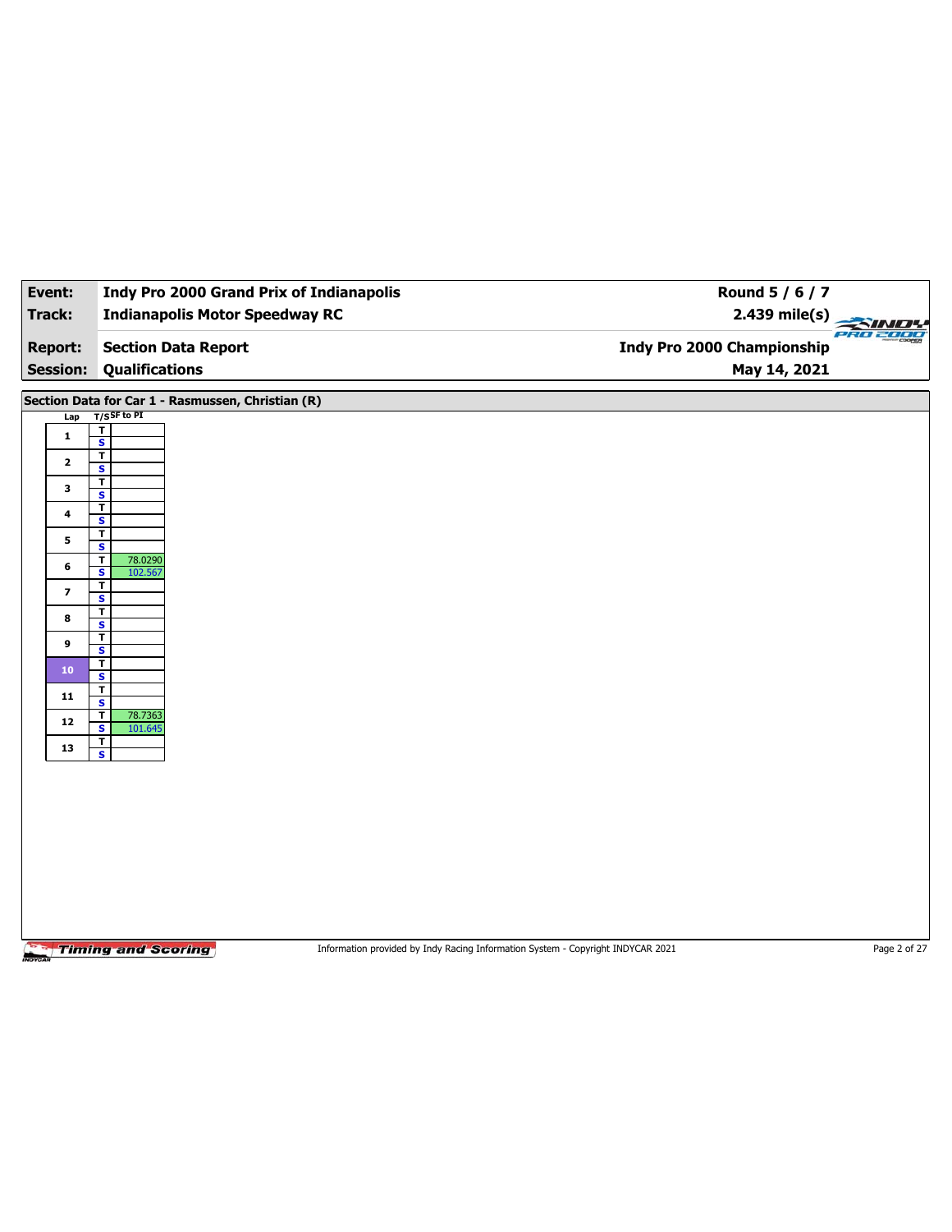| Event:                  | <b>Indy Pro 2000 Grand Prix of Indianapolis</b>                                                              | Round 5 / 6 / 7                              |  |
|-------------------------|--------------------------------------------------------------------------------------------------------------|----------------------------------------------|--|
| <b>Track:</b>           | <b>Indianapolis Motor Speedway RC</b>                                                                        | $2.439$ mile(s)<br>$\rightarrow$<br>PRO 2000 |  |
| <b>Report:</b>          | <b>Section Data Report</b>                                                                                   | <b>Indy Pro 2000 Championship</b>            |  |
| <b>Session:</b>         | <b>Qualifications</b>                                                                                        | May 14, 2021                                 |  |
|                         | Section Data for Car 1 - Rasmussen, Christian (R)                                                            |                                              |  |
| Lap                     | $T/S$ SF to PI                                                                                               |                                              |  |
| $\mathbf{1}$            | $\mathbf T$<br>$\overline{\mathbf{s}}$                                                                       |                                              |  |
| $\mathbf{2}$            | $\overline{\mathsf{r}}$                                                                                      |                                              |  |
|                         | $\mathbf{s}$<br>T                                                                                            |                                              |  |
| 3                       | $\overline{\mathbf{s}}$<br>$\overline{\mathbf{r}}$                                                           |                                              |  |
| 4                       | $\mathbf{s}$                                                                                                 |                                              |  |
| 5                       | т<br>$\overline{\mathbf{s}}$                                                                                 |                                              |  |
| 6                       | 78.0290<br>T<br>S<br>102.567                                                                                 |                                              |  |
| $\overline{\mathbf{z}}$ | $\mathbf T$                                                                                                  |                                              |  |
|                         | $\overline{\mathbf{s}}$<br>T                                                                                 |                                              |  |
| 8                       | $\mathbf{s}$<br>T                                                                                            |                                              |  |
| 9                       | $\overline{\mathbf{s}}$                                                                                      |                                              |  |
| 10                      | T<br>$\overline{\mathbf{s}}$                                                                                 |                                              |  |
| 11                      | $\mathbf{T}$<br>$\overline{\mathbf{s}}$                                                                      |                                              |  |
| ${\bf 12}$              | 78.7363<br>T                                                                                                 |                                              |  |
| 13                      | S<br>101.645<br>Τ                                                                                            |                                              |  |
|                         | $\overline{\mathbf{s}}$                                                                                      |                                              |  |
|                         |                                                                                                              |                                              |  |
|                         |                                                                                                              |                                              |  |
|                         |                                                                                                              |                                              |  |
|                         |                                                                                                              |                                              |  |
|                         |                                                                                                              |                                              |  |
|                         |                                                                                                              |                                              |  |
|                         |                                                                                                              |                                              |  |
|                         |                                                                                                              |                                              |  |
|                         | <b>Timing and Scoring</b><br>Information provided by Indy Racing Information System - Copyright INDYCAR 2021 | Page 2 of 27                                 |  |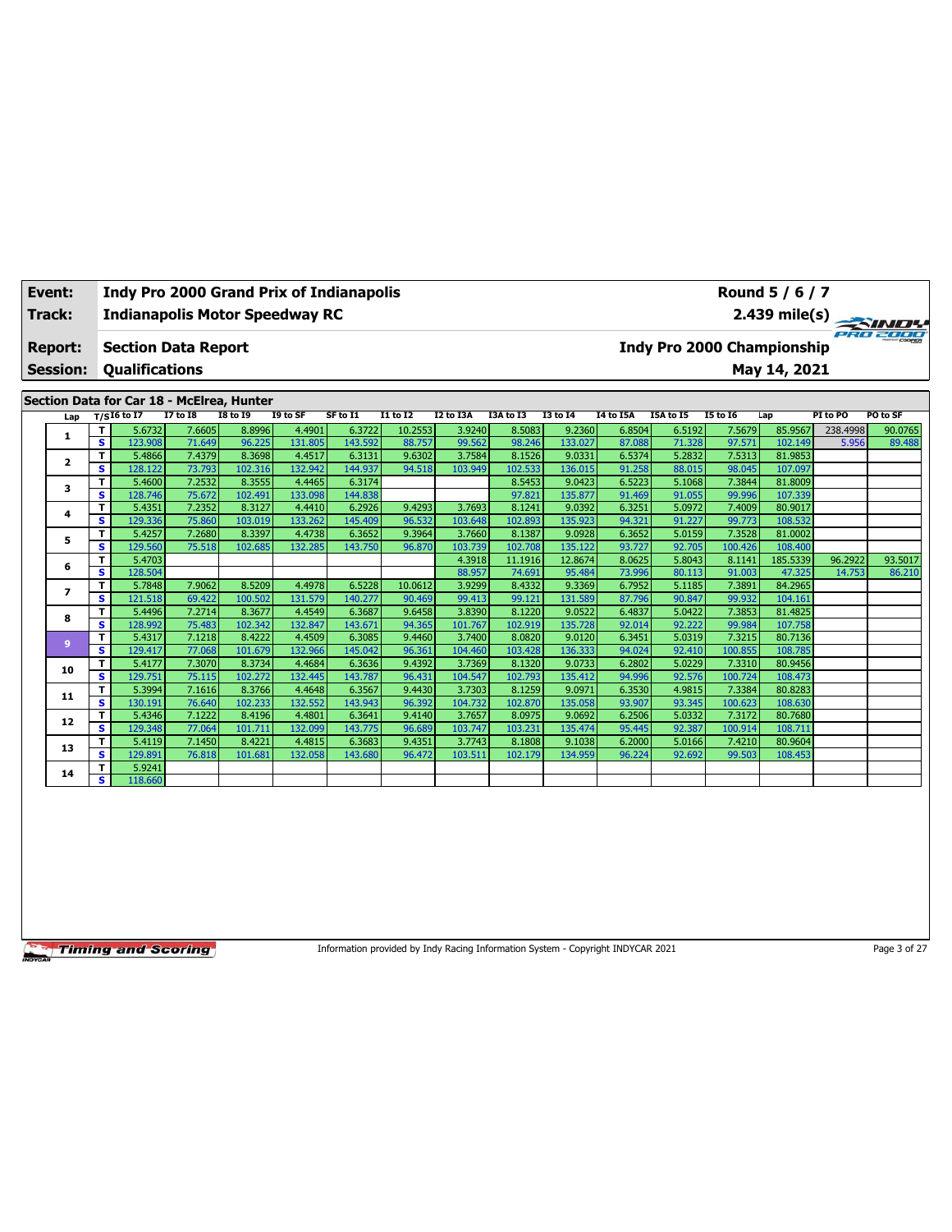| Event:<br>Track:<br><b>Report:</b><br><b>Session:</b><br>Section Data for Car 18 - McElrea, Hunter<br>Lap<br>A.<br>$\overline{2}$ |   |     |                       |                            | <b>Indy Pro 2000 Grand Prix of Indianapolis</b><br><b>Indianapolis Motor Speedway RC</b> |          |          |                 |           |           |                 |                  |           | Round 5 / 6 / 7            |              | $2.439 \text{ mile(s)}$ |          |
|-----------------------------------------------------------------------------------------------------------------------------------|---|-----|-----------------------|----------------------------|------------------------------------------------------------------------------------------|----------|----------|-----------------|-----------|-----------|-----------------|------------------|-----------|----------------------------|--------------|-------------------------|----------|
|                                                                                                                                   |   |     | <b>Qualifications</b> | <b>Section Data Report</b> |                                                                                          |          |          |                 |           |           |                 |                  |           | Indy Pro 2000 Championship | May 14, 2021 |                         | PRO 2000 |
|                                                                                                                                   |   |     |                       |                            |                                                                                          |          |          |                 |           |           |                 |                  |           |                            |              |                         |          |
|                                                                                                                                   |   |     | $T/S$ I6 to I7        | <b>I7 to I8</b>            | <b>I8 to I9</b>                                                                          | I9 to SF | SF to I1 | <b>I1 to I2</b> | I2 to I3A | I3A to I3 | <b>I3 to 14</b> | <b>I4 to I5A</b> | I5A to I5 | <b>I5 to I6</b>            | Lap          | PI to PO                | PO to SF |
|                                                                                                                                   |   |     | 5.6732                | 7.6605                     | 8.8996                                                                                   | 4.4901   | 6.3722   | 10.2553         | 3.9240    | 8.5083    | 9.2360          | 6.8504           | 6.5192    | 7.5679                     | 85.9567      | 238.4998                | 90.0765  |
|                                                                                                                                   |   | s l | 123.908               | 71.649                     | 96.225                                                                                   | 131.805  | 143.592  | 88.757          | 99.562    | 98.246    | 133.027         | 87.088           | 71.328    | 97.571                     | 102.149      | 5.956                   | 89.488   |
|                                                                                                                                   |   |     | 5.4866                | 7.4379                     | 8.3698                                                                                   | 4.4517   | 6.3131   | 9.6302          | 3.7584    | 8.1526    | 9.0331          | 6.5374           | 5.2832    | 7.5313                     | 81.9853      |                         |          |
|                                                                                                                                   |   | s l | 128.122               | 73.793                     | 102.316                                                                                  | 132.942  | 144.937  | 94.518          | 103.949   | 102.533   | 136.015         | 91.258           | 88.015    | 98.045                     | 107.097      |                         |          |
|                                                                                                                                   | 3 |     | 5.4600                | 7.2532                     | 8.3555                                                                                   | 4.4465   | 6.3174   |                 |           | 8.5453    | 9.0423          | 6.5223           | 5.1068    | 7.3844                     | 81.8009      |                         |          |
|                                                                                                                                   |   | s i | 128.746               | 75.672                     | 102.491                                                                                  | 133.098  | 144.838  |                 |           | 97.821    | 135.877         | 91.469           | 91.055    | 99.996                     | 107.339      |                         |          |

|    | T. | 5.4351  | 7.2352 | 8.3127  | 4.4410  | 6.2926  | 9.4293  | 3.7693  | 8.1241  | 9.0392  | 6.3251 | 5.0972 | 7.4009  | 80.9017  |         |         |
|----|----|---------|--------|---------|---------|---------|---------|---------|---------|---------|--------|--------|---------|----------|---------|---------|
| 4  | s  | 129.336 | 75.860 | 103.019 | 133.262 | 145.409 | 96.532  | 103.648 | 102.893 | 135.923 | 94.321 | 91.227 | 99.773  | 108.532  |         |         |
| 5  | T. | 5.4257  | 7.2680 | 8.3397  | 4.4738  | 6.3652  | 9.3964  | 3.7660  | 8.1387  | 9.0928  | 6.3652 | 5.0159 | 7.3528  | 81.0002  |         |         |
|    | s  | 129.560 | 75.518 | 102.685 | 132.285 | 143.750 | 96.870  | 103.739 | 102.708 | 135.122 | 93.727 | 92.705 | 100.426 | 108.400  |         |         |
| 6  | T. | 5.4703  |        |         |         |         |         | 4.3918  | 11.1916 | 12.8674 | 8.0625 | 5.8043 | 8.1141  | 185.5339 | 96.2922 | 93.5017 |
|    | s  | 128.504 |        |         |         |         |         | 88.957  | 74.691  | 95.484  | 73.996 | 80.113 | 91.003  | 47.325   | 14.753  | 86.210  |
|    | т  | 5.7848  | 7.9062 | 8.5209  | 4.4978  | 6.5228  | 10.0612 | 3.9299  | 8.4332  | 9.3369  | 6.7952 | 5.1185 | 7.3891  | 84.2965  |         |         |
|    | s  | 121.518 | 69.422 | 100.502 | 131.579 | 140.277 | 90.469  | 99.413  | 99.121  | 131.589 | 87.796 | 90.847 | 99.932  | 104.161  |         |         |
| 8  | T. | 5.4496  | 7.2714 | 8.3677  | 4.4549  | 6.3687  | 9.6458  | 3.8390  | 8.1220  | 9.0522  | 6.4837 | 5.0422 | 7.3853  | 81.4825  |         |         |
|    | s. | 128.992 | 75.483 | 102.342 | 132.847 | 143.671 | 94.365  | 101.767 | 102.919 | 135.728 | 92.014 | 92.222 | 99.984  | 107.758  |         |         |
| ۰  | т  | 5.4317  | 7.1218 | 8.4222  | 4.4509  | 6.3085  | 9.4460  | 3.7400  | 8.0820  | 9.0120  | 6.3451 | 5.0319 | 7.3215  | 80.7136  |         |         |
|    | s. | 129.417 | 77.068 | 101.679 | 132.966 | 145.042 | 96.361  | 104.460 | 103.428 | 136.333 | 94.024 | 92.410 | 100.855 | 108.785  |         |         |
| 10 | Τ. | 5.4177  | 7.3070 | 8.3734  | 4.4684  | 6.3636  | 9.4392  | 3.7369  | 8.1320  | 9.0733  | 6.2802 | 5.0229 | 7.3310  | 80.9456  |         |         |
|    | s. | 129.751 | 75.115 | 102.272 | 132.445 | 143.787 | 96.431  | 104.547 | 102.793 | 135.412 | 94.996 | 92.576 | 100.724 | 108.473  |         |         |
| 11 | T. | 5.3994  | 7.1616 | 8.3766  | 4.4648  | 6.3567  | 9.4430  | 3.7303  | 8.1259  | 9.0971  | 6.3530 | 4.9815 | 7.3384  | 80.8283  |         |         |
|    | s. | 130.191 | 76.640 | 102.233 | 132.552 | 143.943 | 96.392  | 104.732 | 102.870 | 135.058 | 93.907 | 93.345 | 100.623 | 108.630  |         |         |
| 12 | T. | 5.4346  | 7.1222 | 8.4196  | 4.4801  | 6.3641  | 9.4140  | 3.7657  | 8.0975  | 9.0692  | 6.2506 | 5.0332 | 7.3172  | 80.7680  |         |         |
|    | s. | 129.348 | 77.064 | 101.711 | 132.099 | 143.775 | 96.689  | 103.747 | 103.231 | 135.474 | 95.445 | 92.387 | 100.914 | 108.711  |         |         |
| 13 |    | 5.4119  | 7.1450 | 8.4221  | 4.4815  | 6.3683  | 9.4351  | 3.7743  | 8.1808  | 9.1038  | 6.2000 | 5.0166 | 7.4210  | 80.9604  |         |         |
|    | s. | 129.891 | 76.818 | 101.681 | 132.058 | 143.680 | 96.472  | 103.511 | 102.179 | 134.959 | 96.224 | 92.692 | 99.503  | 108.453  |         |         |
| 14 | T. | 5.9241  |        |         |         |         |         |         |         |         |        |        |         |          |         |         |
|    | s. | 118.660 |        |         |         |         |         |         |         |         |        |        |         |          |         |         |

Information provided by Indy Racing Information System - Copyright INDYCAR 2021 Page 3 of 27

## **Event: Indy Pro 2000 Grand Prix of Indianapolis**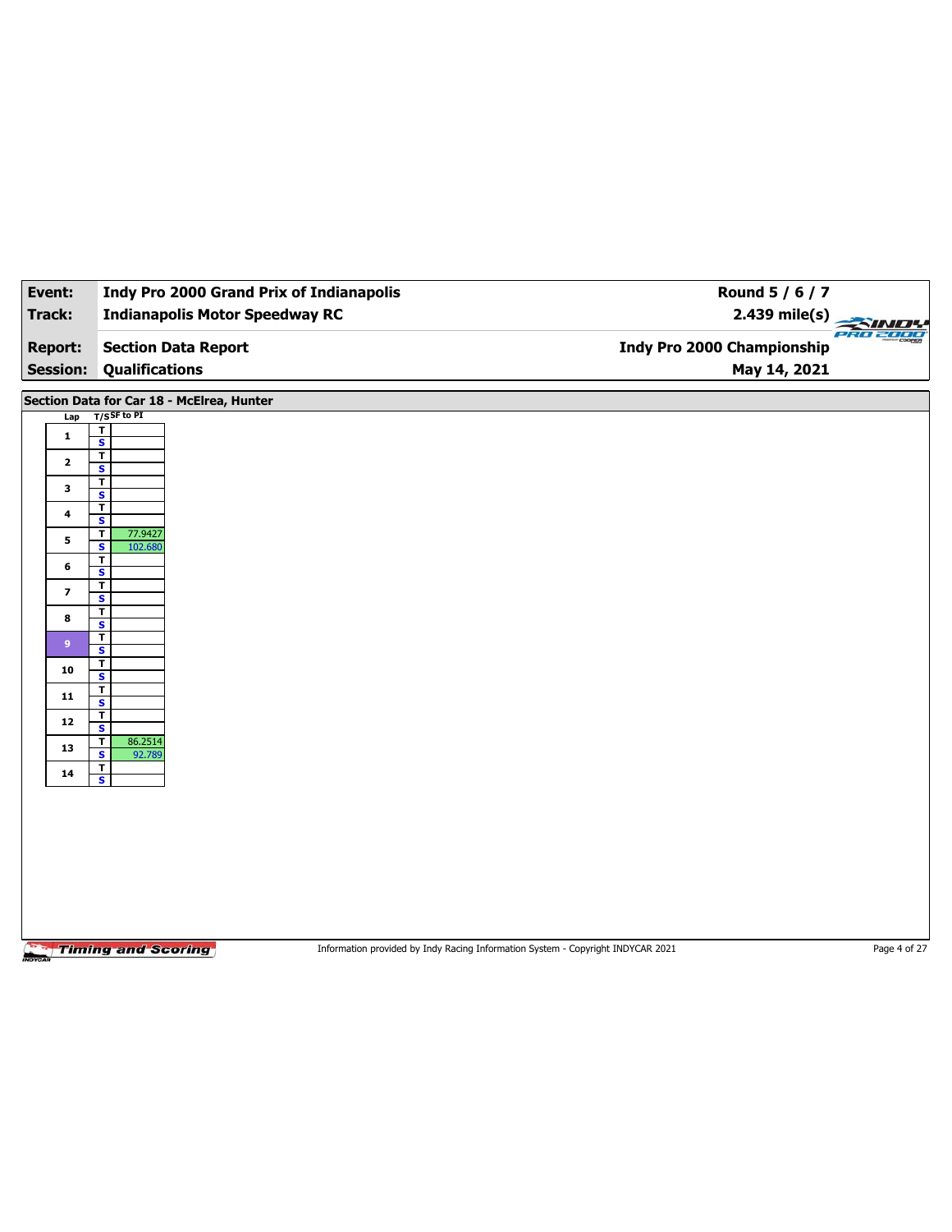| Event:                   | <b>Indy Pro 2000 Grand Prix of Indianapolis</b>                                                              | Round 5 / 6 / 7                  |              |
|--------------------------|--------------------------------------------------------------------------------------------------------------|----------------------------------|--------------|
| Track:                   | <b>Indianapolis Motor Speedway RC</b>                                                                        | 2.439 mile(s)<br><b>PRO 2000</b> |              |
| <b>Report:</b>           | <b>Section Data Report</b>                                                                                   | Indy Pro 2000 Championship       |              |
| <b>Session:</b>          | <b>Qualifications</b>                                                                                        | May 14, 2021                     |              |
|                          | Section Data for Car 18 - McElrea, Hunter                                                                    |                                  |              |
| Lap                      | $T/S$ SF to PI                                                                                               |                                  |              |
| $\mathbf{1}$             | T<br>$\overline{\mathbf{s}}$                                                                                 |                                  |              |
| $\mathbf{2}$             | $\overline{\mathbf{r}}$                                                                                      |                                  |              |
|                          | S<br>T                                                                                                       |                                  |              |
| 3                        | $\overline{\mathbf{s}}$<br>$\overline{\mathbf{r}}$                                                           |                                  |              |
| 4                        | S                                                                                                            |                                  |              |
| 5                        | $\mathbf T$<br>77.9427<br>$\overline{\mathbf{s}}$<br>102.680                                                 |                                  |              |
| 6                        | т<br>S                                                                                                       |                                  |              |
| $\overline{\phantom{a}}$ | т<br>$\overline{\mathbf{s}}$                                                                                 |                                  |              |
| 8                        | T                                                                                                            |                                  |              |
|                          | S<br>$\mathbf T$                                                                                             |                                  |              |
| 9 <sup>°</sup>           | $\overline{\mathbf{s}}$                                                                                      |                                  |              |
| 10                       | T<br>S                                                                                                       |                                  |              |
| 11                       | $\mathbf{T}$<br>$\overline{\mathbf{s}}$                                                                      |                                  |              |
| 12                       | T<br>$\mathbf{s}$                                                                                            |                                  |              |
| 13                       | $\mathbf T$<br>86.2514<br>$\overline{\mathbf{s}}$<br>92.789                                                  |                                  |              |
| 14                       | Τ<br>$\mathbf{s}$                                                                                            |                                  |              |
|                          |                                                                                                              |                                  |              |
|                          |                                                                                                              |                                  |              |
|                          |                                                                                                              |                                  |              |
|                          |                                                                                                              |                                  |              |
|                          |                                                                                                              |                                  |              |
|                          |                                                                                                              |                                  |              |
|                          |                                                                                                              |                                  |              |
|                          |                                                                                                              |                                  |              |
|                          | <b>Timing and Scoring</b><br>Information provided by Indy Racing Information System - Copyright INDYCAR 2021 |                                  | Page 4 of 27 |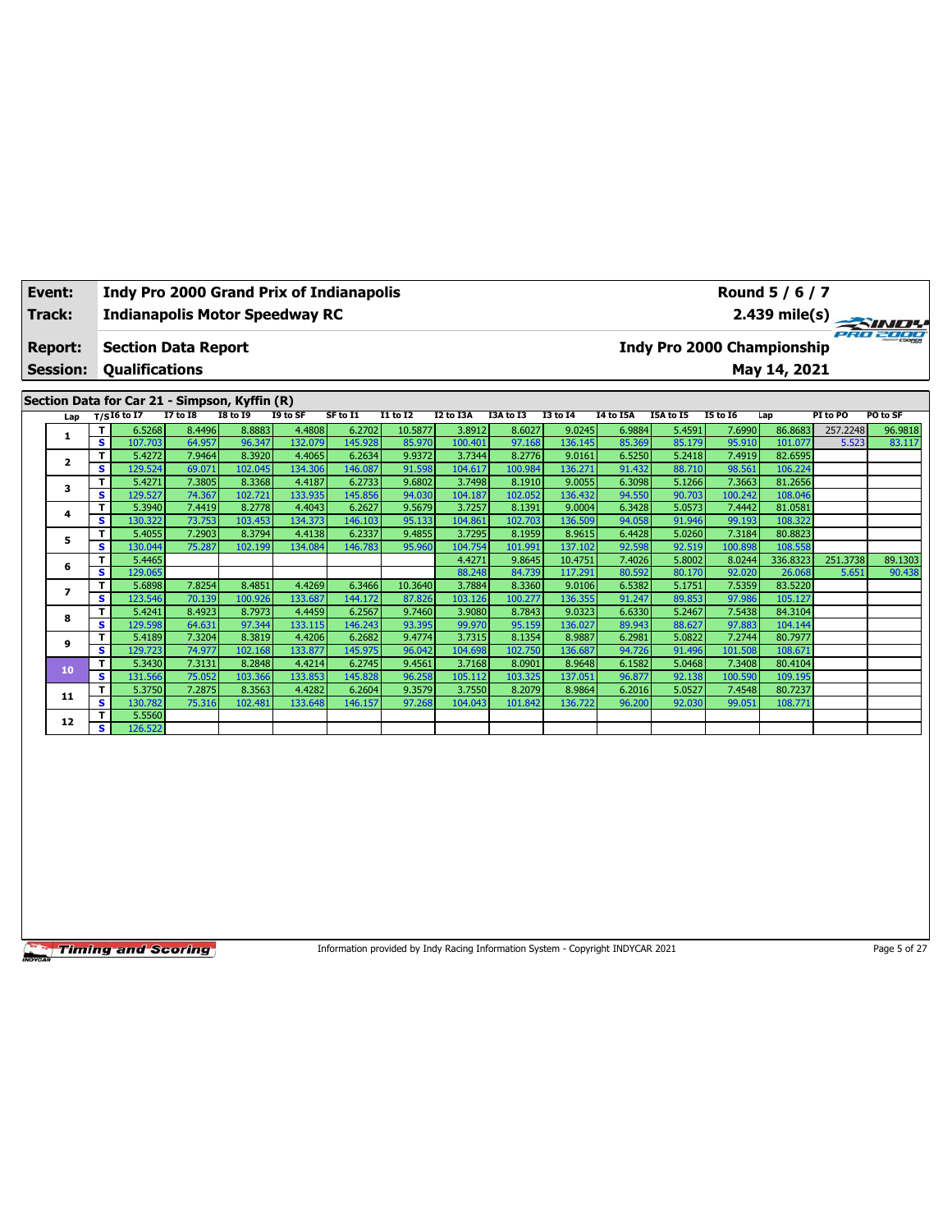|                                               | Event:<br>Track:                  |        |                       |                            |                 | <b>Indy Pro 2000 Grand Prix of Indianapolis</b><br><b>Indianapolis Motor Speedway RC</b> |          |          |           |           |                 |                  |           |                            | Round 5 / 6 / 7 |          | $2.439 \text{ mile(s)}$ |
|-----------------------------------------------|-----------------------------------|--------|-----------------------|----------------------------|-----------------|------------------------------------------------------------------------------------------|----------|----------|-----------|-----------|-----------------|------------------|-----------|----------------------------|-----------------|----------|-------------------------|
|                                               | <b>Report:</b><br><b>Session:</b> |        | <b>Qualifications</b> | <b>Section Data Report</b> |                 |                                                                                          |          |          |           |           |                 |                  |           | Indy Pro 2000 Championship | May 14, 2021    |          | PRO 2000                |
| Section Data for Car 21 - Simpson, Kyffin (R) |                                   |        |                       |                            |                 |                                                                                          |          |          |           |           |                 |                  |           |                            |                 |          |                         |
|                                               | Lap                               |        | $T/SI6$ to I7         | <b>I7 to I8</b>            | <b>18 to 19</b> | I9 to SF                                                                                 | SF to I1 | I1 to I2 | I2 to I3A | I3A to I3 | <b>I3 to 14</b> | <b>I4 to I5A</b> | I5A to I5 | <b>I5 to 16</b>            | Lap             | PI to PO | PO to SF                |
|                                               |                                   |        | 6.5268                | 8.4496                     | 8.8883          | 4.4808                                                                                   | 6.2702   | 10.5877  | 3.8912    | 8.6027    | 9.0245          | 6.9884           | 5.4591    | 7.6990                     | 86.8683         | 257.2248 | 96.9818                 |
|                                               | 1.                                | s l    | 107.703               | 64.957                     | 96.347          | 132.079                                                                                  | 145.928  | 85.970   | 100.401   | 97.168    | 136.145         | 85.369           | 85.179    | 95.910                     | 101.077         | 5.523    | 83.117                  |
|                                               |                                   |        | 5.4272                | 7.9464                     | 8.3920          | 4.4065                                                                                   | 6.2634   | 9.9372   | 3.7344    | 8.2776    | 9.0161          | 6.5250           | 5.2418    | 7.4919                     | 82.6595         |          |                         |
|                                               |                                   | s l    | 129.524               | 69.071                     | 102.045         | 134.306                                                                                  | 146.087  | 91.598   | 104.617   | 100.984   | 136.271         | 91.432           | 88.710    | 98.561                     | 106.224         |          |                         |
|                                               |                                   |        | 5.4271                | 7.3805                     | 8.3368          | 4.4187                                                                                   | 6.2733   | 9.6802   | 3.7498    | 8.1910    | 9.0055          | 6.3098           | 5.1266    | 7.3663                     | 81.2656         |          |                         |
|                                               |                                   | S      | 129.527               | 74.367                     | 102.721         | 133.935                                                                                  | 145.856  | 94.030   | 104.187   | 102.052   | 136.432         | 94.550           | 90.703    | 100.242                    | 108.046         |          |                         |
|                                               |                                   |        | 5.3940                | 7.4419                     | 8.2778          | 4.4043                                                                                   | 6.2627   | 9.5679   | 3.7257    | 8.1391    | 9.0004          | 6.3428           | 5.0573    | 7.4442                     | 81.0581         |          |                         |
| $\overline{2}$<br>3<br>4                      | $\mathbf{r}$                      | 120222 | 22.75                 | 102.451                    | 12422           | 1101102                                                                                  | OP 422   | 104.061  | 102.702   | 126.500   | <b>OA OFO</b>   | 04.04C           | 00, 102   | 100.222                    |                 |          |                         |

**S** 130.322 73.753 103.453 134.373 146.103 95.133 104.861 102.703 136.509 94.058 91.946 99.193 108.322 **<sup>5</sup> <sup>T</sup>** 5.4055 7.2903 8.3794 4.4138 6.2337 9.4855 3.7295 8.1959 8.9615 6.4428 5.0260 7.3184 80.8823 **S** 130.044 75.287 102.199 134.084 146.783 95.960 104.754 101.991 137.102 92.598 92.519 100.898 108.558

**<sup>7</sup> <sup>T</sup>** 5.6898 7.8254 8.4851 4.4269 6.3466 10.3640 3.7884 8.3360 9.0106 6.5382 5.1751 7.5359 83.5220 **S** 123.546 70.139 100.926 133.687 144.172 87.826 103.126 100.277 136.355 91.247 89.853 97.986 105.127 **<sup>8</sup> <sup>T</sup>** 5.4241 8.4923 8.7973 4.4459 6.2567 9.7460 3.9080 8.7843 9.0323 6.6330 5.2467 7.5438 84.3104 **S** 129.598 64.631 97.344 133.115 146.243 93.395 99.970 95.159 136.027 89.943 88.627 97.883 104.144 **<sup>9</sup> <sup>T</sup>** 5.4189 7.3204 8.3819 4.4206 6.2682 9.4774 3.7315 8.1354 8.9887 6.2981 5.0822 7.2744 80.7977 **S** 129.723 74.977 102.168 133.877 145.975 96.042 104.698 102.750 136.687 94.726 91.496 101.508 108.671 **<sup>10</sup> <sup>T</sup>** 5.3430 7.3131 8.2848 4.4214 6.2745 9.4561 3.7168 8.0901 8.9648 6.1582 5.0468 7.3408 80.4104 **S** 131.566 75.052 103.366 133.853 145.828 96.258 105.112 103.325 137.051 96.877 92.138 100.590 109.195 **<sup>11</sup> <sup>T</sup>** 5.3750 7.2875 8.3563 4.4282 6.2604 9.3579 3.7550 8.2079 8.9864 6.2016 5.0527 7.4548 80.7237 **S** 130.782 75.316 102.481 133.648 146.157 97.268 104.043 101.842 136.722 96.200 92.030 99.051 108.771

**6 T** 5.4465 **4.4271 9.8645 10.4751 10.4751 7.40271 9.8645 10.4751 7.4026 5.8002 8.0244 336.8323 251.3738 89.1303<br>6 5.476 139.025 12.5738 89.130 S** 129.065 88.248 84.739 117.291 80.592 80.170 92.020 26.068 5.651 90.438

**Timing and Scoring** 

**12 T** 5.5560<br>**S** 126.522

**S** 126.522

Information provided by Indy Racing Information System - Copyright INDYCAR 2021 Page 5 of 27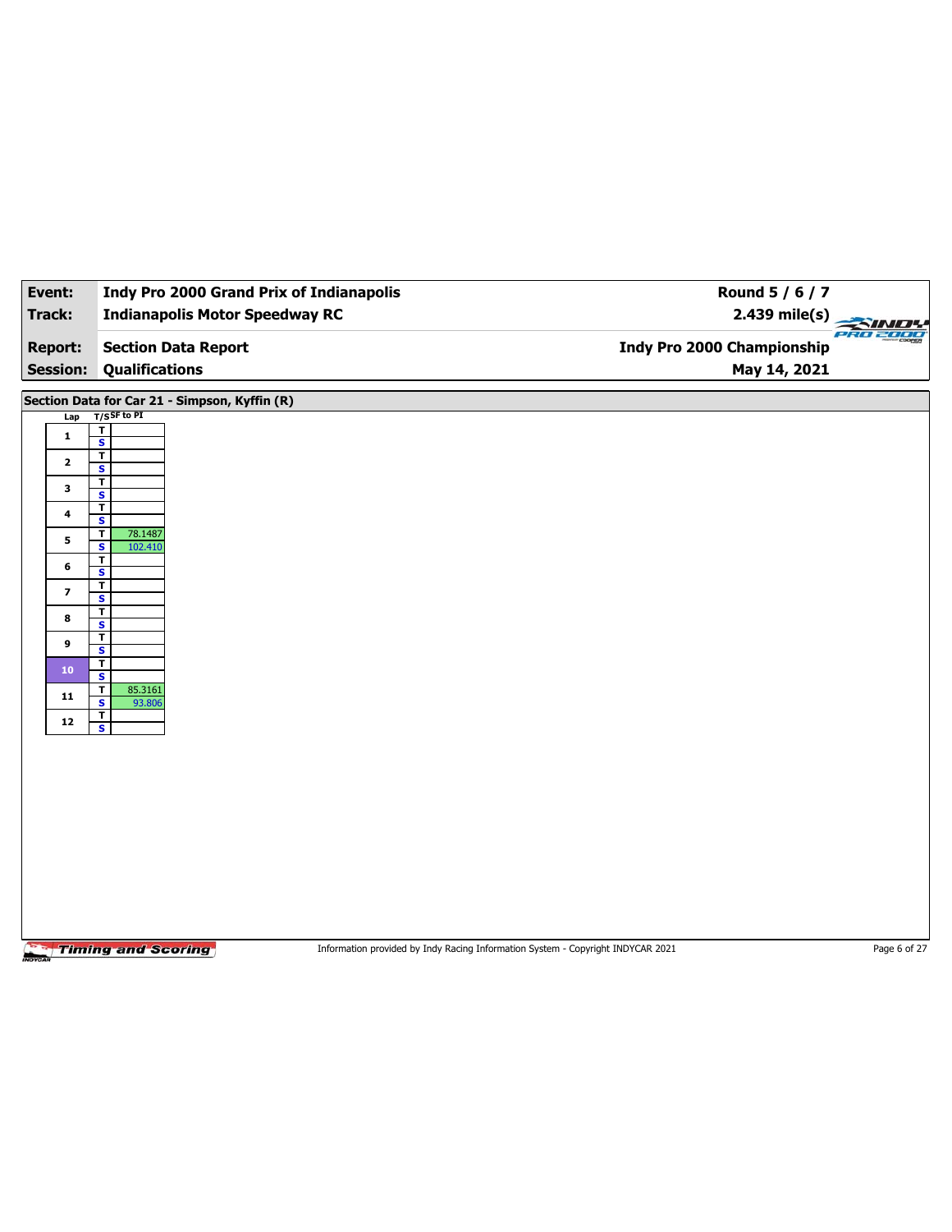| Event:<br>Track:                                       | <b>Indy Pro 2000 Grand Prix of Indianapolis</b><br><b>Indianapolis Motor Speedway RC</b>                                                                                                            | Round 5 / 6 / 7<br>$2.439$ mile(s)                                              |                 |
|--------------------------------------------------------|-----------------------------------------------------------------------------------------------------------------------------------------------------------------------------------------------------|---------------------------------------------------------------------------------|-----------------|
|                                                        |                                                                                                                                                                                                     |                                                                                 | <b>PRO 2000</b> |
| <b>Report:</b>                                         | <b>Section Data Report</b>                                                                                                                                                                          | Indy Pro 2000 Championship                                                      |                 |
| <b>Session:</b>                                        | <b>Qualifications</b>                                                                                                                                                                               | May 14, 2021                                                                    |                 |
| Lap<br>$\mathbf{1}$<br>$\mathbf{2}$                    | Section Data for Car 21 - Simpson, Kyffin (R)<br>$T/S$ SF to PI<br>$\overline{\mathbf{r}}$<br>$\overline{\mathbf{s}}$<br>$\overline{r}$<br>S<br>T.                                                  |                                                                                 |                 |
| 3<br>4<br>5<br>6<br>$\overline{\phantom{a}}$<br>8<br>9 | $\overline{\mathbf{s}}$<br>T<br>S<br>T.<br>78.1487<br>$\overline{\mathbf{s}}$<br>102.410<br>$\overline{\mathbf{r}}$<br>S<br>T<br>$\overline{\mathbf{s}}$<br>T<br>S<br>T.<br>$\overline{\mathbf{s}}$ |                                                                                 |                 |
| 10 <sub>10</sub><br>11<br>12                           | T<br>$\mathbf{s}$<br>T<br>85.3161<br>$\overline{\mathbf{s}}$<br>93.806<br>T<br>$\overline{\mathbf{s}}$                                                                                              |                                                                                 |                 |
|                                                        | <b>Timing and Scoring</b>                                                                                                                                                                           | Information provided by Indy Racing Information System - Copyright INDYCAR 2021 | Page 6 of 27    |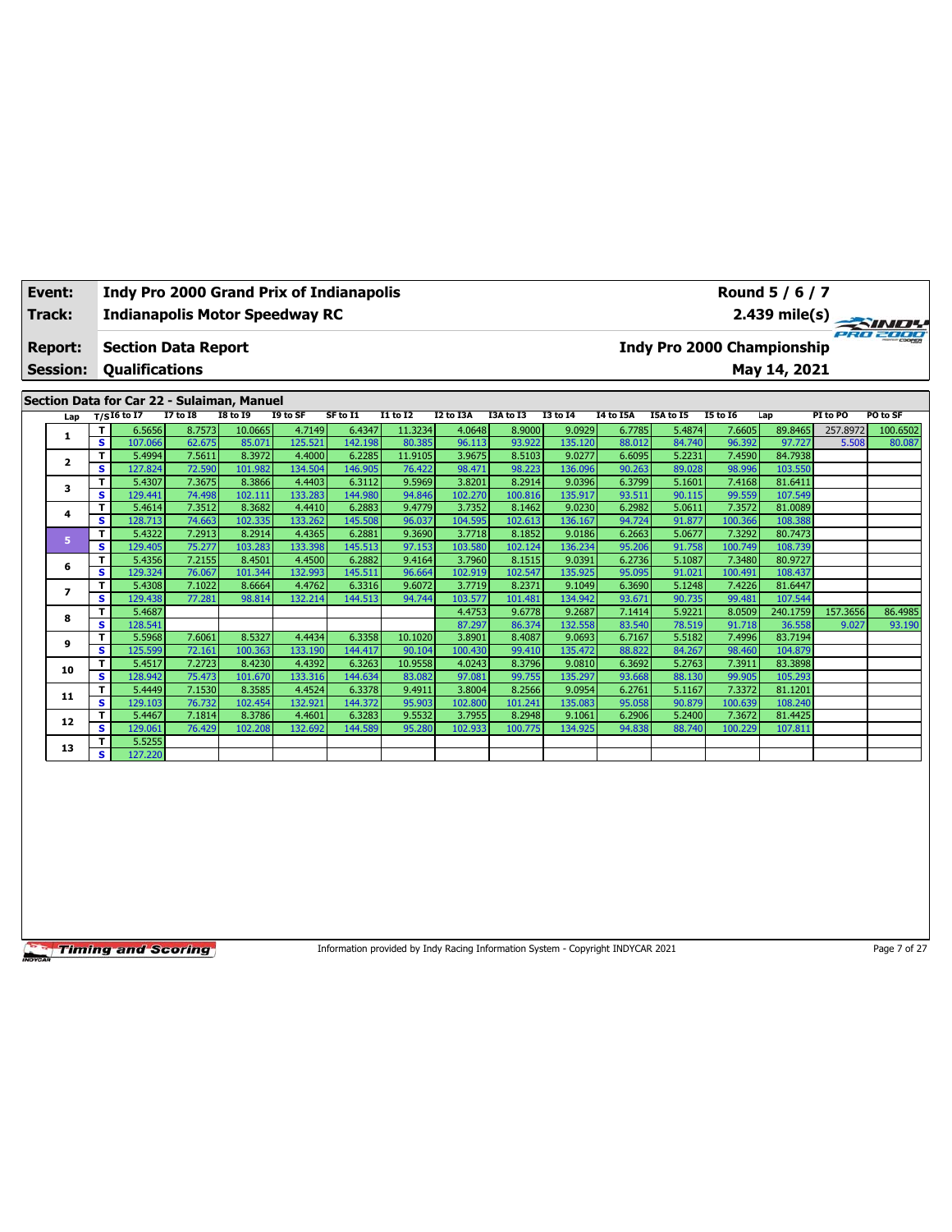| Event:                            | <b>Indy Pro 2000 Grand Prix of Indianapolis</b>     |                 |                 |          |          |                 |                  |           |                 |                  |                                   |          | Round 5 / 6 / 7 |                         |                 |
|-----------------------------------|-----------------------------------------------------|-----------------|-----------------|----------|----------|-----------------|------------------|-----------|-----------------|------------------|-----------------------------------|----------|-----------------|-------------------------|-----------------|
| Track:                            | <b>Indianapolis Motor Speedway RC</b>               |                 |                 |          |          |                 |                  |           |                 |                  |                                   |          |                 | $2.439 \text{ mile(s)}$ |                 |
| <b>Report:</b><br><b>Session:</b> | <b>Section Data Report</b><br><b>Oualifications</b> |                 |                 |          |          |                 |                  |           |                 |                  | <b>Indy Pro 2000 Championship</b> |          | May 14, 2021    |                         | PRO 2000        |
|                                   | Section Data for Car 22 - Sulaiman, Manuel          |                 |                 |          |          |                 |                  |           |                 |                  |                                   |          |                 |                         |                 |
| Lap                               | T/SI6 to I7                                         | <b>I7 to I8</b> | <b>I8 to I9</b> | I9 to SF | SF to I1 | <b>I1 to I2</b> | <b>I2 to I3A</b> | I3A to I3 | <b>I3 to 14</b> | <b>14 to 15A</b> | <b>I5A to I5</b>                  | 15 to 16 | Lap             | PI to PO                | <b>PO to SF</b> |
|                                   | 6.5656                                              | 8.7573          | 10.0665         | 4.7149   | 6.4347   | 11.3234         | 4.0648           | 8.9000    | 9.0929          | 6.7785           | 5.4874                            | 7.6605   | 89.8465         | 257.8972                | 100.6502        |
|                                   |                                                     |                 |                 |          |          |                 |                  |           |                 |                  |                                   |          |                 |                         |                 |

| 1              | Τ.                      | 6.5656  | 8.7573 | 10.0665 | 4.7149  | 6.4347  | 11.3234 | 4.0648  | 8.9000  | 9.0929  | 6.7785 | 5.4874 | 7.6605  | 89.8465  | 257.8972 | 100.6502 |
|----------------|-------------------------|---------|--------|---------|---------|---------|---------|---------|---------|---------|--------|--------|---------|----------|----------|----------|
|                | s                       | 107.066 | 62.675 | 85.071  | 125.521 | 142.198 | 80.385  | 96.113  | 93.922  | 135.120 | 88.012 | 84.740 | 96.392  | 97.727   | 5.508    | 80.087   |
| $\overline{2}$ | T.                      | 5.4994  | 7.5611 | 8.3972  | 4.4000  | 6.2285  | 11.9105 | 3.9675  | 8.5103  | 9.0277  | 6.6095 | 5.2231 | 7.4590  | 84.7938  |          |          |
|                | s                       | 127.824 | 72.590 | 101.982 | 134.504 | 146.905 | 76.422  | 98.471  | 98.223  | 136.096 | 90.263 | 89.028 | 98.996  | 103.550  |          |          |
| з              | T.                      | 5.4307  | 7.3675 | 8.3866  | 4.4403  | 6.3112  | 9.5969  | 3.8201  | 8.2914  | 9.0396  | 6.3799 | 5.1601 | 7.4168  | 81.6411  |          |          |
|                | s                       | 129.441 | 74.498 | 102.111 | 133.283 | 144.980 | 94.846  | 102.270 | 100.816 | 135.917 | 93.511 | 90.115 | 99.559  | 107.549  |          |          |
| 4              | T                       | 5.4614  | 7.3512 | 8.3682  | 4.4410  | 6.2883  | 9.4779  | 3.7352  | 8.1462  | 9.0230  | 6.2982 | 5.0611 | 7.3572  | 81.0089  |          |          |
|                | s                       | 128.713 | 74.663 | 102.335 | 133.262 | 145.508 | 96.037  | 104.595 | 102.613 | 136.167 | 94.724 | 91.877 | 100.366 | 108.388  |          |          |
| 5              | т                       | 5.4322  | 7.2913 | 8.2914  | 4.4365  | 6.2881  | 9.3690  | 3.7718  | 8.1852  | 9.0186  | 6.2663 | 5.0677 | 7.3292  | 80.7473  |          |          |
|                | s                       | 129.405 | 75.277 | 103.283 | 133.398 | 145.513 | 97.153  | 103.580 | 102.124 | 136.234 | 95.206 | 91.758 | 100.749 | 108.739  |          |          |
| 6              | T.                      | 5.4356  | 7.2155 | 8.4501  | 4.4500  | 6.2882  | 9.4164  | 3.7960  | 8.1515  | 9.0391  | 6.2736 | 5.1087 | 7.3480  | 80.9727  |          |          |
|                | s                       | 129.324 | 76.067 | 101.344 | 132.993 | 145.511 | 96.664  | 102.919 | 102.547 | 135.925 | 95.095 | 91.021 | 100.491 | 108.437  |          |          |
|                | T                       | 5.4308  | 7.1022 | 8.6664  | 4.4762  | 6.3316  | 9.6072  | 3.7719  | 8.2371  | 9.1049  | 6.3690 | 5.1248 | 7.4226  | 81.6447  |          |          |
|                | s                       | 129.438 | 77.281 | 98.814  | 132.214 | 144.513 | 94.744  | 103.577 | 101.481 | 134.942 | 93.671 | 90.735 | 99.481  | 107.544  |          |          |
| 8              | T.                      | 5.4687  |        |         |         |         |         | 4.4753  | 9.6778  | 9.2687  | 7.1414 | 5.9221 | 8.0509  | 240.1759 | 157.3656 | 86.4985  |
|                | s                       | 128.541 |        |         |         |         |         | 87.297  | 86.374  | 132.558 | 83.540 | 78.519 | 91.718  | 36.558   | 9.027    | 93.190   |
| 9              | T.                      | 5.5968  | 7.6061 | 8.5327  | 4.4434  | 6.3358  | 10.1020 | 3.8901  | 8.4087  | 9.0693  | 6.7167 | 5.5182 | 7.4996  | 83.7194  |          |          |
|                | s                       | 125.599 | 72.161 | 100.363 | 133.190 | 144.417 | 90.104  | 100.430 | 99.410  | 135.472 | 88.822 | 84.267 | 98.460  | 104.879  |          |          |
| 10             | T                       | 5.4517  | 7.2723 | 8.4230  | 4.4392  | 6.3263  | 10.9558 | 4.0243  | 8.3796  | 9.0810  | 6.3692 | 5.2763 | 7.3911  | 83.3898  |          |          |
|                | s                       | 128.942 | 75.473 | 101.670 | 133.316 | 144.634 | 83.082  | 97.081  | 99.755  | 135.297 | 93.668 | 88.130 | 99.905  | 105.293  |          |          |
| 11             | T                       | 5.4449  | 7.1530 | 8.3585  | 4.4524  | 6.3378  | 9.4911  | 3.8004  | 8.2566  | 9.0954  | 6.2761 | 5.1167 | 7.3372  | 81.1201  |          |          |
|                | s                       | 129.103 | 76.732 | 102.454 | 132.921 | 144.372 | 95.903  | 102.800 | 101.241 | 135.083 | 95.058 | 90.879 | 100.639 | 108.240  |          |          |
| 12             | T.                      | 5.4467  | 7.1814 | 8.3786  | 4.4601  | 6.3283  | 9.5532  | 3.7955  | 8.2948  | 9.1061  | 6.2906 | 5.2400 | 7.3672  | 81.4425  |          |          |
|                | s                       | 129.061 | 76.429 | 102.208 | 132.692 | 144.589 | 95.280  | 102.933 | 100.775 | 134.925 | 94.838 | 88.740 | 100.229 | 107.811  |          |          |
| 13             | T                       | 5.5255  |        |         |         |         |         |         |         |         |        |        |         |          |          |          |
|                | $\overline{\mathbf{s}}$ | 127.220 |        |         |         |         |         |         |         |         |        |        |         |          |          |          |

Information provided by Indy Racing Information System - Copyright INDYCAR 2021 Page 7 of 27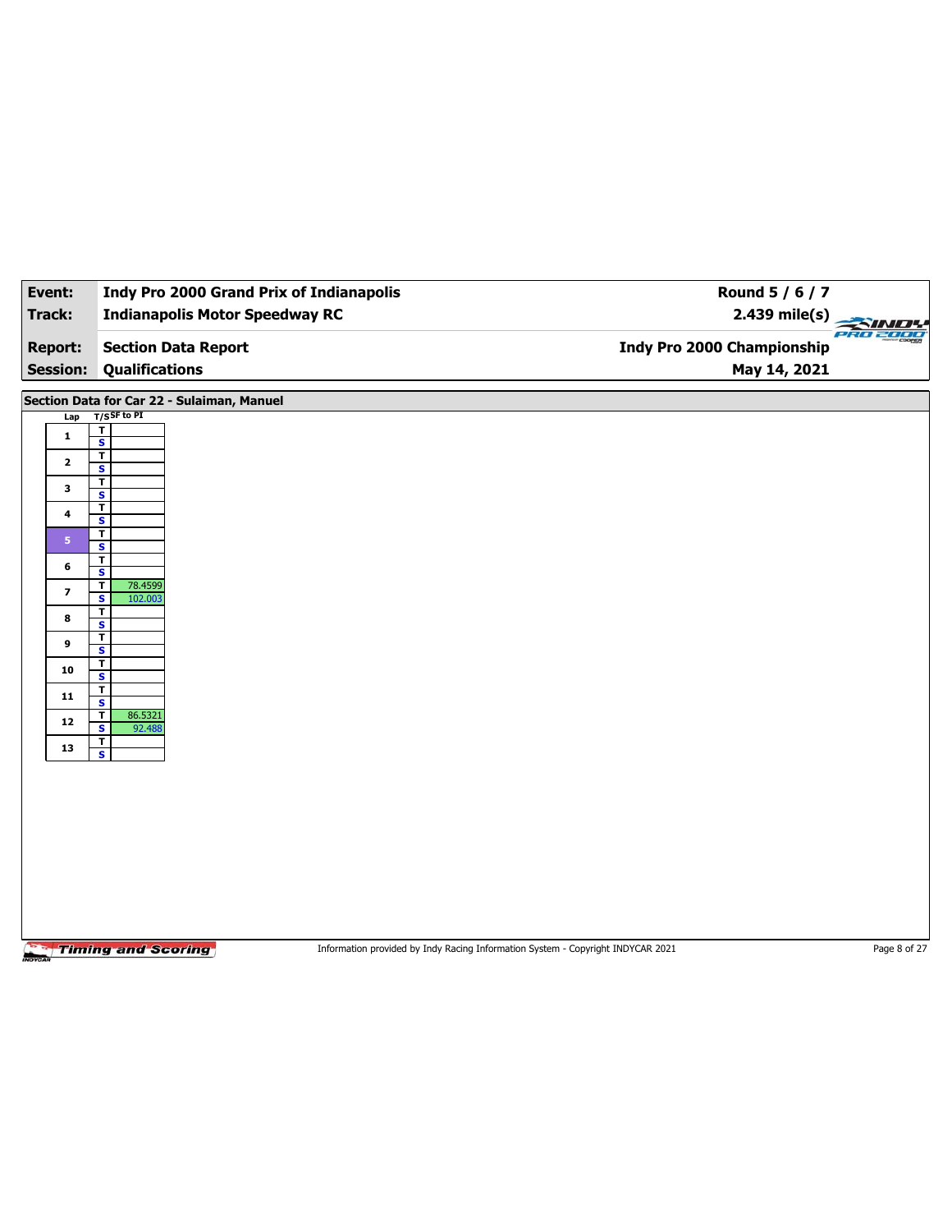| Event:                   | Indy Pro 2000 Grand Prix of Indianapolis                                 | Round 5 / 6 / 7                                                                 |                                  |
|--------------------------|--------------------------------------------------------------------------|---------------------------------------------------------------------------------|----------------------------------|
| Track:                   | <b>Indianapolis Motor Speedway RC</b>                                    | 2.439 mile(s)                                                                   | $\rightarrow \prime\prime\prime$ |
| <b>Report:</b>           | <b>Section Data Report</b>                                               | Indy Pro 2000 Championship                                                      | PRO 2000                         |
| <b>Session:</b>          | <b>Qualifications</b>                                                    | May 14, 2021                                                                    |                                  |
|                          | Section Data for Car 22 - Sulaiman, Manuel                               |                                                                                 |                                  |
| Lap                      | $T/S$ SF to PI<br>$\overline{\mathbf{r}}$                                |                                                                                 |                                  |
| $\mathbf 1$              | $\overline{\mathbf{s}}$<br>T                                             |                                                                                 |                                  |
| $\mathbf{2}$             | S<br>$\overline{\mathbf{r}}$                                             |                                                                                 |                                  |
| 3                        | $\overline{\mathbf{s}}$<br>$\overline{\mathbf{r}}$                       |                                                                                 |                                  |
| 4                        | S<br>$\overline{1}$                                                      |                                                                                 |                                  |
| 5 <sup>1</sup>           | $\overline{\mathbf{s}}$                                                  |                                                                                 |                                  |
| 6                        | $\overline{\mathbf{r}}$<br>S                                             |                                                                                 |                                  |
| $\overline{\phantom{a}}$ | $\overline{\mathbf{r}}$<br>78.4599<br>$\overline{\mathbf{s}}$<br>102.003 |                                                                                 |                                  |
| 8                        | T<br>S                                                                   |                                                                                 |                                  |
| 9                        | $\overline{\mathsf{r}}$<br>$\overline{\mathbf{s}}$                       |                                                                                 |                                  |
| 10                       | T<br>$\overline{\mathbf{s}}$                                             |                                                                                 |                                  |
| 11                       | $\mathbf T$<br>$\overline{\mathbf{s}}$                                   |                                                                                 |                                  |
| ${\bf 12}$               | $\overline{\mathbf{r}}$<br>86.5321<br>S<br>92.488                        |                                                                                 |                                  |
| 13                       | $\overline{1}$<br>$\overline{\mathbf{s}}$                                |                                                                                 |                                  |
|                          |                                                                          |                                                                                 |                                  |
|                          |                                                                          |                                                                                 |                                  |
|                          |                                                                          |                                                                                 |                                  |
|                          |                                                                          |                                                                                 |                                  |
|                          |                                                                          |                                                                                 |                                  |
|                          |                                                                          |                                                                                 |                                  |
|                          |                                                                          |                                                                                 |                                  |
|                          | <b>Timing and Scoring</b>                                                | Information provided by Indy Racing Information System - Copyright INDYCAR 2021 | Page 8 of 27                     |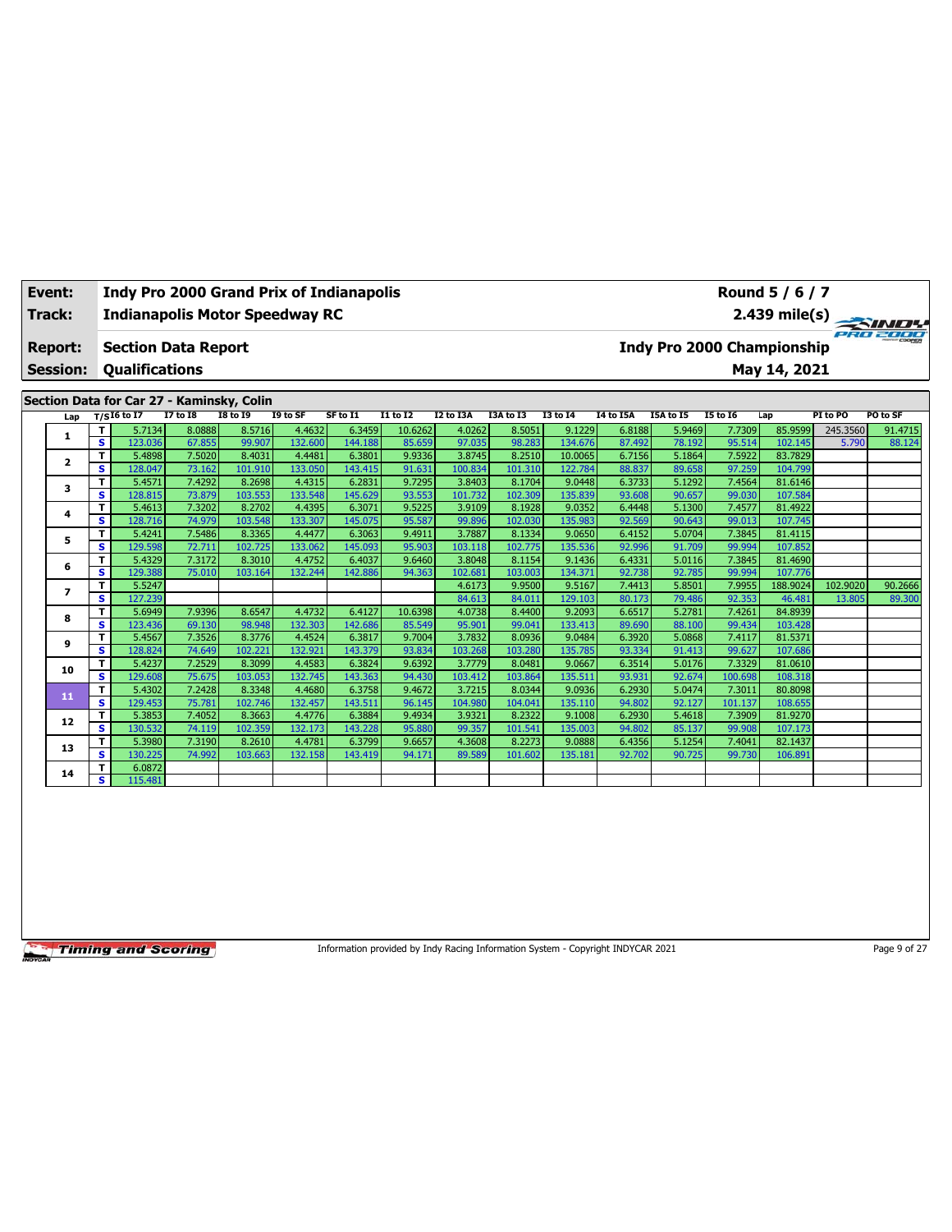| Event:<br>Track:<br><b>Report:</b> |    | <b>Section Data Report</b>      |                 | <b>Indianapolis Motor Speedway RC</b>     |          | Indy Pro 2000 Grand Prix of Indianapolis |                 |                  |                  |                 |                  |           |          | Round 5 / 6 / 7<br>2.439 mile(s) $\rightarrow$<br>Indy Pro 2000 Championship |          | SINDY<br>PRO 2000 |
|------------------------------------|----|---------------------------------|-----------------|-------------------------------------------|----------|------------------------------------------|-----------------|------------------|------------------|-----------------|------------------|-----------|----------|------------------------------------------------------------------------------|----------|-------------------|
| <b>Session:</b>                    |    | <b>Qualifications</b>           |                 |                                           |          |                                          |                 |                  |                  |                 |                  |           |          | May 14, 2021                                                                 |          |                   |
|                                    |    |                                 |                 |                                           |          |                                          |                 |                  |                  |                 |                  |           |          |                                                                              |          |                   |
|                                    |    |                                 |                 | Section Data for Car 27 - Kaminsky, Colin |          |                                          |                 |                  |                  |                 |                  |           |          |                                                                              |          |                   |
| Lap                                |    | T/SI6 to $\overline{\text{I7}}$ | <b>I7 to I8</b> | <b>I8 to 19</b>                           | I9 to SF | SF to I1                                 | <b>I1 to I2</b> | <b>I2 to I3A</b> | <b>I3A to I3</b> | <b>I3 to 14</b> | <b>I4 to I5A</b> | I5A to I5 | 15 to 16 | Lap                                                                          | PI to PO | PO to SF          |
| 1                                  |    | 5.7134                          | 8.0888          | 8.5716                                    | 4.4632   | 6.3459                                   | 10.6262         | 4.0262           | 8.5051           | 9.1229          | 6.8188           | 5.9469    | 7.7309   | 85.9599                                                                      | 245.3560 | 91.4715           |
|                                    | s. | 123.036                         | 67.855          | 99.907                                    | 132.600  | 144.188                                  | 85.659          | 97.035           | 98.283           | 134.676         | 87.492           | 78.192    | 95.514   | 102.145                                                                      | 5.790    | 88.124            |
|                                    |    | 5.4898                          | 7.5020          | 8.4031                                    | 4.4481   | 6.3801                                   | 9.9336          | 3.8745           | 8.2510           | 10.0065         | 6.7156           | 5.1864    | 7.5922   | 83.7829                                                                      |          |                   |
|                                    | s  | 128.047                         | 73.162          | 101.910                                   | 133.050  | 143.415                                  | 91.631          | 100.834          | 101.310          | 122.784         | 88.837           | 89.658    | 97.259   | 104.799                                                                      |          |                   |
| $\overline{2}$                     |    |                                 |                 |                                           |          |                                          |                 |                  |                  |                 |                  |           |          |                                                                              |          |                   |

|    |    | $- - - - - - -$ | $\cdots$ | ------  | ------- | ------- |         | $-0.000$ | $-0 - 0 - 0 - 0$ | $- - - - -$ | -----  | ------ | ------  | ------   |          |         |
|----|----|-----------------|----------|---------|---------|---------|---------|----------|------------------|-------------|--------|--------|---------|----------|----------|---------|
| з  | T. | 5.4571          | 7.4292   | 8.2698  | 4.4315  | 6.2831  | 9.7295  | 3.8403   | 8.1704           | 9.0448      | 6.3733 | 5.1292 | 7.4564  | 81.6146  |          |         |
|    | s  | 128.815         | 73.879   | 103.553 | 133.548 | 145.629 | 93.553  | 101.732  | 102.309          | 135.839     | 93.608 | 90.657 | 99.030  | 107.584  |          |         |
| 4  | T. | 5.4613          | 7.3202   | 8.2702  | 4.4395  | 6.3071  | 9.5225  | 3.9109   | 8.1928           | 9.0352      | 6.4448 | 5.1300 | 7.4577  | 81.4922  |          |         |
|    | s  | 128.716         | 74.979   | 103.548 | 133.307 | 145.075 | 95.587  | 99.896   | 102.030          | 135.983     | 92.569 | 90.643 | 99.013  | 107.745  |          |         |
| 5  | Τ. | 5.4241          | 7.5486   | 8.3365  | 4.4477  | 6.3063  | 9.4911  | 3.7887   | 8.1334           | 9.0650      | 6.4152 | 5.0704 | 7.3845  | 81.4115  |          |         |
|    | s  | 129.598         | 72.711   | 102.725 | 133.062 | 145.093 | 95.903  | 103.118  | 102.775          | 135.536     | 92.996 | 91.709 | 99.994  | 107.852  |          |         |
| 6  | T. | 5.4329          | 7.3172   | 8.3010  | 4.4752  | 6.4037  | 9.6460  | 3.8048   | 8.1154           | 9.1436      | 6.4331 | 5.0116 | 7.3845  | 81.4690  |          |         |
|    | s  | 129.388         | 75.010   | 103.164 | 132.244 | 142.886 | 94.363  | 102.681  | 103.003          | 134.371     | 92.738 | 92.785 | 99.994  | 107.776  |          |         |
|    | T. | 5.5247          |          |         |         |         |         | 4.6173   | 9.9500           | 9.5167      | 7.4413 | 5.8501 | 7.9955  | 188.9024 | 102.9020 | 90.2666 |
|    | s  | 127.239         |          |         |         |         |         | 84.613   | 84.011           | 129.103     | 80.173 | 79.486 | 92.353  | 46.481   | 13.805   | 89.300  |
| 8  | T. | 5.6949          | 7.9396   | 8.6547  | 4.4732  | 6.4127  | 10.6398 | 4.0738   | 8.4400           | 9.2093      | 6.6517 | 5.2781 | 7.4261  | 84.8939  |          |         |
|    | s  | 123.436         | 69.130   | 98.948  | 132.303 | 142.686 | 85.549  | 95.901   | 99.041           | 133.413     | 89.690 | 88.100 | 99.434  | 103.428  |          |         |
| 9  | т  | 5.4567          | 7.3526   | 8.3776  | 4.4524  | 6.3817  | 9.7004  | 3.7832   | 8.0936           | 9.0484      | 6.3920 | 5.0868 | 7.4117  | 81.5371  |          |         |
|    | s. | 128.824         | 74.649   | 102.221 | 132.921 | 143.379 | 93.834  | 103.268  | 103.280          | 135.785     | 93.334 | 91.413 | 99.627  | 107.686  |          |         |
| 10 | T. | 5.4237          | 7.2529   | 8.3099  | 4.4583  | 6.3824  | 9.6392  | 3.7779   | 8.0481           | 9.0667      | 6.3514 | 5.0176 | 7.3329  | 81.0610  |          |         |
|    | s. | 129.608         | 75.675   | 103.053 | 132.745 | 143.363 | 94.430  | 103.412  | 103.864          | 135.511     | 93.931 | 92.674 | 100.698 | 108.318  |          |         |
| 11 | T. | 5.4302          | 7.2428   | 8.3348  | 4.4680  | 6.3758  | 9.4672  | 3.7215   | 8.0344           | 9.0936      | 6.2930 | 5.0474 | 7.3011  | 80.8098  |          |         |
|    | s. | 129.453         | 75.781   | 102.746 | 132.457 | 143.511 | 96.145  | 104.980  | 104.041          | 135.110     | 94.802 | 92.127 | 101.137 | 108.655  |          |         |
| 12 | T. | 5.3853          | 7.4052   | 8.3663  | 4.4776  | 6.3884  | 9.4934  | 3.9321   | 8.2322           | 9.1008      | 6.2930 | 5.4618 | 7.3909  | 81.9270  |          |         |
|    | s. | 130.532         | 74.119   | 102.359 | 132.173 | 143.228 | 95.880  | 99.357   | 101.541          | 135.003     | 94.802 | 85.137 | 99.908  | 107.173  |          |         |
| 13 | T. | 5.3980          | 7.3190   | 8.2610  | 4.4781  | 6.3799  | 9.6657  | 4.3608   | 8.2273           | 9.0888      | 6.4356 | 5.1254 | 7.4041  | 82.1437  |          |         |
|    | s. | 130.225         | 74.992   | 103.663 | 132.158 | 143.419 | 94.171  | 89.589   | 101.602          | 135.181     | 92.702 | 90.725 | 99.730  | 106.891  |          |         |
| 14 | T. | 6.0872          |          |         |         |         |         |          |                  |             |        |        |         |          |          |         |
|    | s. | 115.481         |          |         |         |         |         |          |                  |             |        |        |         |          |          |         |

Information provided by Indy Racing Information System - Copyright INDYCAR 2021 Page 9 of 27



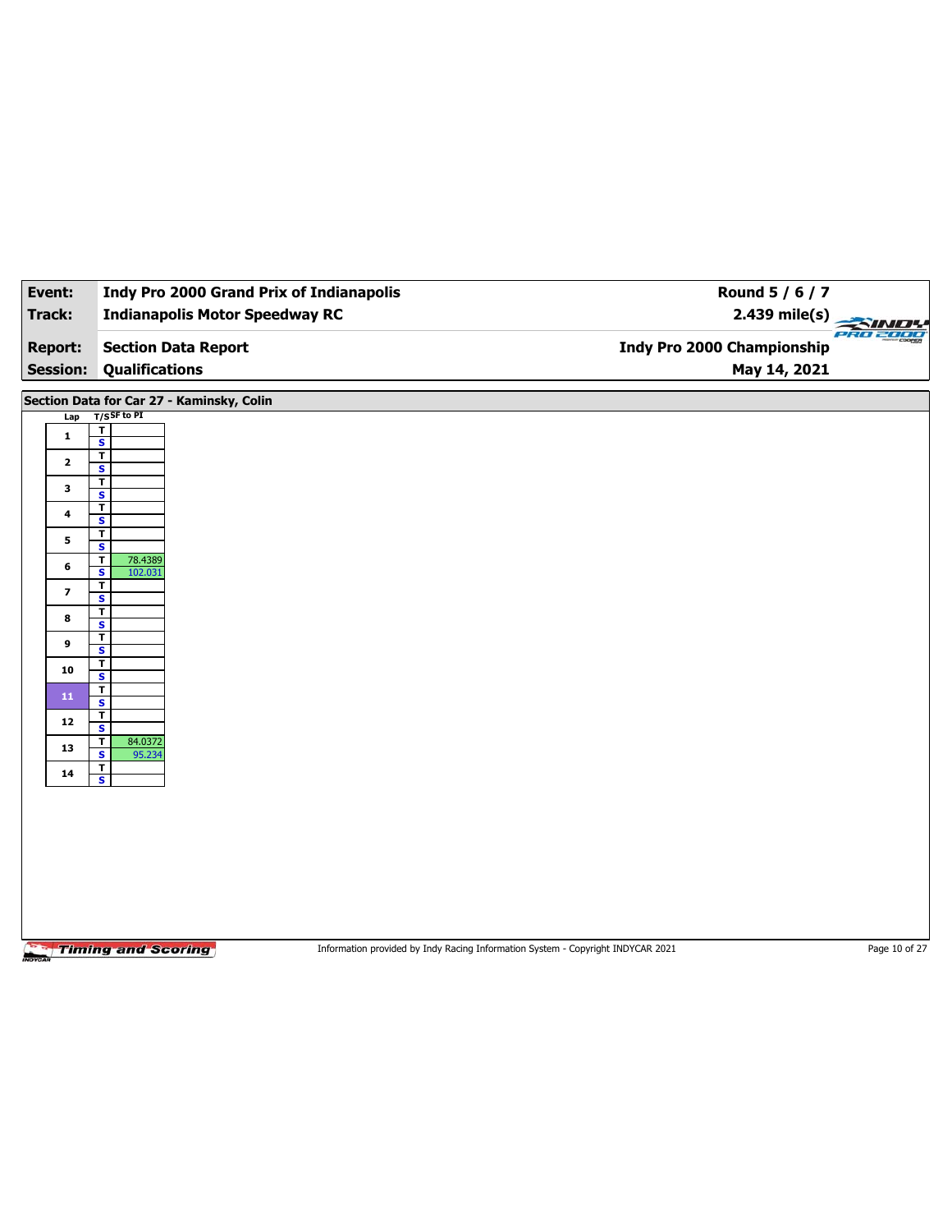| Event:                  | <b>Indy Pro 2000 Grand Prix of Indianapolis</b>                                                              | Round 5 / 6 / 7            |                 |
|-------------------------|--------------------------------------------------------------------------------------------------------------|----------------------------|-----------------|
| <b>Track:</b>           | <b>Indianapolis Motor Speedway RC</b>                                                                        | $2.439$ mile(s)            | <b>PRO 2000</b> |
| <b>Report:</b>          | <b>Section Data Report</b>                                                                                   | Indy Pro 2000 Championship |                 |
| <b>Session:</b>         | <b>Qualifications</b>                                                                                        | May 14, 2021               |                 |
|                         | Section Data for Car 27 - Kaminsky, Colin                                                                    |                            |                 |
| Lap                     | $T/S$ SF to PI                                                                                               |                            |                 |
| $\mathbf{1}$            | $\mathbf T$<br>$\overline{\mathbf{s}}$                                                                       |                            |                 |
| $\mathbf{2}$            | $\overline{\mathbf{r}}$                                                                                      |                            |                 |
|                         | $\mathbf{s}$<br>T                                                                                            |                            |                 |
| 3                       | $\overline{\mathbf{s}}$<br>T                                                                                 |                            |                 |
| $\ddot{\phantom{a}}$    | S                                                                                                            |                            |                 |
| 5                       | $\mathbf T$<br>$\overline{\mathbf{s}}$                                                                       |                            |                 |
| 6                       | 78.4389<br>T<br>102.031<br>S                                                                                 |                            |                 |
| $\overline{\mathbf{z}}$ | T                                                                                                            |                            |                 |
|                         | $\overline{\mathbf{s}}$<br>T                                                                                 |                            |                 |
| 8                       | S                                                                                                            |                            |                 |
| 9                       | $\mathbf T$<br>$\overline{\mathbf{s}}$                                                                       |                            |                 |
| 10                      | T<br>$\mathbf{s}$                                                                                            |                            |                 |
| 11                      | $\mathbf T$                                                                                                  |                            |                 |
| 12                      | $\overline{\mathbf{s}}$<br>T                                                                                 |                            |                 |
|                         | $\overline{\mathbf{s}}$<br>$\mathbf T$<br>84.0372                                                            |                            |                 |
| 13                      | $\overline{\mathbf{s}}$<br>95.234<br>Τ                                                                       |                            |                 |
| 14                      | $\mathbf{s}$                                                                                                 |                            |                 |
|                         |                                                                                                              |                            |                 |
|                         |                                                                                                              |                            |                 |
|                         |                                                                                                              |                            |                 |
|                         |                                                                                                              |                            |                 |
|                         |                                                                                                              |                            |                 |
|                         |                                                                                                              |                            |                 |
|                         |                                                                                                              |                            |                 |
|                         | <b>Timing and Scoring</b><br>Information provided by Indy Racing Information System - Copyright INDYCAR 2021 |                            | Page 10 of 27   |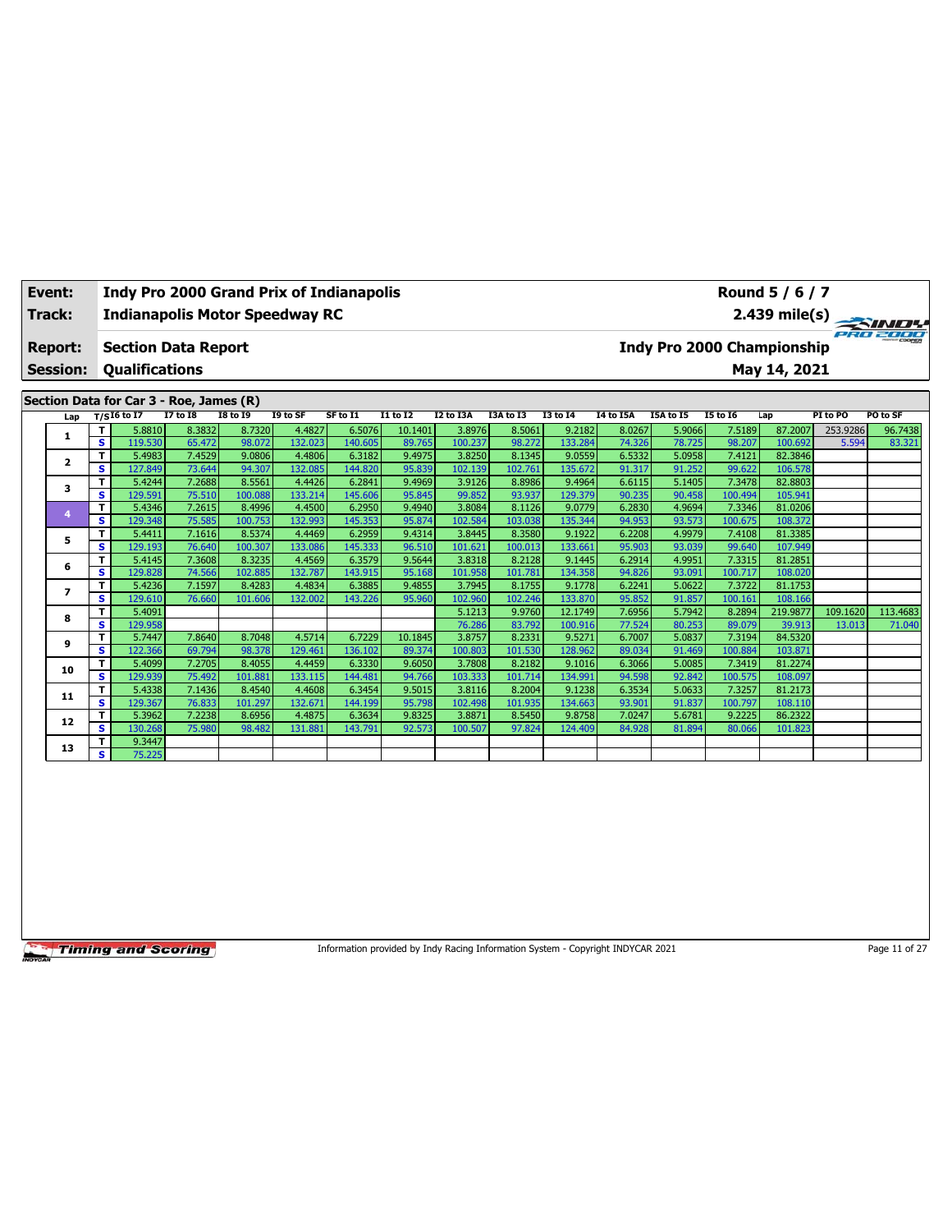| Event:          |        |                       |                                         |                 | <b>Indy Pro 2000 Grand Prix of Indianapolis</b> |          |                 |           |                                     |          |                  |           |                     | Round 5 / 6 / 7            |          |          |  |
|-----------------|--------|-----------------------|-----------------------------------------|-----------------|-------------------------------------------------|----------|-----------------|-----------|-------------------------------------|----------|------------------|-----------|---------------------|----------------------------|----------|----------|--|
| Track:          |        |                       |                                         |                 | <b>Indianapolis Motor Speedway RC</b>           |          |                 |           | $2.439 \text{ mile(s)}$<br>PRO 2000 |          |                  |           |                     |                            |          |          |  |
| <b>Report:</b>  |        |                       | <b>Section Data Report</b>              |                 |                                                 |          |                 |           |                                     |          |                  |           |                     | Indy Pro 2000 Championship |          |          |  |
| <b>Session:</b> |        | <b>Qualifications</b> |                                         |                 |                                                 |          |                 |           |                                     |          |                  |           |                     | May 14, 2021               |          |          |  |
|                 |        |                       | Section Data for Car 3 - Roe, James (R) |                 |                                                 |          |                 |           |                                     |          |                  |           |                     |                            |          |          |  |
| Lap             |        | $T/SI6$ to I7         | <b>I7 to I8</b>                         | <b>I8 to I9</b> | I9 to SF                                        | SF to I1 | <b>I1 to I2</b> | I2 to I3A | I3A to I3                           | 13 to 14 | <b>I4 to I5A</b> | I5A to I5 | 15 to 16            | Lap                        | PI to PO | PO to SF |  |
|                 |        | 5.8810                | 8.3832                                  | 8.7320          | 4.4827                                          | 6.5076   | 10.1401         | 3.8976    | 8.5061                              | 9.2182   | 8.0267           | 5.9066    | 7.5189              | 87.2007                    | 253.9286 | 96.7438  |  |
| ı               | s l    | 119.530               | 65.472                                  | 98.072          | 132.023                                         | 140.605  | 89.765          | 100.237   | 98.272                              | 133.284  | 74.326           | 78.725    | 98.207              | 100.692                    | 5.594    | 83.321   |  |
| $\overline{2}$  |        | 5.4983                | 7.4529                                  | 9.0806          | 4.4806                                          | 6.3182   | 9.4975          | 3.8250    | 8.1345                              | 9.0559   | 6.5332           | 5.0958    | 7.4121              | 82.3846                    |          |          |  |
|                 | s l    | 127.849               | 73.644                                  | 94.307          | 132.085                                         | 144.820  | 95.839          | 102.139   | 102.761                             | 135.672  | 91.317           | 91.252    | 99.622              | 106.578                    |          |          |  |
| 3               |        | 5.4244                | 7.2688                                  | 8.5561          | 4.4426                                          | 6.2841   | 9.4969          | 3.9126    | 8.8986                              | 9.4964   | 6.6115           | 5.1405    | 7.3478              | 82.8803                    |          |          |  |
|                 | s i    | 129.591               | 75.510                                  | 100.088         | 133.214                                         | 145.606  | 95.845          | 99.852    | 93.937                              | 129.379  | 90.235           | 90.458    | 100.494             | 105.941                    |          |          |  |
|                 |        | 5.4346                | 7.2615                                  | 8.4996          | 4.4500                                          | 6.2950   | 9.4940          | 3.8084    | 8.1126                              | 9.0779   | 6.2830           | 4.9694    | 7.3346              | 81.0206                    |          |          |  |
|                 | $\sim$ | 120.240               | <b>DE FOE</b>                           | 100.75          | 122002                                          | 1.45     | $CP$ $OZ$       | 102.501   | 10202                               | 1257.244 | 04.052           | no raol   | 100.77 <sub>F</sub> | 100.272                    |          |          |  |

**S** 129.348 75.585 100.753 132.993 145.353 95.874 102.584 103.038 135.344 94.953 93.573 100.675 108.372 **<sup>5</sup> <sup>T</sup>** 5.4411 7.1616 8.5374 4.4469 6.2959 9.4314 3.8445 8.3580 9.1922 6.2208 4.9979 7.4108 81.3385 **S** 129.193 76.640 100.307 133.086 145.333 96.510 101.621 100.013 133.661 95.903 93.039 99.640 107.949 **<sup>6</sup> <sup>T</sup>** 5.4145 7.3608 8.3235 4.4569 6.3579 9.5644 3.8318 8.2128 9.1445 6.2914 4.9951 7.3315 81.2851 **S** 129.828 74.566 102.885 132.787 143.915 95.168 101.958 101.781 134.358 94.826 93.091 100.717 108.020 **<sup>7</sup> <sup>T</sup>** 5.4236 7.1597 8.4283 4.4834 6.3885 9.4855 3.7945 8.1755 9.1778 6.2241 5.0622 7.3722 81.1753 **S** 129.610 76.660 101.606 132.002 143.226 95.960 102.960 102.246 133.870 95.852 91.857 100.161 108.166

**<sup>9</sup> <sup>T</sup>** 5.7447 7.8640 8.7048 4.5714 6.7229 10.1845 3.8757 8.2331 9.5271 6.7007 5.0837 7.3194 84.5320 **S** 122.366 69.794 98.378 129.461 136.102 89.374 100.803 101.530 128.962 89.034 91.469 100.884 103.871 **<sup>10</sup> <sup>T</sup>** 5.4099 7.2705 8.4055 4.4459 6.3330 9.6050 3.7808 8.2182 9.1016 6.3066 5.0085 7.3419 81.2274 **S** 129.939 75.492 101.881 133.115 144.481 94.766 103.333 101.714 134.991 94.598 92.842 100.575 108.097 **<sup>11</sup> <sup>T</sup>** 5.4338 7.1436 8.4540 4.4608 6.3454 9.5015 3.8116 8.2004 9.1238 6.3534 5.0633 7.3257 81.2173 **S** 129.367 76.833 101.297 132.671 144.199 95.798 102.498 101.935 134.663 93.901 91.837 100.797 108.110 **<sup>12</sup> <sup>T</sup>** 5.3962 7.2238 8.6956 4.4875 6.3634 9.8325 3.8871 8.5450 9.8758 7.0247 5.6781 9.2225 86.2322 **S** 130.268 75.980 98.482 131.881 143.791 92.573 100.507 97.824 124.409 84.928 81.894 80.066 101.823

**<sup>8</sup> <sup>T</sup>** 5.4091 5.1213 9.9760 12.1749 7.6956 5.7942 8.2894 219.9877 109.1620 113.4683 **S** 129.958 76.286 83.792 100.916 77.524 80.253 89.079 39.913 13.013 71.040

**Timing and Scoring** 

**13 T** 9.3447<br>**S** 75.225

**S** 75.225

Information provided by Indy Racing Information System - Copyright INDYCAR 2021 Page 11 of 27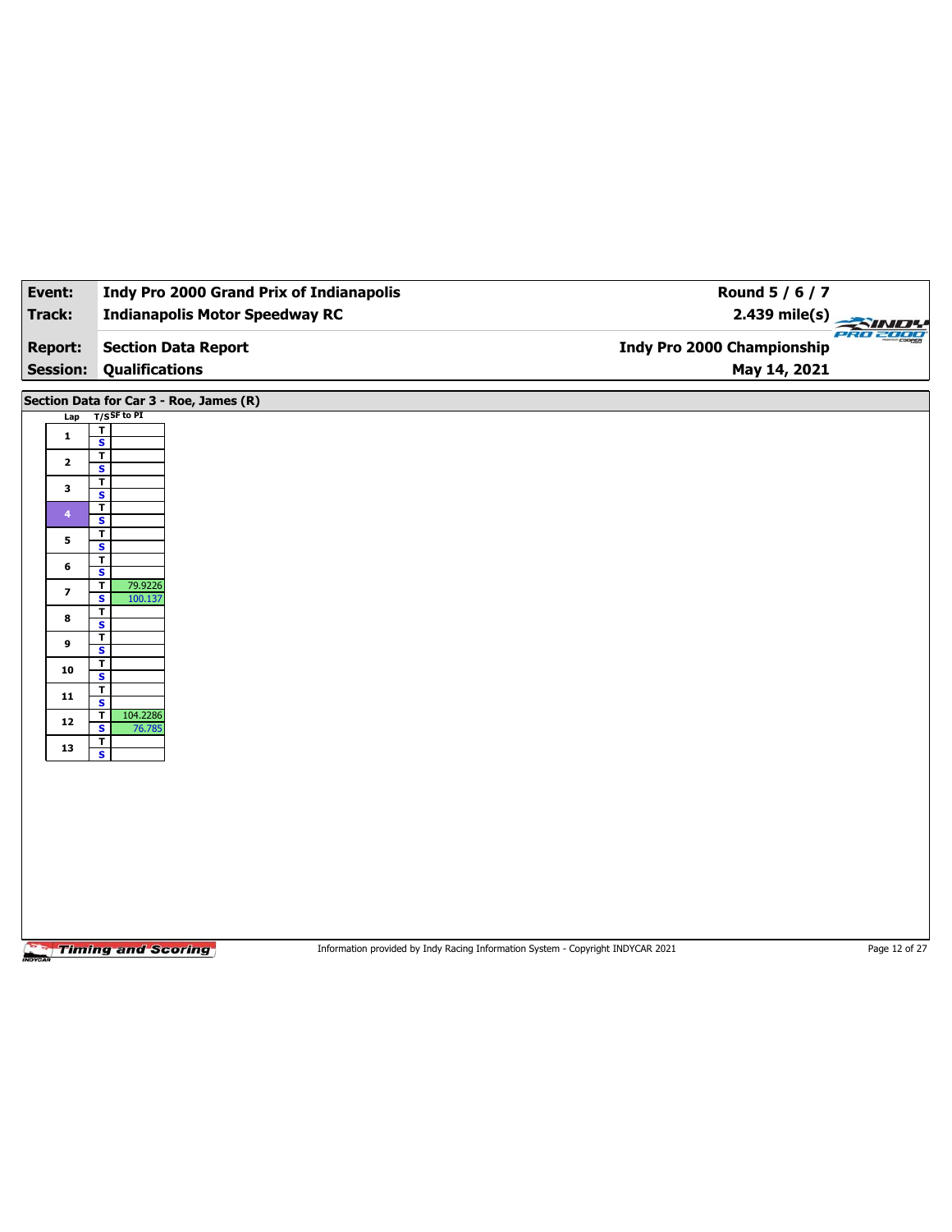| Event:                  | <b>Indy Pro 2000 Grand Prix of Indianapolis</b>    | Round 5 / 6 / 7                                                                 |                 |
|-------------------------|----------------------------------------------------|---------------------------------------------------------------------------------|-----------------|
| Track:                  | <b>Indianapolis Motor Speedway RC</b>              | $2.439$ mile(s)                                                                 |                 |
| <b>Report:</b>          | <b>Section Data Report</b>                         | <b>Indy Pro 2000 Championship</b>                                               | <b>PRO 2000</b> |
| <b>Session:</b>         | <b>Qualifications</b>                              | May 14, 2021                                                                    |                 |
|                         |                                                    |                                                                                 |                 |
|                         | Section Data for Car 3 - Roe, James (R)            |                                                                                 |                 |
| Lap                     | $T/S$ SF to PI<br>$\overline{\mathbf{r}}$          |                                                                                 |                 |
| $\mathbf{1}$            | $\overline{\mathbf{s}}$                            |                                                                                 |                 |
| $\mathbf{2}$            | $\overline{\mathbf{r}}$<br>$\mathbf{s}$            |                                                                                 |                 |
| 3                       | $\mathbf T$                                        |                                                                                 |                 |
|                         | $\overline{\mathbf{s}}$<br>$\overline{\mathsf{r}}$ |                                                                                 |                 |
| $\overline{4}$          | S<br>$\overline{\mathbf{r}}$                       |                                                                                 |                 |
| 5                       | $\overline{\mathbf{s}}$                            |                                                                                 |                 |
| 6                       | $\mathbf T$<br>S                                   |                                                                                 |                 |
| $\overline{\mathbf{z}}$ | 79.9226<br>$\overline{\mathbf{r}}$                 |                                                                                 |                 |
|                         | $\overline{\mathbf{s}}$<br>100.137<br>T            |                                                                                 |                 |
| 8                       | S<br>$\overline{\mathbf{r}}$                       |                                                                                 |                 |
| 9                       | $\overline{\mathbf{s}}$                            |                                                                                 |                 |
| 10                      | $\overline{\mathbf{r}}$<br>S                       |                                                                                 |                 |
| 11                      | $\overline{\mathbf{r}}$<br>$\overline{\mathbf{s}}$ |                                                                                 |                 |
| $12$                    | 104.2286<br>T                                      |                                                                                 |                 |
|                         | $\overline{\mathbf{s}}$<br>76.785<br>$\mathbf T$   |                                                                                 |                 |
| 13                      | $\overline{\mathbf{s}}$                            |                                                                                 |                 |
|                         |                                                    |                                                                                 |                 |
|                         |                                                    |                                                                                 |                 |
|                         |                                                    |                                                                                 |                 |
|                         |                                                    |                                                                                 |                 |
|                         |                                                    |                                                                                 |                 |
|                         |                                                    |                                                                                 |                 |
|                         |                                                    |                                                                                 |                 |
|                         |                                                    |                                                                                 |                 |
|                         | <b>Timing and Scoring</b>                          | Information provided by Indy Racing Information System - Copyright INDYCAR 2021 | Page 12 of 27   |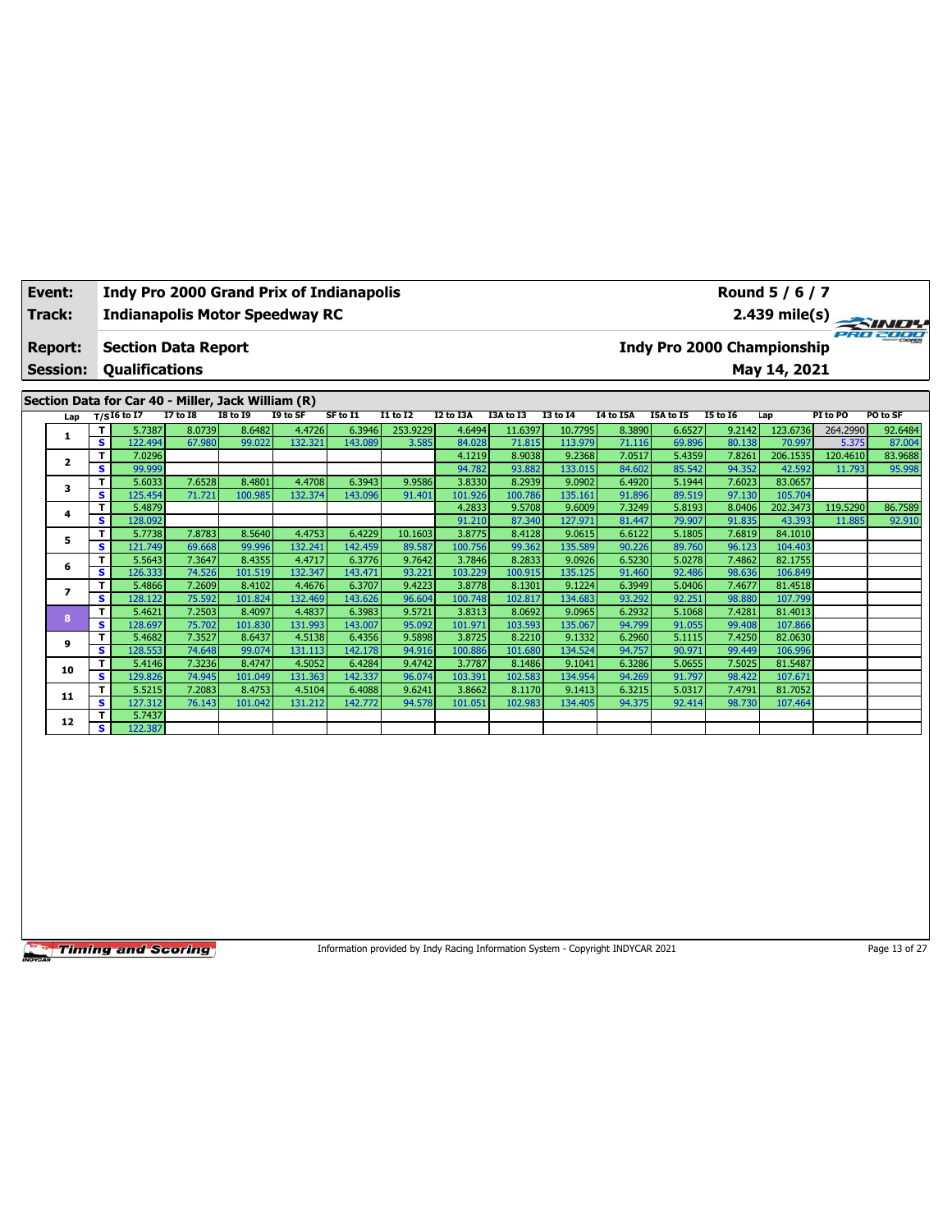| Event:          | <b>Indy Pro 2000 Grand Prix of Indianapolis</b>    | Round 5 / 6 / 7                                                     |
|-----------------|----------------------------------------------------|---------------------------------------------------------------------|
| Track:          | <b>Indianapolis Motor Speedway RC</b>              | 2.439 mile(s) $\rightarrow$                                         |
| <b>Report:</b>  | <b>Section Data Report</b>                         | eno zooc<br><b>HINH COOPER</b><br><b>Indy Pro 2000 Championship</b> |
| <b>Session:</b> | Qualifications                                     | May 14, 2021                                                        |
|                 | Section Data for Car 40 - Miller, Jack William (R) |                                                                     |

|                         |              | Lap $T/SI6$ to I7 | I7 to I8 | I8 to 19 | I9 to SF | SF to I1 | I1 to I2 | I2 to I3A | I3A to I3 | I3 to I4 | I4 to I5A | I5A to I5 | I5 to 16 | Lap      | PI to PO | PO to SF |
|-------------------------|--------------|-------------------|----------|----------|----------|----------|----------|-----------|-----------|----------|-----------|-----------|----------|----------|----------|----------|
| 1                       |              | 5.7387            | 8.0739   | 8.6482   | 4.4726   | 6.3946   | 253.9229 | 4.6494    | 11.6397   | 10.7795  | 8.3890    | 6.6527    | 9.2142   | 123.6736 | 264.2990 | 92.6484  |
|                         | s            | 122.494           | 67.980   | 99.022   | 132.321  | 143.089  | 3.585    | 84.028    | 71.815    | 113.979  | 71.116    | 69.896    | 80.138   | 70.997   | 5.375    | 87.004   |
| $\overline{\mathbf{2}}$ | т            | 7.0296            |          |          |          |          |          | 4.1219    | 8.9038    | 9.2368   | 7.0517    | 5.4359    | 7.8261   | 206.1535 | 120.4610 | 83.9688  |
|                         | s            | 99.999            |          |          |          |          |          | 94.782    | 93.882    | 133.015  | 84.602    | 85.542    | 94.352   | 42.592   | 11.793   | 95.998   |
| 3                       | Т            | 5.6033            | 7.6528   | 8.4801   | 4.4708   | 6.3943   | 9.9586   | 3.8330    | 8.2939    | 9.0902   | 6.4920    | 5.1944    | 7.6023   | 83.0657  |          |          |
|                         | s            | 125.454           | 71.721   | 100.985  | 132.374  | 143.096  | 91.401   | 101.926   | 100.786   | 135.161  | 91.896    | 89.519    | 97.130   | 105.704  |          |          |
| 4                       | т            | 5.4879            |          |          |          |          |          | 4.2833    | 9.5708    | 9.6009   | 7.3249    | 5.8193    | 8.0406   | 202.3473 | 119.5290 | 86.7589  |
|                         | s            | 128.092           |          |          |          |          |          | 91.210    | 87.340    | 127.971  | 81.447    | 79.907    | 91.835   | 43.393   | 11.885   | 92.910   |
| 5                       | Т            | 5.7738            | 7.8783   | 8.5640   | 4.4753   | 6.4229   | 10.1603  | 3.8775    | 8.4128    | 9.0615   | 6.6122    | 5.1805    | 7.6819   | 84.1010  |          |          |
|                         | s            | 121.749           | 69.668   | 99.996   | 132.241  | 142.459  | 89.587   | 100.756   | 99.362    | 135.589  | 90.226    | 89.760    | 96.123   | 104.403  |          |          |
| 6                       | т            | 5.5643            | 7.3647   | 8.4355   | 4.4717   | 6.3776   | 9.7642   | 3.7846    | 8.2833    | 9.0926   | 6.5230    | 5.0278    | 7.4862   | 82.1755  |          |          |
|                         | s            | 126.333           | 74.526   | 101.519  | 132.347  | 143.471  | 93.221   | 103.229   | 100.915   | 135.125  | 91.460    | 92.486    | 98.636   | 106.849  |          |          |
| 7                       | т            | 5.4866            | 7.2609   | 8.4102   | 4.4676   | 6.3707   | 9.4223   | 3.8778    | 8.1301    | 9.1224   | 6.3949    | 5.0406    | 7.4677   | 81.4518  |          |          |
|                         | s            | 128.122           | 75.592   | 101.824  | 132.469  | 143.626  | 96.604   | 100.748   | 102.817   | 134.683  | 93.292    | 92.251    | 98.880   | 107.799  |          |          |
| 8                       | $\mathbf{T}$ | 5.4621            | 7.2503   | 8.4097   | 4.4837   | 6.3983   | 9.5721   | 3.8313    | 8.0692    | 9.0965   | 6.2932    | 5.1068    | 7.4281   | 81.4013  |          |          |
|                         | s            | 128.697           | 75.702   | 101.830  | 131.993  | 143.007  | 95.092   | 101.971   | 103.593   | 135.067  | 94.799    | 91.055    | 99.408   | 107.866  |          |          |
| 9                       | т            | 5.4682            | 7.3527   | 8.6437   | 4.5138   | 6.4356   | 9.5898   | 3.8725    | 8.2210    | 9.1332   | 6.2960    | 5.1115    | 7.4250   | 82.0630  |          |          |
|                         | s            | 128.553           | 74.648   | 99.074   | 131.113  | 142.178  | 94.916   | 100.886   | 101.680   | 134.524  | 94.757    | 90.971    | 99.449   | 106.996  |          |          |
| 10                      | т            | 5.4146            | 7.3236   | 8.4747   | 4.5052   | 6.4284   | 9.4742   | 3.7787    | 8.1486    | 9.1041   | 6.3286    | 5.0655    | 7.5025   | 81.5487  |          |          |
|                         | s            | 129.826           | 74.945   | 101.049  | 131.363  | 142.337  | 96.074   | 103.391   | 102.583   | 134.954  | 94.269    | 91.797    | 98.422   | 107.671  |          |          |
| 11                      | т            | 5.5215            | 7.2083   | 8.4753   | 4.5104   | 6.4088   | 9.6241   | 3.8662    | 8.1170    | 9.1413   | 6.3215    | 5.0317    | 7.4791   | 81.7052  |          |          |
|                         | s            | 127.312           | 76.143   | 101.042  | 131.212  | 142.772  | 94.578   | 101.051   | 102.983   | 134.405  | 94.375    | 92.414    | 98.730   | 107.464  |          |          |
| 12                      | т            | 5.7437            |          |          |          |          |          |           |           |          |           |           |          |          |          |          |
|                         | s            | 122.387           |          |          |          |          |          |           |           |          |           |           |          |          |          |          |

Information provided by Indy Racing Information System - Copyright INDYCAR 2021 Page 13 of 27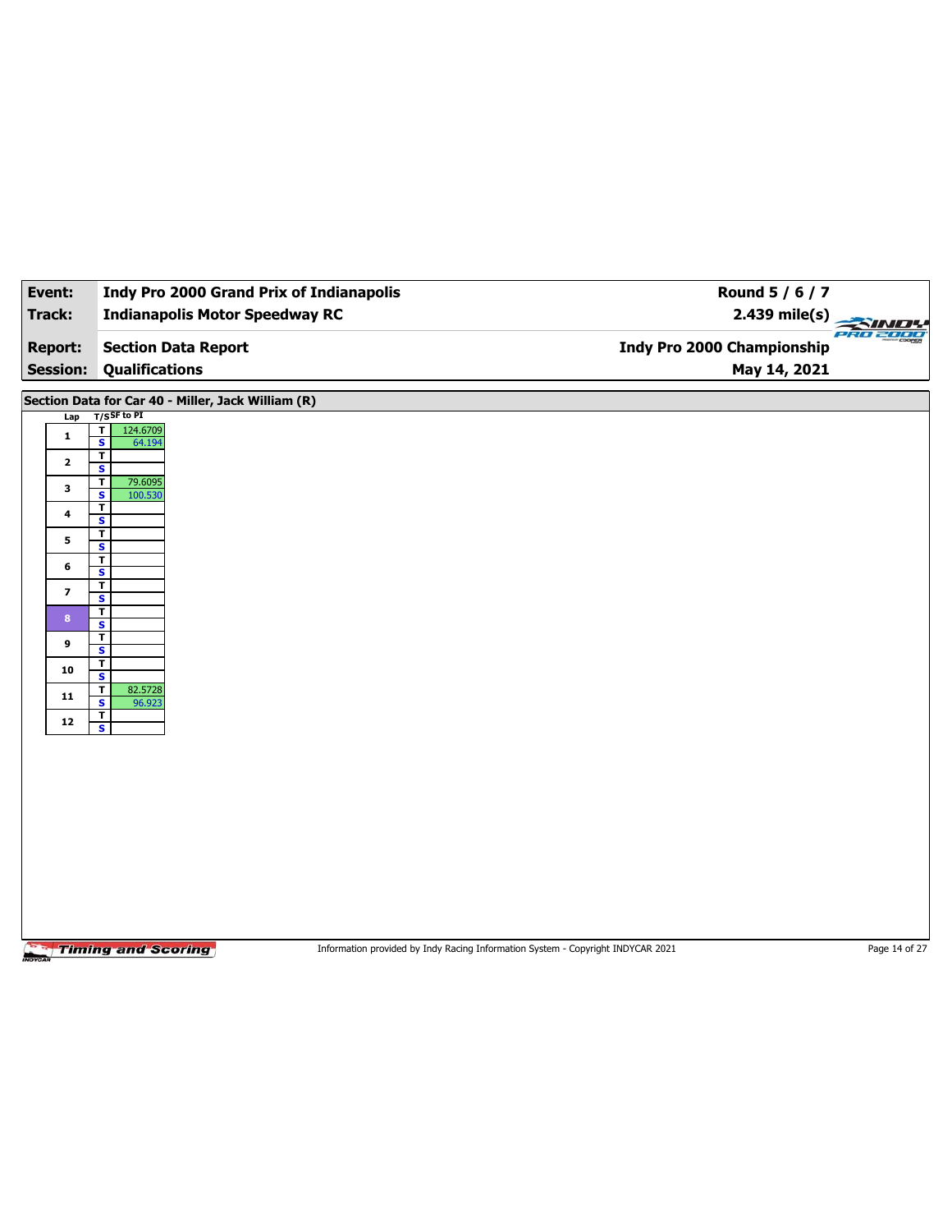| Event:                                                                                                         | <b>Indy Pro 2000 Grand Prix of Indianapolis</b>                                                                                                                                                                                                                                                                                                                                                                                                                                                                                       | Round 5 / 6 / 7                                                                                  |  |
|----------------------------------------------------------------------------------------------------------------|---------------------------------------------------------------------------------------------------------------------------------------------------------------------------------------------------------------------------------------------------------------------------------------------------------------------------------------------------------------------------------------------------------------------------------------------------------------------------------------------------------------------------------------|--------------------------------------------------------------------------------------------------|--|
| Track:                                                                                                         | <b>Indianapolis Motor Speedway RC</b>                                                                                                                                                                                                                                                                                                                                                                                                                                                                                                 | 2.439 mile(s)<br>PRO 2000                                                                        |  |
| <b>Report:</b>                                                                                                 | <b>Section Data Report</b>                                                                                                                                                                                                                                                                                                                                                                                                                                                                                                            | Indy Pro 2000 Championship                                                                       |  |
| <b>Session:</b>                                                                                                | <b>Qualifications</b>                                                                                                                                                                                                                                                                                                                                                                                                                                                                                                                 | May 14, 2021                                                                                     |  |
| Lap<br>$\mathbf{1}$<br>$\mathbf{2}$<br>3<br>4<br>5<br>6<br>$\overline{\mathbf{z}}$<br>8<br>9<br>10<br>11<br>12 | Section Data for Car 40 - Miller, Jack William (R)<br>$T/S$ SF to PI<br>$\overline{\mathbf{r}}$<br>124.6709<br>$\overline{\mathbf{s}}$<br>64.194<br>$\overline{\mathsf{r}}$<br>S<br>$\mathbf T$<br>79.6095<br>$\overline{\mathbf{s}}$<br>100.530<br>T<br>S<br>T<br>$\overline{\mathbf{s}}$<br>$\overline{\mathbf{r}}$<br>S<br>$\mathbf T$<br>$\overline{\mathbf{s}}$<br>T<br>$\mathbf{s}$<br>$\overline{1}$<br>$\overline{\mathbf{s}}$<br>T<br>S<br>T<br>82.5728<br>$\overline{\mathbf{s}}$<br>96.923<br>T<br>$\overline{\mathbf{s}}$ |                                                                                                  |  |
|                                                                                                                |                                                                                                                                                                                                                                                                                                                                                                                                                                                                                                                                       |                                                                                                  |  |
|                                                                                                                | <b>Timing and Scoring</b>                                                                                                                                                                                                                                                                                                                                                                                                                                                                                                             | Information provided by Indy Racing Information System - Copyright INDYCAR 2021<br>Page 14 of 27 |  |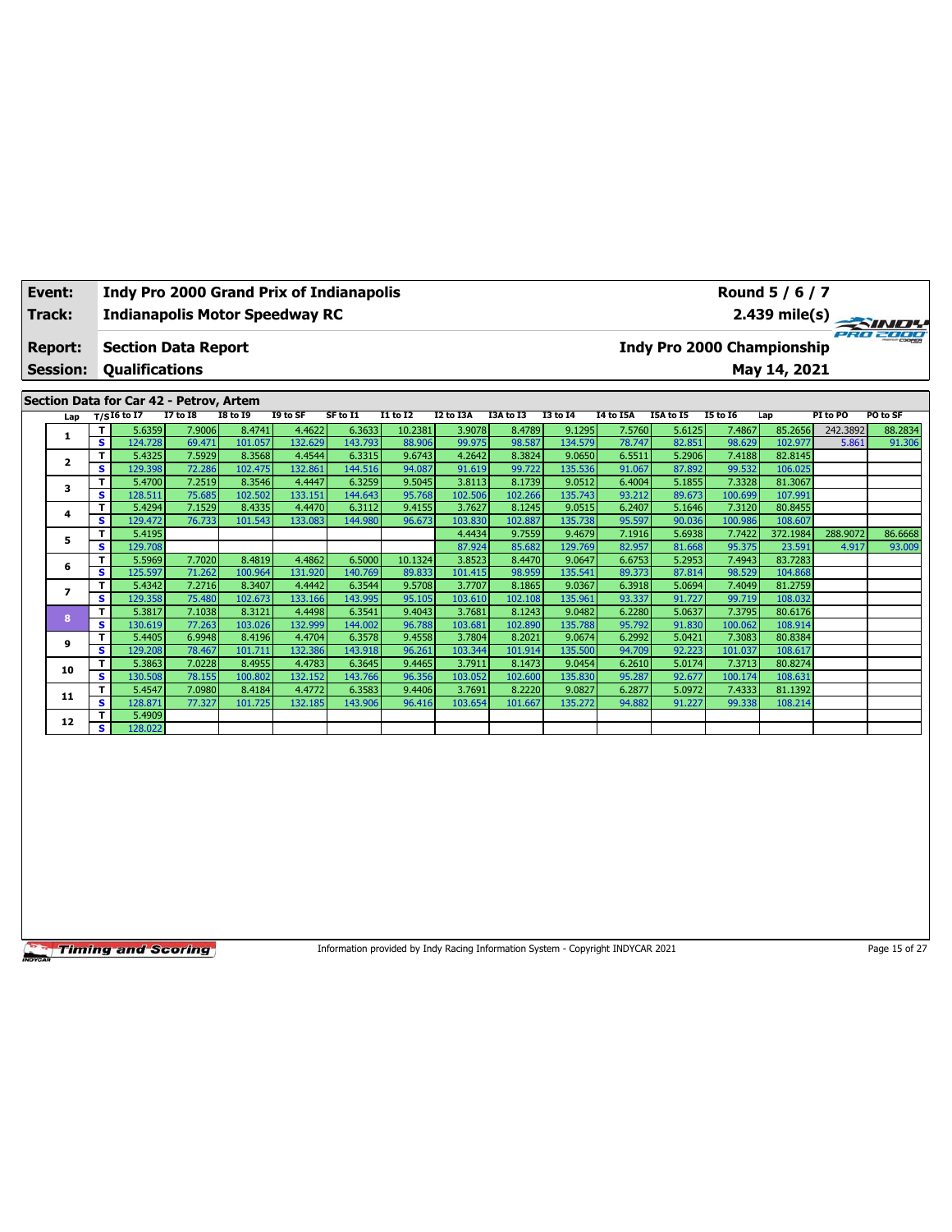| Event:                            |                                                     | <b>Indy Pro 2000 Grand Prix of Indianapolis</b> |                             |               |          |                 |                  |                  |                                           |                          |                                   |                 | Round 5 / 6 / 7 |                         |                               |
|-----------------------------------|-----------------------------------------------------|-------------------------------------------------|-----------------------------|---------------|----------|-----------------|------------------|------------------|-------------------------------------------|--------------------------|-----------------------------------|-----------------|-----------------|-------------------------|-------------------------------|
| Track:                            |                                                     | <b>Indianapolis Motor Speedway RC</b>           |                             |               |          |                 |                  |                  |                                           |                          |                                   |                 |                 | $2.439 \text{ mile(s)}$ |                               |
| <b>Report:</b><br><b>Session:</b> | <b>Section Data Report</b><br><b>Oualifications</b> |                                                 |                             |               |          |                 |                  |                  |                                           |                          | <b>Indy Pro 2000 Championship</b> |                 | May 14, 2021    |                         | PRO 2000                      |
|                                   | Section Data for Car 42 - Petrov, Artem             |                                                 |                             |               |          |                 |                  |                  |                                           |                          |                                   |                 |                 |                         |                               |
| Lap                               | $T/S$ I6 to I7                                      | <b>I7 to I8</b>                                 | <b>I8 to I9</b>             | I9 to SF      | SF to I1 | <b>I1 to I2</b> | <b>I2 to I3A</b> | <b>I3A to I3</b> | <b>I3 to 14</b>                           | I4 to I5A                | <b>I5A to I5</b>                  | <b>I5 to I6</b> | Lap             | PI to PO                | PO to SF                      |
|                                   | 5.6359                                              | 7.9006                                          | 8.4741                      | 4.4622        | 6.3633   | 10.2381         | 3.9078           | 8.4789           | 9.1295                                    | 7.5760                   | 5.6125                            | 7.4867          | 85.2656         | 242.3892                | 88.2834                       |
|                                   | 12.52                                               | $\sim$ $\sim$ $\sim$                            | $\sim$ $\sim$ $\sim$ $\sim$ | $\sim$ $\sim$ | 1.42.722 | 00000           | 000221           | $00 \text{ rad}$ | $\sim$ $\sim$ $\sim$ $\sim$ $\sim$ $\sim$ | $\overline{\phantom{a}}$ | 02.051                            | 00.022          | 102.07          | <b>E</b> ocal           | 0 <sup>2</sup> 0 <sup>2</sup> |

|    | s. | 124.7281 | 69.471 | 101.057 | 132.629 | 143.793 | 88.906  | 99.975  | 98.587  | 134.579 | 78.747 | 82.851 | 98.629  | 102.977  | 5.861    | 91.306  |
|----|----|----------|--------|---------|---------|---------|---------|---------|---------|---------|--------|--------|---------|----------|----------|---------|
| 2  | T. | 5.4325   | 7.5929 | 8.3568  | 4.4544  | 6.3315  | 9.6743  | 4.2642  | 8.3824  | 9.0650  | 6.5511 | 5.2906 | 7.4188  | 82.8145  |          |         |
|    | s  | 129.398  | 72.286 | 102.475 | 132.861 | 144.516 | 94.087  | 91.619  | 99.722  | 135.536 | 91.067 | 87.892 | 99.532  | 106.025  |          |         |
| 3  | T. | 5.4700   | 7.2519 | 8.3546  | 4.4447  | 6.3259  | 9.5045  | 3.8113  | 8.1739  | 9.0512  | 6,4004 | 5.1855 | 7.3328  | 81.3067  |          |         |
|    | s. | 128.511  | 75.685 | 102.502 | 133.151 | 144.643 | 95.768  | 102.506 | 102.266 | 135.743 | 93.212 | 89.673 | 100.699 | 107.991  |          |         |
| 4  | T. | 5.4294   | 7.1529 | 8.4335  | 4.4470  | 6.3112  | 9.4155  | 3.7627  | 8.1245  | 9.0515  | 6.2407 | 5.1646 | 7.3120  | 80.8455  |          |         |
|    | s. | 129.472  | 76.733 | 101.543 | 133.083 | 144.980 | 96.673  | 103.830 | 102.887 | 135.738 | 95.597 | 90.036 | 100.986 | 108.607  |          |         |
| 5  | т  | 5.4195   |        |         |         |         |         | 4.4434  | 9.7559  | 9.4679  | 7.1916 | 5.6938 | 7.7422  | 372.1984 | 288.9072 | 86.6668 |
|    | s. | 129.708  |        |         |         |         |         | 87.924  | 85.682  | 129.769 | 82.957 | 81.668 | 95.375  | 23.591   | 4.917    | 93.009  |
| 6  | T. | 5.5969   | 7.7020 | 8.4819  | 4.4862  | 6.5000  | 10.1324 | 3.8523  | 8.4470  | 9.0647  | 6.6753 | 5.2953 | 7.4943  | 83.7283  |          |         |
|    | s. | 125.597  | 71.262 | 100.964 | 131.920 | 140.769 | 89.833  | 101.415 | 98.959  | 135.541 | 89.373 | 87.814 | 98.529  | 104.868  |          |         |
|    | T. | 5.4342   | 7.2716 | 8.3407  | 4.4442  | 6.3544  | 9.5708  | 3.7707  | 8.1865  | 9.0367  | 6.3918 | 5.0694 | 7.4049  | 81.2759  |          |         |
|    | s. | 129.358  | 75.480 | 102.673 | 133.166 | 143.995 | 95.105  | 103.610 | 102.108 | 135.961 | 93.337 | 91.727 | 99.719  | 108.032  |          |         |
| 8  | T. | 5.3817   | 7.1038 | 8.3121  | 4.4498  | 6.3541  | 9.4043  | 3.7681  | 8.1243  | 9.0482  | 6.2280 | 5.0637 | 7.3795  | 80.6176  |          |         |
|    | s  | 130.619  | 77.263 | 103.026 | 132.999 | 144.002 | 96.788  | 103.681 | 102.890 | 135.788 | 95.792 | 91.830 | 100.062 | 108.914  |          |         |
| 9  | T. | 5.4405   | 6.9948 | 8.4196  | 4.4704  | 6.3578  | 9.4558  | 3.7804  | 8.2021  | 9.0674  | 6.2992 | 5.0421 | 7.3083  | 80.8384  |          |         |
|    | s  | 129.208  | 78.467 | 101.711 | 132.386 | 143.918 | 96.261  | 103.344 | 101.914 | 135.500 | 94.709 | 92.223 | 101.037 | 108.617  |          |         |
| 10 | T. | 5.3863   | 7.0228 | 8.4955  | 4.4783  | 6.3645  | 9.4465  | 3.7911  | 8.1473  | 9.0454  | 6.2610 | 5.0174 | 7.3713  | 80.8274  |          |         |
|    | s. | 130.508  | 78.155 | 100.802 | 132.152 | 143.766 | 96.356  | 103.052 | 102.600 | 135.830 | 95.287 | 92.677 | 100.174 | 108.631  |          |         |
| 11 | T. | 5.4547   | 7.0980 | 8.4184  | 4.4772  | 6.3583  | 9.4406  | 3.7691  | 8.2220  | 9.0827  | 6.2877 | 5.0972 | 7.4333  | 81.1392  |          |         |
|    | s. | 128.871  | 77.327 | 101.725 | 132.185 | 143.906 | 96.416  | 103.654 | 101.667 | 135.272 | 94.882 | 91.227 | 99.338  | 108.214  |          |         |
| 12 | T. | 5.4909   |        |         |         |         |         |         |         |         |        |        |         |          |          |         |
|    | s. | 128.022  |        |         |         |         |         |         |         |         |        |        |         |          |          |         |

Information provided by Indy Racing Information System - Copyright INDYCAR 2021 Page 15 of 27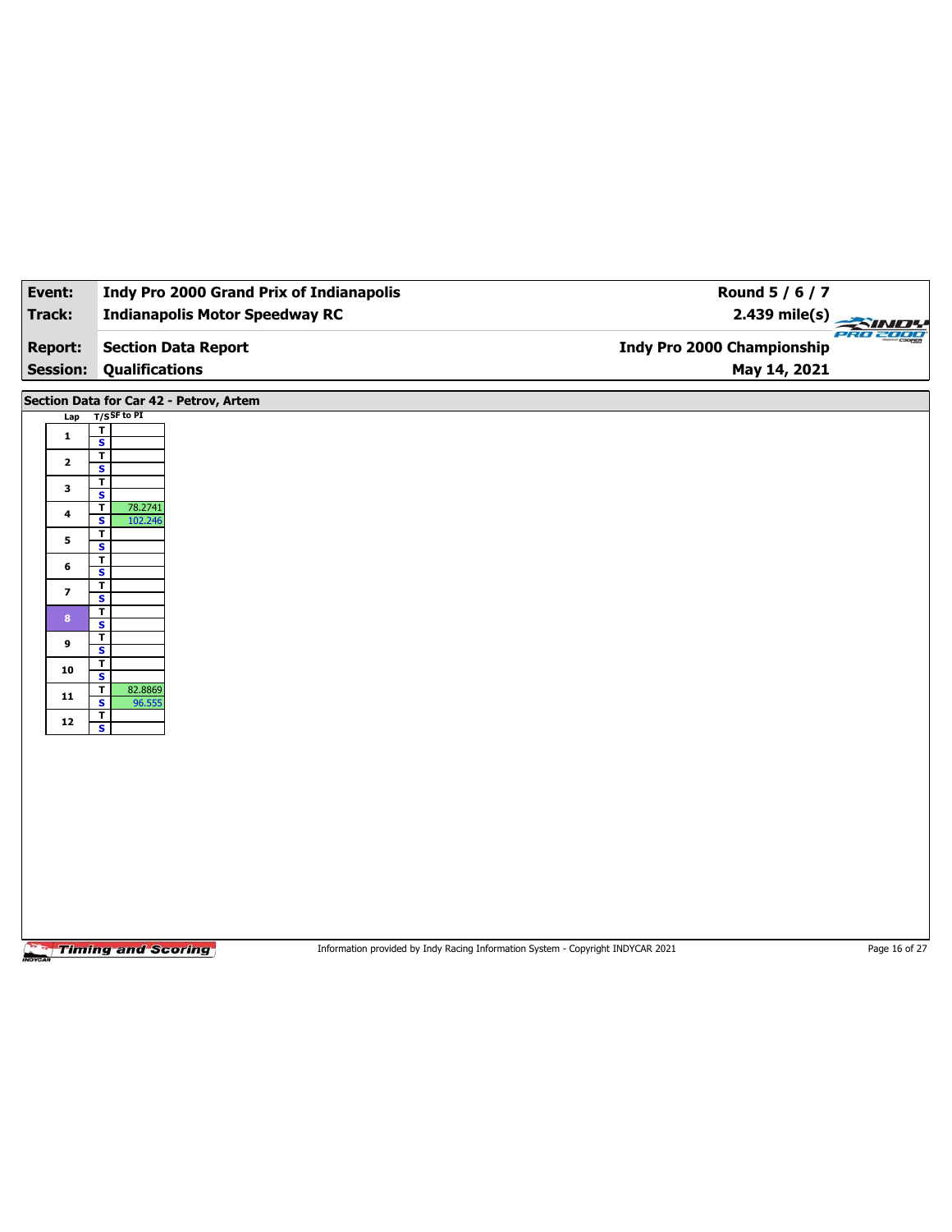| Event:                            | <b>Indy Pro 2000 Grand Prix of Indianapolis</b>                                                              | Round 5 / 6 / 7                                   |               |
|-----------------------------------|--------------------------------------------------------------------------------------------------------------|---------------------------------------------------|---------------|
| Track:                            | <b>Indianapolis Motor Speedway RC</b>                                                                        | $2.439$ mile(s)                                   | <b>SIND!</b>  |
| <b>Report:</b><br><b>Session:</b> | <b>Section Data Report</b><br><b>Qualifications</b>                                                          | <b>Indy Pro 2000 Championship</b><br>May 14, 2021 | PRO 2000      |
|                                   |                                                                                                              |                                                   |               |
|                                   | Section Data for Car 42 - Petrov, Artem                                                                      |                                                   |               |
| Lap                               | $T/S$ SF to PI<br>$\overline{\mathbf{r}}$                                                                    |                                                   |               |
| $\mathbf{1}$                      | $\overline{\mathbf{s}}$                                                                                      |                                                   |               |
| $\mathbf{2}$                      | $\overline{\mathbf{r}}$<br>$\overline{\mathbf{s}}$                                                           |                                                   |               |
| 3                                 | $\overline{1}$                                                                                               |                                                   |               |
| 4                                 | $\overline{\mathbf{s}}$<br>$\overline{\mathbf{r}}$<br>78.2741                                                |                                                   |               |
|                                   | $\overline{\mathbf{s}}$<br>102.246<br>$\overline{\mathbf{r}}$                                                |                                                   |               |
| 5                                 | $\overline{\mathbf{s}}$                                                                                      |                                                   |               |
| 6                                 | T<br>S                                                                                                       |                                                   |               |
| $\overline{\phantom{a}}$          | $\overline{\mathbf{r}}$<br>$\overline{\mathbf{s}}$                                                           |                                                   |               |
| 8 <sub>1</sub>                    | $\overline{\mathbf{r}}$                                                                                      |                                                   |               |
|                                   | S<br>$\mathbf T$                                                                                             |                                                   |               |
| 9                                 | $\overline{\mathbf{s}}$                                                                                      |                                                   |               |
| 10                                | $\mathbf T$<br>S                                                                                             |                                                   |               |
| ${\bf 11}$                        | $\mathbf T$<br>82.8869<br>$\overline{\mathbf{s}}$<br>96.555                                                  |                                                   |               |
| ${\bf 12}$                        | T                                                                                                            |                                                   |               |
|                                   | $\mathbf{s}$                                                                                                 |                                                   |               |
|                                   |                                                                                                              |                                                   |               |
|                                   |                                                                                                              |                                                   |               |
|                                   |                                                                                                              |                                                   |               |
|                                   |                                                                                                              |                                                   |               |
|                                   |                                                                                                              |                                                   |               |
|                                   |                                                                                                              |                                                   |               |
|                                   |                                                                                                              |                                                   |               |
|                                   |                                                                                                              |                                                   |               |
|                                   |                                                                                                              |                                                   |               |
|                                   | <b>Timing and Scoring</b><br>Information provided by Indy Racing Information System - Copyright INDYCAR 2021 |                                                   | Page 16 of 27 |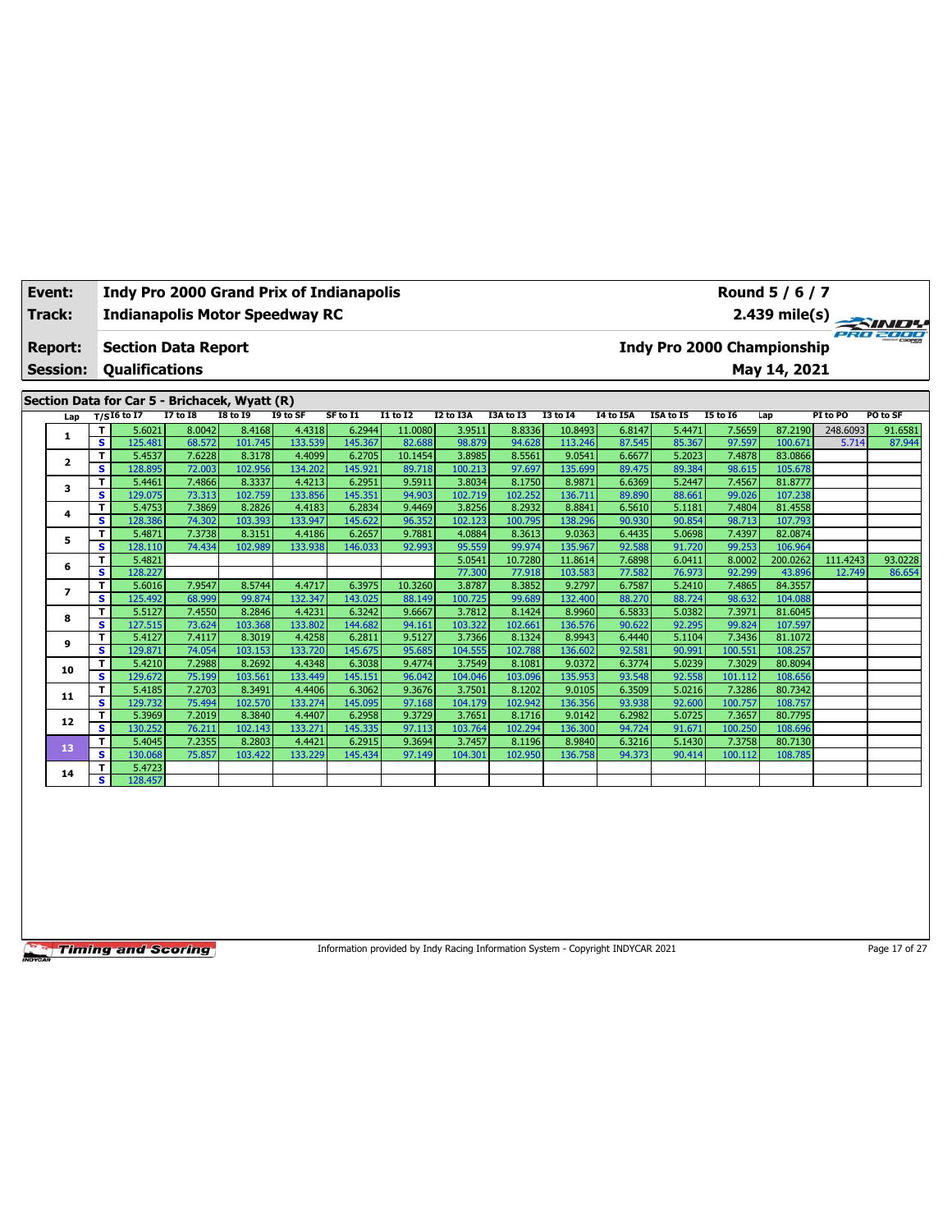| Event:                            |    |                       |                            | <b>Indy Pro 2000 Grand Prix of Indianapolis</b> |          |          |                 |           |           |                 |                  |           |                 | Round 5 / 6 / 7                            |          |                         |
|-----------------------------------|----|-----------------------|----------------------------|-------------------------------------------------|----------|----------|-----------------|-----------|-----------|-----------------|------------------|-----------|-----------------|--------------------------------------------|----------|-------------------------|
| Track:                            |    |                       |                            | <b>Indianapolis Motor Speedway RC</b>           |          |          |                 |           |           |                 |                  |           |                 |                                            |          | $2.439 \text{ mile(s)}$ |
| <b>Report:</b><br><b>Session:</b> |    | <b>Qualifications</b> | <b>Section Data Report</b> |                                                 |          |          |                 |           |           |                 |                  |           |                 | Indy Pro 2000 Championship<br>May 14, 2021 |          | PRO 2000                |
|                                   |    |                       |                            |                                                 |          |          |                 |           |           |                 |                  |           |                 |                                            |          |                         |
|                                   |    |                       |                            |                                                 |          |          |                 |           |           |                 |                  |           |                 |                                            |          |                         |
|                                   |    |                       |                            | Section Data for Car 5 - Brichacek, Wyatt (R)   |          |          |                 |           |           |                 |                  |           |                 |                                            |          |                         |
| Lap                               |    | T/SI6 to I7           | I7 to I8                   | <b>I8 to I9</b>                                 | I9 to SF | SF to I1 | <b>I1 to I2</b> | I2 to I3A | I3A to I3 | <b>I3 to 14</b> | <b>I4 to I5A</b> | I5A to I5 | <b>I5 to 16</b> | Lap                                        | PI to PO | PO to SF                |
|                                   |    | 5.6021                | 8.0042                     | 8.4168                                          | 4.4318   | 6.2944   | 11.0080         | 3.9511    | 8.8336    | 10.8493         | 6.8147           | 5.4471    | 7.5659          | 87.2190                                    | 248.6093 | 91.6581                 |
|                                   | s. | 125.481               | 68.572                     | 101.745                                         | 133.539  | 145.367  | 82.688          | 98.879    | 94.628    | 113.246         | 87.545           | 85.367    | 97.597          | 100.671                                    | 5.714    | 87.944                  |
|                                   |    | 5.4537                | 7.6228                     | 8.3178                                          | 4.4099   | 6.2705   | 10.1454         | 3.8985    | 8.5561    | 9.0541          | 6.6677           | 5.2023    | 7.4878          | 83.0866                                    |          |                         |
| $\overline{\mathbf{2}}$           | s. | 128.895               | 72.003                     | 102.956                                         | 134.202  | 145.921  | 89.718          | 100.213   | 97.697    | 135.699         | 89.475           | 89.384    | 98.615          | 105.678                                    |          |                         |
|                                   |    | 5.4461                | 7.4866                     | 8.3337                                          | 4.4213   | 6.2951   | 9.5911          | 3.8034    | 8.1750    | 8.9871          | 6.6369           | 5.2447    | 7.4567          | 81.8777                                    |          |                         |
| 3                                 | s. | 129.075               | 73.313                     | 102.759                                         | 133.856  | 145.351  | 94.903          | 102.719   | 102.252   | 136.711         | 89.890           | 88.661    | 99.026          | 107.238                                    |          |                         |
|                                   | т. | 5.4753                | 7.3869                     | 8.2826                                          | 4.4183   | 6.2834   | 9.4469          | 3.8256    | 8.2932    | 8.8841          | 6.5610           | 5.1181    | 7.4804          | 81.4558                                    |          |                         |

| T                                                   | 5.4753  |        |         | 4.4183                                                                                           |                                                                                           | 9.4469  | 3.82561                                                                                                                     | 8.2932           |                  |        | 5.1181                                                                                                                                                                         |                                                                                                                                                    |                  |                            |                    |
|-----------------------------------------------------|---------|--------|---------|--------------------------------------------------------------------------------------------------|-------------------------------------------------------------------------------------------|---------|-----------------------------------------------------------------------------------------------------------------------------|------------------|------------------|--------|--------------------------------------------------------------------------------------------------------------------------------------------------------------------------------|----------------------------------------------------------------------------------------------------------------------------------------------------|------------------|----------------------------|--------------------|
| s                                                   | 128.386 | 74.302 |         | 133.947                                                                                          |                                                                                           | 96.352  | 102.123                                                                                                                     | 100.795          |                  |        | 90.854                                                                                                                                                                         | 98.713                                                                                                                                             | 107.793          |                            |                    |
| т                                                   | 5.4871  |        | 8.3151  | 4.4186                                                                                           | 6.2657                                                                                    | 9.7881  | 4.0884                                                                                                                      | 8.3613           |                  |        | 5.0698                                                                                                                                                                         | 7.4397                                                                                                                                             | 82.0874          |                            |                    |
| s                                                   | 128.110 |        |         | 133.938                                                                                          |                                                                                           |         | 95.559                                                                                                                      | 99.974           | 135.967          |        | 91.720                                                                                                                                                                         | 99.253                                                                                                                                             | 106.964          |                            |                    |
| т                                                   | 5.4821  |        |         |                                                                                                  |                                                                                           |         | 5.0541                                                                                                                      | 10.7280          |                  |        | 6.0411                                                                                                                                                                         | 8.0002                                                                                                                                             | 200.0262         | 111.4243                   | 93.0228            |
| s                                                   | 128.227 |        |         |                                                                                                  |                                                                                           |         | 77.300                                                                                                                      | 77.918           |                  | 77.582 | 76.973                                                                                                                                                                         | 92.299                                                                                                                                             | 43.896           | 12.749                     | 86.654             |
| T                                                   | 5.6016  | 7.9547 | 8.5744  | 4.4717                                                                                           | 6.3975                                                                                    | 10.3260 | 3.8787                                                                                                                      | 8.3852           |                  | 6.7587 | 5.2410                                                                                                                                                                         | 7.4865                                                                                                                                             | 84.3557          |                            |                    |
| s                                                   | 125.492 |        | 99.874  | 132.347                                                                                          |                                                                                           | 88.149  | 100.725                                                                                                                     | 99.689           |                  |        | 88.724                                                                                                                                                                         | 98.632                                                                                                                                             | 104.088          |                            |                    |
| T.                                                  | 5.5127  |        |         | 4.4231                                                                                           |                                                                                           | 9.6667  | 3.7812                                                                                                                      | 8.1424           |                  |        | 5.0382                                                                                                                                                                         | 7.3971                                                                                                                                             |                  |                            |                    |
| s                                                   | 127.515 | 73.624 | 103.368 | 133.802                                                                                          | 144.682                                                                                   | 94.161  | 103.322                                                                                                                     | 102.661          |                  | 90.622 | 92.295                                                                                                                                                                         | 99.824                                                                                                                                             | 107.597          |                            |                    |
| т                                                   | 5.4127  |        |         | 4.4258                                                                                           | 6.2811                                                                                    | 9.5127  |                                                                                                                             | 8.1324           |                  |        |                                                                                                                                                                                |                                                                                                                                                    | 81.1072          |                            |                    |
| s                                                   | 129.871 | 74.054 | 103.153 | 133.720                                                                                          |                                                                                           | 95.685  | 104.555                                                                                                                     | 102.788          | 136.602          | 92.581 | 90.991                                                                                                                                                                         | 100.551                                                                                                                                            | 108.257          |                            |                    |
| т                                                   | 5.4210  |        |         | 4.4348                                                                                           |                                                                                           | 9.4774  |                                                                                                                             | 8.1081           |                  |        | 5.0239                                                                                                                                                                         |                                                                                                                                                    | 80.8094          |                            |                    |
| s                                                   | 129.672 | 75.199 | 103.561 | 133.449                                                                                          | 145.151                                                                                   | 96.042  | 104.046                                                                                                                     | 103.096          | 135.953          | 93.548 | 92.558                                                                                                                                                                         | 101.112                                                                                                                                            | 108.656          |                            |                    |
| T                                                   | 5.4185  |        | 8.3491  | 4.4406                                                                                           | 6.3062                                                                                    | 9.3676  | 3.7501                                                                                                                      | 8.1202           |                  |        | 5.0216                                                                                                                                                                         | 7.3286                                                                                                                                             | 80.7342          |                            |                    |
| s.                                                  | 129.732 | 75.494 |         | 133.274                                                                                          |                                                                                           | 97.168  | 104.179                                                                                                                     | 102.942          |                  |        | 92.600                                                                                                                                                                         | 100.757                                                                                                                                            | 108.757          |                            |                    |
| T                                                   | 5.3969  |        |         | 4.4407                                                                                           |                                                                                           | 9.3729  | 3.7651                                                                                                                      | 8.1716           |                  |        | 5.0725                                                                                                                                                                         | 7.3657                                                                                                                                             | 80.7795          |                            |                    |
| s                                                   | 130.252 | 76.211 | 102.143 | 133.271                                                                                          |                                                                                           | 97.113  | 103.764                                                                                                                     | 102.294          |                  |        | 91.671                                                                                                                                                                         | 100.250                                                                                                                                            | 108.696          |                            |                    |
| т                                                   | 5.4045  |        |         | 4.4421                                                                                           |                                                                                           | 9.3694  | 3.7457                                                                                                                      | 8.1196           |                  |        | 5.1430                                                                                                                                                                         | 7.3758                                                                                                                                             | 80.7130          |                            |                    |
| s.                                                  | 130.068 | 75.857 | 103.422 | 133.229                                                                                          |                                                                                           |         | 104.301                                                                                                                     | 102.950          |                  |        |                                                                                                                                                                                | 100.112                                                                                                                                            | 108.785          |                            |                    |
| T                                                   | 5.4723  |        |         |                                                                                                  |                                                                                           |         |                                                                                                                             |                  |                  |        |                                                                                                                                                                                |                                                                                                                                                    |                  |                            |                    |
| s.                                                  | 128.457 |        |         |                                                                                                  |                                                                                           |         |                                                                                                                             |                  |                  |        |                                                                                                                                                                                |                                                                                                                                                    |                  |                            |                    |
| 4<br>5<br>6<br>8<br>9<br>10<br>11<br>12<br>13<br>14 |         |        |         | 7.3869<br>7.3738<br>74.434<br>68.999<br>7.4550<br>7.4117<br>7.2988<br>7.2703<br>7.2019<br>7.2355 | 8.2826<br>103.393<br>102.989<br>8.2846<br>8.3019<br>8.2692<br>102.570<br>8.3840<br>8.2803 |         | 6.2834<br>145.622<br>146.033<br>143.025<br>6.3242<br>145.675<br>6.3038<br>145.095<br>6.2958<br>145.335<br>6.2915<br>145.434 | 92.993<br>97.149 | 3.7366<br>3.7549 |        | 8.8841<br>138.296<br>9.0363<br>11.8614<br>103.583<br>9.2797<br>132.400<br>8.9960<br>136.576<br>8.9943<br>9.0372<br>9.0105<br>136.356<br>9.0142<br>136.300<br>8.9840<br>136.758 | 6.5610<br>90.930<br>6.4435<br>92.588<br>7.6898<br>88.270<br>6.5833<br>6.4440<br>6.3774<br>6.3509<br>93.938<br>6.2982<br>94.724<br>6.3216<br>94.373 | 5.1104<br>90.414 | 7.4804<br>7.3436<br>7.3029 | 81.4558<br>81.6045 |

Information provided by Indy Racing Information System - Copyright INDYCAR 2021 Page 17 of 27

┑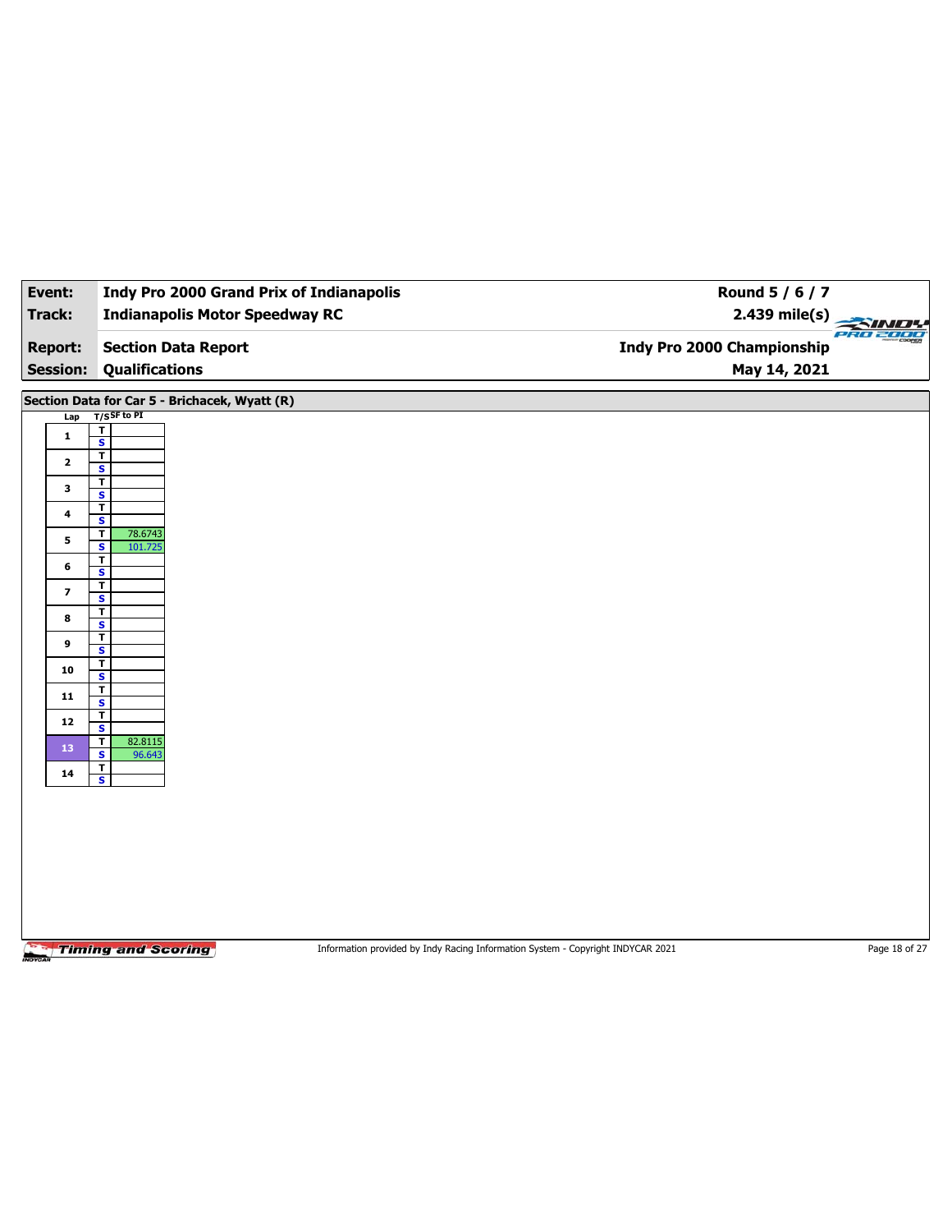| Event:                  | <b>Indy Pro 2000 Grand Prix of Indianapolis</b>                                                              | Round 5 / 6 / 7                   |                 |
|-------------------------|--------------------------------------------------------------------------------------------------------------|-----------------------------------|-----------------|
| <b>Track:</b>           | <b>Indianapolis Motor Speedway RC</b>                                                                        | $2.439$ mile(s)<br><b>SIN</b>     | <b>PRO 2000</b> |
| <b>Report:</b>          | <b>Section Data Report</b>                                                                                   | <b>Indy Pro 2000 Championship</b> |                 |
| <b>Session:</b>         | <b>Qualifications</b>                                                                                        | May 14, 2021                      |                 |
|                         | Section Data for Car 5 - Brichacek, Wyatt (R)                                                                |                                   |                 |
| Lap                     | $T/S$ SF to PI                                                                                               |                                   |                 |
| $\mathbf{1}$            | $\mathbf T$<br>$\overline{\mathbf{s}}$                                                                       |                                   |                 |
| $\mathbf{2}$            | $\overline{\mathbf{r}}$                                                                                      |                                   |                 |
|                         | $\mathbf{s}$<br>T                                                                                            |                                   |                 |
| 3                       | $\overline{\mathbf{s}}$<br>T                                                                                 |                                   |                 |
| 4                       | S                                                                                                            |                                   |                 |
| 5                       | $\mathbf{T}$<br>78.6743<br>$\overline{\mathbf{s}}$<br>101.725                                                |                                   |                 |
| 6                       | T                                                                                                            |                                   |                 |
|                         | S<br>T                                                                                                       |                                   |                 |
| $\overline{\mathbf{z}}$ | $\overline{\mathbf{s}}$<br>T                                                                                 |                                   |                 |
| 8                       | S                                                                                                            |                                   |                 |
| 9                       | $\mathbf T$<br>$\overline{\mathbf{s}}$                                                                       |                                   |                 |
| 10                      | T                                                                                                            |                                   |                 |
| 11                      | $\mathbf{s}$<br>T                                                                                            |                                   |                 |
|                         | $\overline{\mathbf{s}}$<br>T                                                                                 |                                   |                 |
| 12                      | $\mathbf{s}$<br>$\mathbf T$<br>82.8115                                                                       |                                   |                 |
| 13                      | $\overline{\mathbf{s}}$<br>96.643                                                                            |                                   |                 |
| 14                      | T<br>$\mathbf{s}$                                                                                            |                                   |                 |
|                         |                                                                                                              |                                   |                 |
|                         |                                                                                                              |                                   |                 |
|                         |                                                                                                              |                                   |                 |
|                         |                                                                                                              |                                   |                 |
|                         |                                                                                                              |                                   |                 |
|                         |                                                                                                              |                                   |                 |
|                         |                                                                                                              |                                   |                 |
|                         | <b>Timing and Scoring</b><br>Information provided by Indy Racing Information System - Copyright INDYCAR 2021 |                                   | Page 18 of 27   |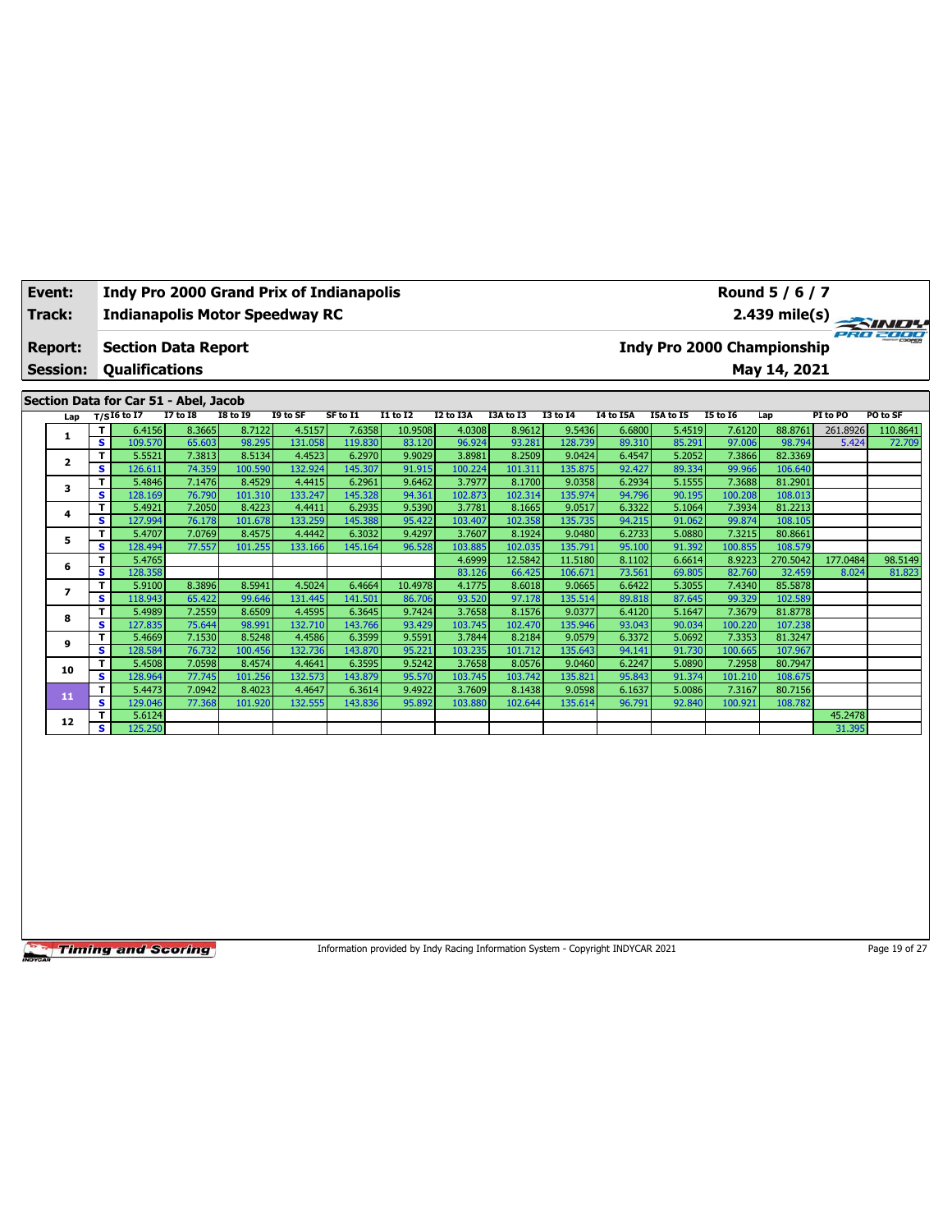| Event:                            |      |                       |                                                   | <b>Indy Pro 2000 Grand Prix of Indianapolis</b> |          |          |                 |           |                                                               |                 | Round 5 / 6 / 7 |           |                 |         |          |          |  |  |  |
|-----------------------------------|------|-----------------------|---------------------------------------------------|-------------------------------------------------|----------|----------|-----------------|-----------|---------------------------------------------------------------|-----------------|-----------------|-----------|-----------------|---------|----------|----------|--|--|--|
| Track:                            |      |                       |                                                   | <b>Indianapolis Motor Speedway RC</b>           |          |          |                 |           | 2.439 mile(s)                                                 |                 |                 |           |                 |         |          |          |  |  |  |
| <b>Report:</b><br><b>Session:</b> |      | <b>Oualifications</b> | <b>Section Data Report</b>                        |                                                 |          |          |                 |           | PRO 2000<br><b>Indy Pro 2000 Championship</b><br>May 14, 2021 |                 |                 |           |                 |         |          |          |  |  |  |
|                                   |      |                       | Section Data for Car 51 - Abel, Jacob<br>I7 to I8 | <b>I8 to I9</b>                                 | I9 to SF | SF to I1 | <b>I1 to I2</b> | I2 to I3A | I3A to I3                                                     | <b>I3 to 14</b> | I4 to I5A       | I5A to I5 | <b>I5 to I6</b> |         | PI to PO | PO to SF |  |  |  |
| Lap                               |      | T/SI6 to I7           |                                                   |                                                 |          |          |                 |           |                                                               |                 |                 |           |                 | Lap     |          |          |  |  |  |
|                                   |      | 6.4156                | 8.3665                                            | 8.7122                                          | 4.5157   | 7.6358   | 10.9508         | 4.0308    | 8.9612                                                        | 9.5436          | 6.6800          | 5.4519    | 7.6120          | 88.8761 | 261.8926 | 110.8641 |  |  |  |
| л.                                | -S I | 109.570               | 65.603                                            | 98.295                                          | 131.058  | 119.830  | 83.120          | 96.924    | 93.281                                                        | 128.739         | 89.310          | 85.291    | 97.006          | 98.794  | 5.424    | 72.709   |  |  |  |
|                                   | тI   | 55521                 | 7.3813                                            | 85134                                           | 4 4523   | 6.2970   | la con a        | 3.8981    | 8.2509                                                        | $Q$ 0424        | 64547           | 5.2052    | 13866           | 82.3369 |          |          |  |  |  |

| 2  |   | 5.5521  | 7.3813 | 8.5134  | 4.4523  | 6.2970  | 9.9029  | 3.8981  | 8.2509  | 9.0424  | 6.4547 | 5.2052 | 7.3866  | 82.3369  |          |         |
|----|---|---------|--------|---------|---------|---------|---------|---------|---------|---------|--------|--------|---------|----------|----------|---------|
|    | s | 126.611 | 74.359 | 100.590 | 132.924 | 145.307 | 91.915  | 100.224 | 101.311 | 135.875 | 92.427 | 89.334 | 99.966  | 106.640  |          |         |
| 3  | т | 5.4846  | 7.1476 | 8.4529  | 4.4415  | 6.2961  | 9.6462  | 3.7977  | 8.1700  | 9.0358  | 6.2934 | 5.1555 | 7.3688  | 81.2901  |          |         |
|    | s | 128.169 | 76.790 | 101.310 | 133.247 | 145.328 | 94.361  | 102.873 | 102.314 | 135.974 | 94.796 | 90.195 | 100.208 | 108.013  |          |         |
| 4  |   | 5.4921  | 7.2050 | 8.4223  | 4.4411  | 6.2935  | 9.5390  | 3.7781  | 8.1665  | 9.0517  | 6.3322 | 5.1064 | 7.3934  | 81.2213  |          |         |
|    | s | 127.994 | 76.178 | 101.678 | 133.259 | 145.388 | 95.422  | 103.407 | 102.358 | 135.735 | 94.215 | 91.062 | 99.874  | 108.105  |          |         |
| 5  |   | 5.4707  | 7.0769 | 8.4575  | 4.4442  | 6.3032  | 9.4297  | 3.7607  | 8.1924  | 9.0480  | 6.2733 | 5.0880 | 7.3215  | 80.8661  |          |         |
|    | s | 128.494 | 77.557 | 101.255 | 133.166 | 145.164 | 96.528  | 103.885 | 102.035 | 135.791 | 95.100 | 91.392 | 100.855 | 108.579  |          |         |
| 6  |   | 5.4765  |        |         |         |         |         | 4.6999  | 12.5842 | 11.5180 | 8.1102 | 6.6614 | 8.9223  | 270.5042 | 177.0484 | 98.5149 |
|    | s | 128.358 |        |         |         |         |         | 83.126  | 66.425  | 106.671 | 73.561 | 69.805 | 82.760  | 32.459   | 8.024    | 81.823  |
| 7  |   | 5.9100  | 8.3896 | 8.5941  | 4.5024  | 6.4664  | 10.4978 | 4.1775  | 8.6018  | 9.0665  | 6.6422 | 5.3055 | 7.4340  | 85.5878  |          |         |
|    | s | 118.943 | 65.422 | 99.646  | 131.445 | 141.501 | 86.706  | 93.520  | 97.178  | 135.514 | 89.818 | 87.645 | 99.329  | 102.589  |          |         |
| 8  | т | 5.4989  | 7.2559 | 8.6509  | 4.4595  | 6.3645  | 9.7424  | 3.7658  | 8.1576  | 9.0377  | 6.4120 | 5.1647 | 7.3679  | 81.8778  |          |         |
|    | s | 127.835 | 75.644 | 98.991  | 132.710 | 143.766 | 93.429  | 103.745 | 102.470 | 135.946 | 93.043 | 90.034 | 100.220 | 107.238  |          |         |
| 9  |   | 5.4669  | 7.1530 | 8.5248  | 4.4586  | 6.3599  | 9.5591  | 3.7844  | 8.2184  | 9.0579  | 6.3372 | 5.0692 | 7.3353  | 81.3247  |          |         |
|    | s | 128.584 | 76.732 | 100.456 | 132.736 | 143.870 | 95.221  | 103.235 | 101.712 | 135.643 | 94.141 | 91.730 | 100.665 | 107.967  |          |         |
| 10 |   | 5.4508  | 7.0598 | 8.4574  | 4.4641  | 6.3595  | 9.5242  | 3.7658  | 8.0576  | 9.0460  | 6.2247 | 5.0890 | 7.2958  | 80.7947  |          |         |
|    | s | 128.964 | 77.745 | 101.256 | 132.573 | 143.879 | 95.570  | 103.745 | 103.742 | 135.821 | 95.843 | 91.374 | 101.210 | 108.675  |          |         |
| 11 |   | 5.4473  | 7.0942 | 8.4023  | 4.4647  | 6.3614  | 9.4922  | 3.7609  | 8.1438  | 9.0598  | 6.1637 | 5.0086 | 7.3167  | 80.7156  |          |         |
|    | s | 129.046 | 77.368 | 101.920 | 132.555 | 143.836 | 95.892  | 103.880 | 102.644 | 135.614 | 96.791 | 92.840 | 100.921 | 108.782  |          |         |
| 12 |   | 5.6124  |        |         |         |         |         |         |         |         |        |        |         |          | 45.2478  |         |
|    | s | 125.250 |        |         |         |         |         |         |         |         |        |        |         |          | 31.395   |         |

Information provided by Indy Racing Information System - Copyright INDYCAR 2021 Page 19 of 27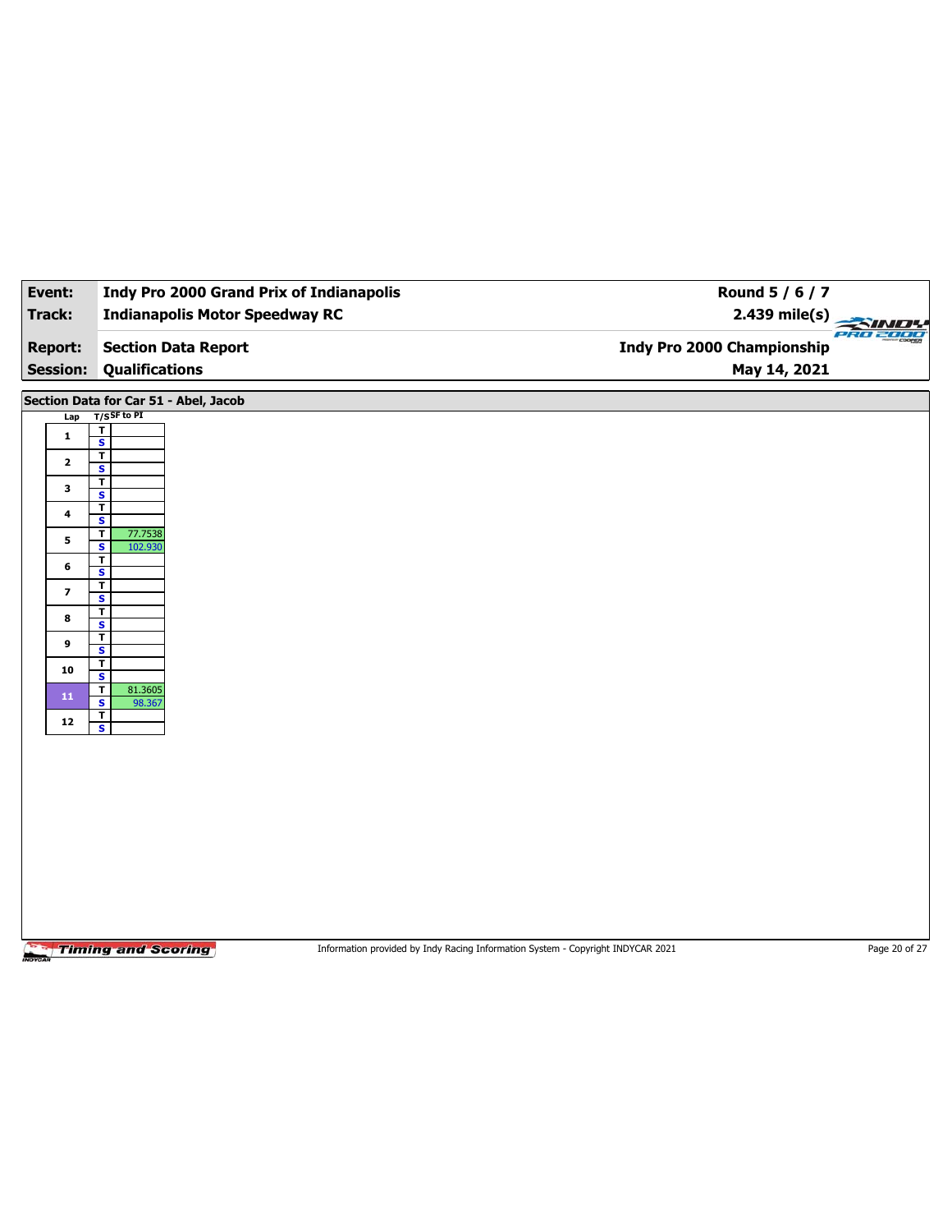| Event:                   | <b>Indy Pro 2000 Grand Prix of Indianapolis</b>                                                              | Round 5 / 6 / 7            |                 |
|--------------------------|--------------------------------------------------------------------------------------------------------------|----------------------------|-----------------|
| Track:                   | <b>Indianapolis Motor Speedway RC</b>                                                                        | $2.439$ mile(s)            | <b>PRO 2000</b> |
| <b>Report:</b>           | <b>Section Data Report</b>                                                                                   | Indy Pro 2000 Championship |                 |
| <b>Session:</b>          | <b>Qualifications</b>                                                                                        | May 14, 2021               |                 |
|                          |                                                                                                              |                            |                 |
| Lap                      | Section Data for Car 51 - Abel, Jacob<br>$T/S$ SF to PI                                                      |                            |                 |
| $\mathbf{1}$             | $\mathbf{T}$                                                                                                 |                            |                 |
|                          | $\overline{\mathbf{s}}$<br>$\overline{\mathbf{r}}$                                                           |                            |                 |
| $\mathbf{2}$             | $\mathbf{s}$<br>$\mathbf T$                                                                                  |                            |                 |
| $\mathbf{3}$             | $\overline{\mathbf{s}}$                                                                                      |                            |                 |
| 4                        | $\overline{\mathsf{r}}$<br>$\overline{\mathbf{s}}$                                                           |                            |                 |
| 5                        | $\mathbf T$<br>77.7538<br>$\overline{\mathbf{s}}$<br>102.930                                                 |                            |                 |
| 6                        | T<br>S                                                                                                       |                            |                 |
| $\overline{\phantom{a}}$ | $\overline{\mathbf{r}}$                                                                                      |                            |                 |
|                          | $\overline{\mathbf{s}}$<br>T                                                                                 |                            |                 |
| 8                        | $\mathbf{s}$<br>$\mathbf T$                                                                                  |                            |                 |
| $\boldsymbol{9}$         | $\overline{\mathbf{s}}$                                                                                      |                            |                 |
| 10                       | T<br>S                                                                                                       |                            |                 |
| 11                       | 81.3605<br>$\overline{\mathbf{r}}$<br>$\overline{\mathbf{s}}$<br>98.367                                      |                            |                 |
| ${\bf 12}$               | $\mathbf{I}$<br>$\overline{\mathbf{s}}$                                                                      |                            |                 |
|                          |                                                                                                              |                            |                 |
|                          |                                                                                                              |                            |                 |
|                          |                                                                                                              |                            |                 |
|                          |                                                                                                              |                            |                 |
|                          |                                                                                                              |                            |                 |
|                          |                                                                                                              |                            |                 |
|                          |                                                                                                              |                            |                 |
|                          |                                                                                                              |                            |                 |
|                          |                                                                                                              |                            |                 |
|                          | <b>Timing and Scoring</b><br>Information provided by Indy Racing Information System - Copyright INDYCAR 2021 |                            | Page 20 of 27   |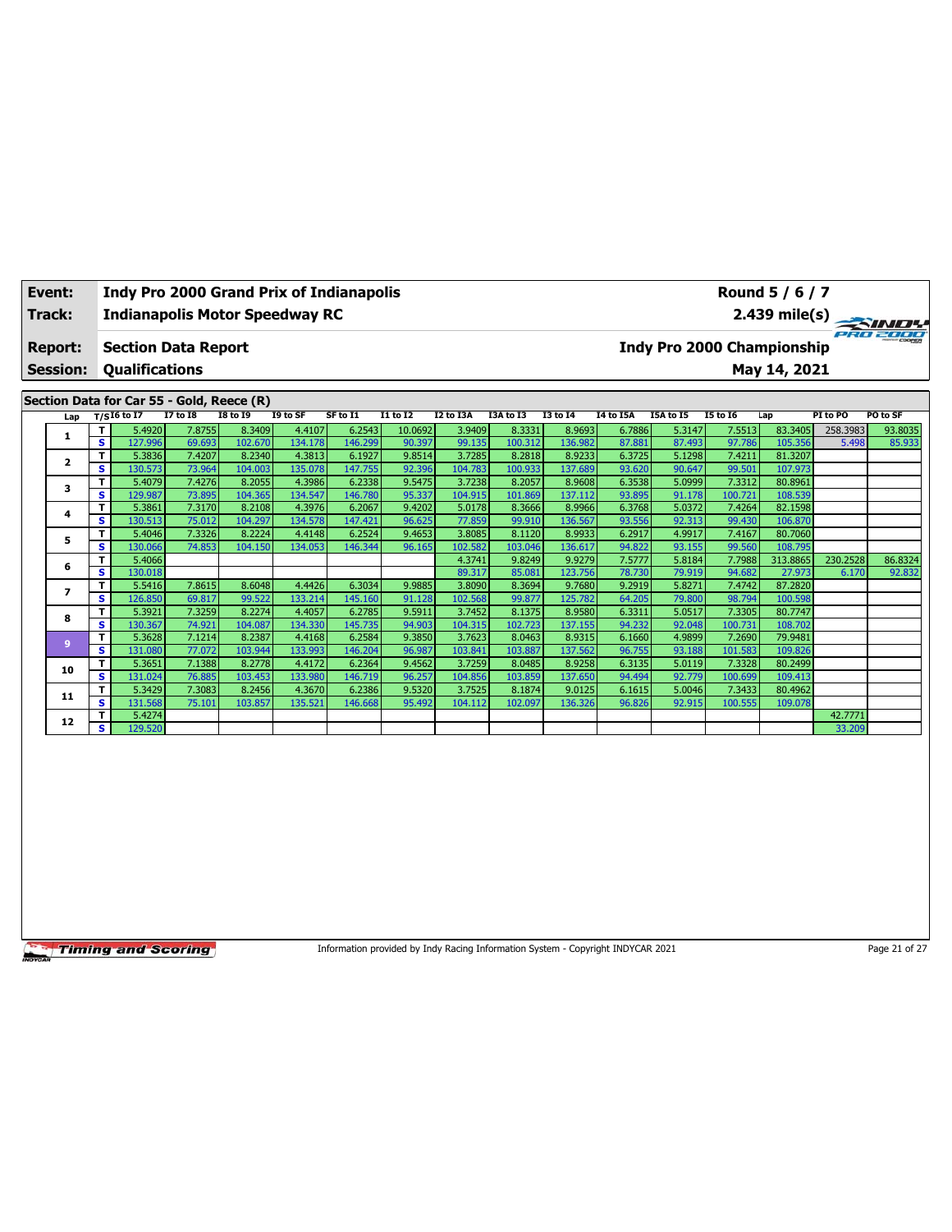|                                                          | Event:<br>Track:                                                           |    |                          |                 |                                           | <b>Indianapolis Motor Speedway RC</b> | Indy Pro 2000 Grand Prix of Indianapolis |                 |           | Round 5 / 6 / 7 | $2.439 \text{ mile(s)}$ |           |           |                 |          |          |          |
|----------------------------------------------------------|----------------------------------------------------------------------------|----|--------------------------|-----------------|-------------------------------------------|---------------------------------------|------------------------------------------|-----------------|-----------|-----------------|-------------------------|-----------|-----------|-----------------|----------|----------|----------|
|                                                          | Indy Pro 2000 Championship<br><b>Section Data Report</b><br><b>Report:</b> |    |                          |                 |                                           |                                       |                                          |                 |           |                 |                         |           |           |                 |          | eana     |          |
| <b>Qualifications</b><br>May 14, 2021<br><b>Session:</b> |                                                                            |    |                          |                 |                                           |                                       |                                          |                 |           |                 |                         |           |           |                 |          |          |          |
|                                                          |                                                                            |    |                          |                 | Section Data for Car 55 - Gold, Reece (R) |                                       |                                          |                 |           |                 |                         |           |           |                 |          |          |          |
|                                                          | Lap                                                                        |    | T/SI6 to $\overline{17}$ | <b>I7 to 18</b> | <b>18 to 19</b>                           | I9 to SF                              | SF to I1                                 | <b>I1 to I2</b> | I2 to I3A | I3A to I3       | <b>I3 to 14</b>         | I4 to I5A | I5A to I5 | <b>15 to 16</b> | Lap      | PI to PO | PO to SF |
|                                                          |                                                                            | Τ  | 5.4920                   | 7.8755          | 8.3409                                    | 4.4107                                | 6.2543                                   | 10.0692         | 3.9409    | 8.3331          | 8.9693                  | 6.7886    | 5.3147    | 7.5513          | 83.3405  | 258.3983 | 93.8035  |
|                                                          |                                                                            | s. | 127.996                  | 69.693          | 102.670                                   | 134.178                               | 146.299                                  | 90.397          | 99.135    | 100.312         | 136.982                 | 87.881    | 87.493    | 97.786          | 105.356  | 5.498    | 85.933   |
|                                                          | $\overline{\mathbf{2}}$                                                    | Τ  | 5.3836                   | 7.4207          | 8.2340                                    | 4.3813                                | 6.1927                                   | 9.8514          | 3.7285    | 8.2818          | 8.9233                  | 6.3725    | 5.1298    | 7.4211          | 81.3207  |          |          |
|                                                          |                                                                            | s. | 130.573                  | 73.964          | 104.003                                   | 135.078                               | 147.755                                  | 92.396          | 104.783   | 100.933         | 137.689                 | 93.620    | 90.647    | 99.501          | 107.973  |          |          |
|                                                          | 3                                                                          | т  | 5.4079                   | 7.4276          | 8.2055                                    | 4.3986                                | 6.2338                                   | 9.5475          | 3.7238    | 8.2057          | 8.9608                  | 6.3538    | 5.0999    | 7.3312          | 80.8961  |          |          |
|                                                          |                                                                            | s. | 129.987                  | 73.895          | 104.365                                   | 134.547                               | 146.780                                  | 95.337          | 104.915   | 101.869         | 137.112                 | 93.895    | 91.178    | 100.721         | 108.539  |          |          |
|                                                          | 4                                                                          | Τ  | 5.3861                   | 7.3170          | 8.2108                                    | 4.3976                                | 6.2067                                   | 9.4202          | 5.0178    | 8.3666          | 8.9966                  | 6.3768    | 5.0372    | 7.4264          | 82.1598  |          |          |
|                                                          |                                                                            | s. | 130.513                  | 75.012          | 104.297                                   | 134.578                               | 147.421                                  | 96.625          | 77.859    | 99.910          | 136.567                 | 93.556    | 92.313    | 99.430          | 106.870  |          |          |
|                                                          | 5                                                                          |    | 5.4046                   | 7.3326          | 8.2224                                    | 4.4148                                | 6.2524                                   | 9.4653          | 3.8085    | 8.1120          | 8.9933                  | 6.2917    | 4.9917    | 7.4167          | 80.7060  |          |          |
|                                                          |                                                                            | s  | 130.066                  | 74.853          | 104.150                                   | 134.053                               | 146.344                                  | 96.165          | 102.582   | 103.046         | 136.617                 | 94.822    | 93.155    | 99.560          | 108.795  |          |          |
|                                                          |                                                                            | т  | 5.4066                   |                 |                                           |                                       |                                          |                 | 4.3741    | 9.8249          | 9.9279                  | 7.5777    | 5.8184    | 7.7988          | 313.8865 | 230.2528 | 86.8324  |
|                                                          | 6                                                                          | s. | 130.018                  |                 |                                           |                                       |                                          |                 | 89.317    | 85.081          | 123.756                 | 78.730    | 79.919    | 94.682          | 27.973   | 6.170    | 92.832   |
|                                                          | 7                                                                          |    | 5.5416                   | 7.8615          | 8.6048                                    | 4.4426                                | 6.3034                                   | 9.9885          | 3.8090    | 8.3694          | 9.7680                  | 9.2919    | 5.8271    | 7.4742          | 87.2820  |          |          |
|                                                          |                                                                            | s  | 126.850                  | 69.817          | 99.522                                    | 133.214                               | 145.160                                  | 91.128          | 102.568   | 99.877          | 125.782                 | 64.205    | 79.800    | 98.794          | 100.598  |          |          |

**<sup>8</sup> <sup>T</sup>** 5.3921 7.3259 8.2274 4.4057 6.2785 9.5911 3.7452 8.1375 8.9580 6.3311 5.0517 7.3305 80.7747 **S** 130.367 74.921 104.087 134.330 145.735 94.903 104.315 102.723 137.155 94.232 92.048 100.731 108.702 **<sup>9</sup> <sup>T</sup>** 5.3628 7.1214 8.2387 4.4168 6.2584 9.3850 3.7623 8.0463 8.9315 6.1660 4.9899 7.2690 79.9481 **S** 131.080 77.072 103.944 133.993 146.204 96.987 103.841 103.887 137.562 96.755 93.188 101.583 109.826 **<sup>10</sup> <sup>T</sup>** 5.3651 7.1388 8.2778 4.4172 6.2364 9.4562 3.7259 8.0485 8.9258 6.3135 5.0119 7.3328 80.2499 **S** 131.024 76.885 103.453 133.980 146.719 96.257 104.856 103.859 137.650 94.494 92.779 100.699 109.413 **<sup>11</sup> <sup>T</sup>** 5.3429 7.3083 8.2456 4.3670 6.2386 9.5320 3.7525 8.1874 9.0125 6.1615 5.0046 7.3433 80.4962 **S** 131.568 75.101 103.857 135.521 146.668 95.492 104.112 102.097 136.326 96.826 92.915 100.555 109.078 **<sup>12</sup> <sup>T</sup>** 5.4274 42.7771 **S** 129.520 33.209

**Timing and Scoring** 

Information provided by Indy Racing Information System - Copyright INDYCAR 2021 Page 21 of 27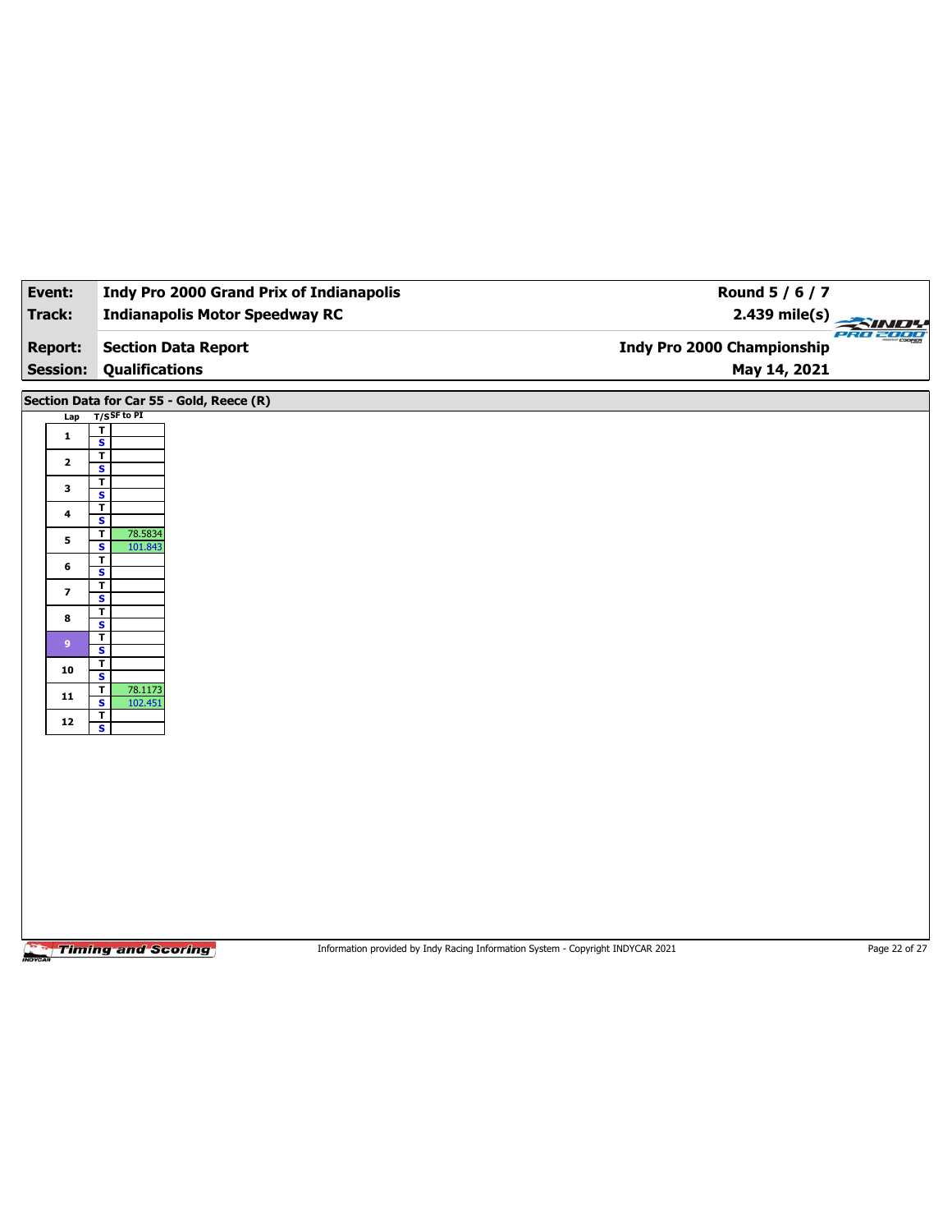| Event:                            | <b>Indy Pro 2000 Grand Prix of Indianapolis</b>               | Round 5 / 6 / 7                                                                 |               |
|-----------------------------------|---------------------------------------------------------------|---------------------------------------------------------------------------------|---------------|
| Track:                            | <b>Indianapolis Motor Speedway RC</b>                         | $2.439$ mile(s)                                                                 | $\rightarrow$ |
| <b>Report:</b><br><b>Session:</b> | <b>Section Data Report</b><br><b>Qualifications</b>           | <b>Indy Pro 2000 Championship</b><br>May 14, 2021                               | PRO 2000      |
|                                   | Section Data for Car 55 - Gold, Reece (R)                     |                                                                                 |               |
| Lap                               | $T/S$ SF to PI                                                |                                                                                 |               |
| 1                                 | $\overline{1}$<br>$\overline{\mathbf{s}}$                     |                                                                                 |               |
| $\mathbf{2}$                      | $\overline{\mathbf{r}}$<br>S                                  |                                                                                 |               |
| 3                                 | $\mathbf T$                                                   |                                                                                 |               |
| 4                                 | $\overline{\mathbf{s}}$<br>$\mathbf{r}$                       |                                                                                 |               |
|                                   | $\mathbf{s}$<br>$\overline{\mathbf{r}}$<br>78.5834            |                                                                                 |               |
| 5                                 | $\overline{\mathbf{s}}$<br>101.843<br>$\overline{\mathsf{r}}$ |                                                                                 |               |
| 6                                 | $\overline{\mathbf{s}}$                                       |                                                                                 |               |
| $\overline{\mathbf{z}}$           | T<br>$\overline{\mathbf{s}}$                                  |                                                                                 |               |
| 8                                 | $\overline{\mathsf{r}}$<br>$\overline{\mathbf{s}}$            |                                                                                 |               |
| 9                                 | $\mathbf T$<br>$\overline{\mathbf{s}}$                        |                                                                                 |               |
| 10                                | T                                                             |                                                                                 |               |
| 11                                | S<br>78.1173<br>$\mathbf T$                                   |                                                                                 |               |
|                                   | $\overline{\mathbf{s}}$<br>102.451<br>$\overline{\mathbf{r}}$ |                                                                                 |               |
| ${\bf 12}$                        | $\mathbf{s}$                                                  |                                                                                 |               |
|                                   |                                                               |                                                                                 |               |
|                                   |                                                               |                                                                                 |               |
|                                   |                                                               |                                                                                 |               |
|                                   |                                                               |                                                                                 |               |
|                                   |                                                               |                                                                                 |               |
|                                   |                                                               |                                                                                 |               |
|                                   |                                                               |                                                                                 |               |
|                                   |                                                               |                                                                                 |               |
|                                   | <b>Timing and Scoring</b>                                     | Information provided by Indy Racing Information System - Copyright INDYCAR 2021 | Page 22 of 27 |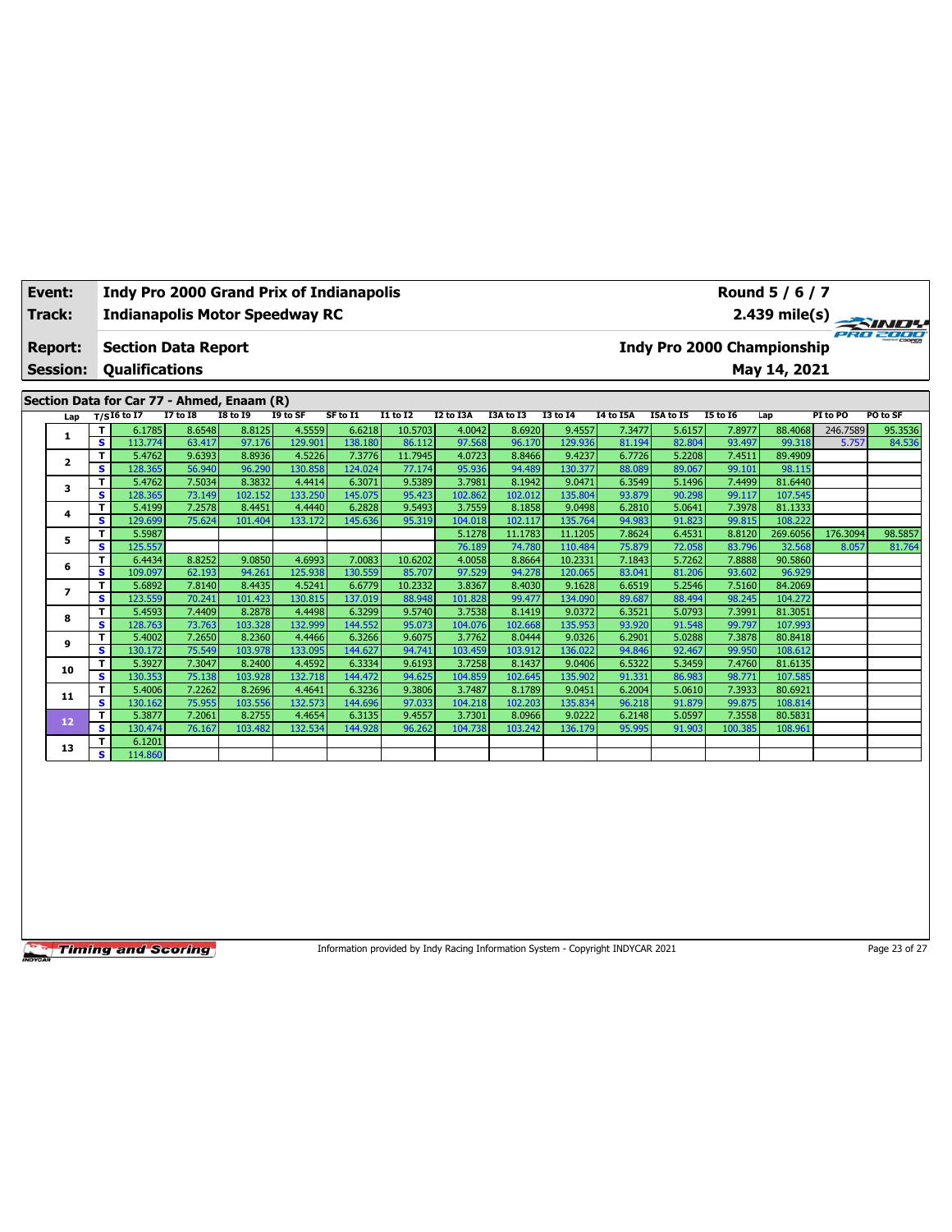|                                          | Event:<br>Track:        |    |               |                            |                                            | <b>Indy Pro 2000 Grand Prix of Indianapolis</b><br><b>Indianapolis Motor Speedway RC</b> |          |                 |           | Round 5 / 6 / 7<br>$2.439 \text{ mile(s)}$ |                 |              |                                   |                 |          |          | PRO 2000 |
|------------------------------------------|-------------------------|----|---------------|----------------------------|--------------------------------------------|------------------------------------------------------------------------------------------|----------|-----------------|-----------|--------------------------------------------|-----------------|--------------|-----------------------------------|-----------------|----------|----------|----------|
|                                          | <b>Report:</b>          |    |               | <b>Section Data Report</b> |                                            |                                                                                          |          |                 |           |                                            |                 |              | <b>Indy Pro 2000 Championship</b> |                 |          |          |          |
| <b>Qualifications</b><br><b>Session:</b> |                         |    |               |                            |                                            |                                                                                          |          |                 |           |                                            |                 | May 14, 2021 |                                   |                 |          |          |          |
|                                          |                         |    |               |                            | Section Data for Car 77 - Ahmed, Enaam (R) |                                                                                          |          |                 |           |                                            |                 |              |                                   |                 |          |          |          |
|                                          | Lap                     |    | $T/SI6$ to I7 | <b>I7 to I8</b>            | <b>18 to 19</b>                            | I9 to SF                                                                                 | SF to I1 | <b>I1 to I2</b> | I2 to I3A | I3A to I3                                  | <b>I3 to 14</b> | I4 to I5A    | I5A to I5                         | <b>15 to 16</b> | Lap      | PI to PO | PO to SF |
|                                          |                         |    | 6.1785        | 8.6548                     | 8.8125                                     | 4.5559                                                                                   | 6.6218   | 10.5703         | 4.0042    | 8.6920                                     | 9.4557          | 7.3477       | 5.6157                            | 7.8977          | 88.4068  | 246.7589 | 95.3536  |
|                                          |                         | s. | 113.774       | 63.417                     | 97.176                                     | 129.901                                                                                  | 138.180  | 86.112          | 97.568    | 96.170                                     | 129.936         | 81.194       | 82.804                            | 93.497          | 99.318   | 5.757    | 84.536   |
|                                          | $\overline{\mathbf{2}}$ |    | 5.4762        | 9.6393                     | 8.8936                                     | 4.5226                                                                                   | 7.3776   | 11.7945         | 4.0723    | 8.8466                                     | 9.4237          | 6.7726       | 5.2208                            | 7.4511          | 89.4909  |          |          |
|                                          |                         | s  | 128.365       | 56.940                     | 96.290                                     | 130.858                                                                                  | 124.024  | 77.174          | 95.936    | 94.489                                     | 130.377         | 88.089       | 89.067                            | 99.101          | 98.115   |          |          |
|                                          | 3                       |    | 5.4762        | 7.5034                     | 8.3832                                     | 4.4414                                                                                   | 6.3071   | 9.5389          | 3.7981    | 8.1942                                     | 9.0471          | 6.3549       | 5.1496                            | 7.4499          | 81.6440  |          |          |
|                                          |                         | s. | 128.365       | 73.149                     | 102.152                                    | 133.250                                                                                  | 145.075  | 95.423          | 102.862   | 102.012                                    | 135.804         | 93.879       | 90.298                            | 99.117          | 107.545  |          |          |
|                                          | 4                       |    | 5.4199        | 7.2578                     | 8.4451                                     | 4.4440                                                                                   | 6.2828   | 9.5493          | 3.7559    | 8.1858                                     | 9.0498          | 6.2810       | 5.0641                            | 7.3978          | 81.1333  |          |          |
|                                          |                         | s. | 129.699       | 75.624                     | 101.404                                    | 133.172                                                                                  | 145.636  | 95.319          | 104.018   | 102.117                                    | 135.764         | 94.983       | 91.823                            | 99.815          | 108.222  |          |          |
|                                          | 5                       |    | 5.5987        |                            |                                            |                                                                                          |          |                 | 5.1278    | 11.1783                                    | 11.1205         | 7.8624       | 6.4531                            | 8.8120          | 269.6056 | 176.3094 | 98.5857  |
|                                          |                         | s. | 125.557       |                            |                                            |                                                                                          |          |                 | 76.189    | 74.780                                     | 110.484         | 75.879       | 72.058                            | 83.796          | 32.568   | 8.057    | 81.764   |
|                                          | 6                       |    | 6.4434        | 8.8252                     | 9.0850                                     | 4.6993                                                                                   | 7.0083   | 10.6202         | 4.0058    | 8.8664                                     | 10.2331         | 7.1843       | 5.7262                            | 7.8888          | 90.5860  |          |          |
|                                          |                         | s. | 109.097       | 62.193                     | 94.261                                     | 125.938                                                                                  | 130.559  | 85.707          | 97.529    | 94.278                                     | 120.065         | 83.041       | 81.206                            | 93.602          | 96.929   |          |          |

**<sup>7</sup> <sup>T</sup>** 5.6892 7.8140 8.4435 4.5241 6.6779 10.2332 3.8367 8.4030 9.1628 6.6519 5.2546 7.5160 84.2069 **S** 123.559 70.241 101.423 130.815 137.019 88.948 101.828 99.477 134.090 89.687 88.494 98.245 104.272 **<sup>8</sup> <sup>T</sup>** 5.4593 7.4409 8.2878 4.4498 6.3299 9.5740 3.7538 8.1419 9.0372 6.3521 5.0793 7.3991 81.3051 **S** 128.763 73.763 103.328 132.999 144.552 95.073 104.076 102.668 135.953 93.920 91.548 99.797 107.993 **<sup>9</sup> <sup>T</sup>** 5.4002 7.2650 8.2360 4.4466 6.3266 9.6075 3.7762 8.0444 9.0326 6.2901 5.0288 7.3878 80.8418 **S** 130.172 75.549 103.978 133.095 144.627 94.741 103.459 103.912 136.022 94.846 92.467 99.950 108.612 **<sup>10</sup> <sup>T</sup>** 5.3927 7.3047 8.2400 4.4592 6.3334 9.6193 3.7258 8.1437 9.0406 6.5322 5.3459 7.4760 81.6135 **S** 130.353 75.138 103.928 132.718 144.472 94.625 104.859 102.645 135.902 91.331 86.983 98.771 107.585 **<sup>11</sup> <sup>T</sup>** 5.4006 7.2262 8.2696 4.4641 6.3236 9.3806 3.7487 8.1789 9.0451 6.2004 5.0610 7.3933 80.6921 **S** 130.162 75.955 103.556 132.573 144.696 97.033 104.218 102.203 135.834 96.218 91.879 99.875 108.814 **<sup>12</sup> <sup>T</sup>** 5.3877 7.2061 8.2755 4.4654 6.3135 9.4557 3.7301 8.0966 9.0222 6.2148 5.0597 7.3558 80.5831 **S** 130.474 76.167 103.482 132.534 144.928 96.262 104.738 103.242 136.179 95.995 91.903 100.385 108.961

**Timing and Scoring** 

**13 T** 6.1201<br>**S** 114.860

**S** 114.860

Information provided by Indy Racing Information System - Copyright INDYCAR 2021 Page 23 of 27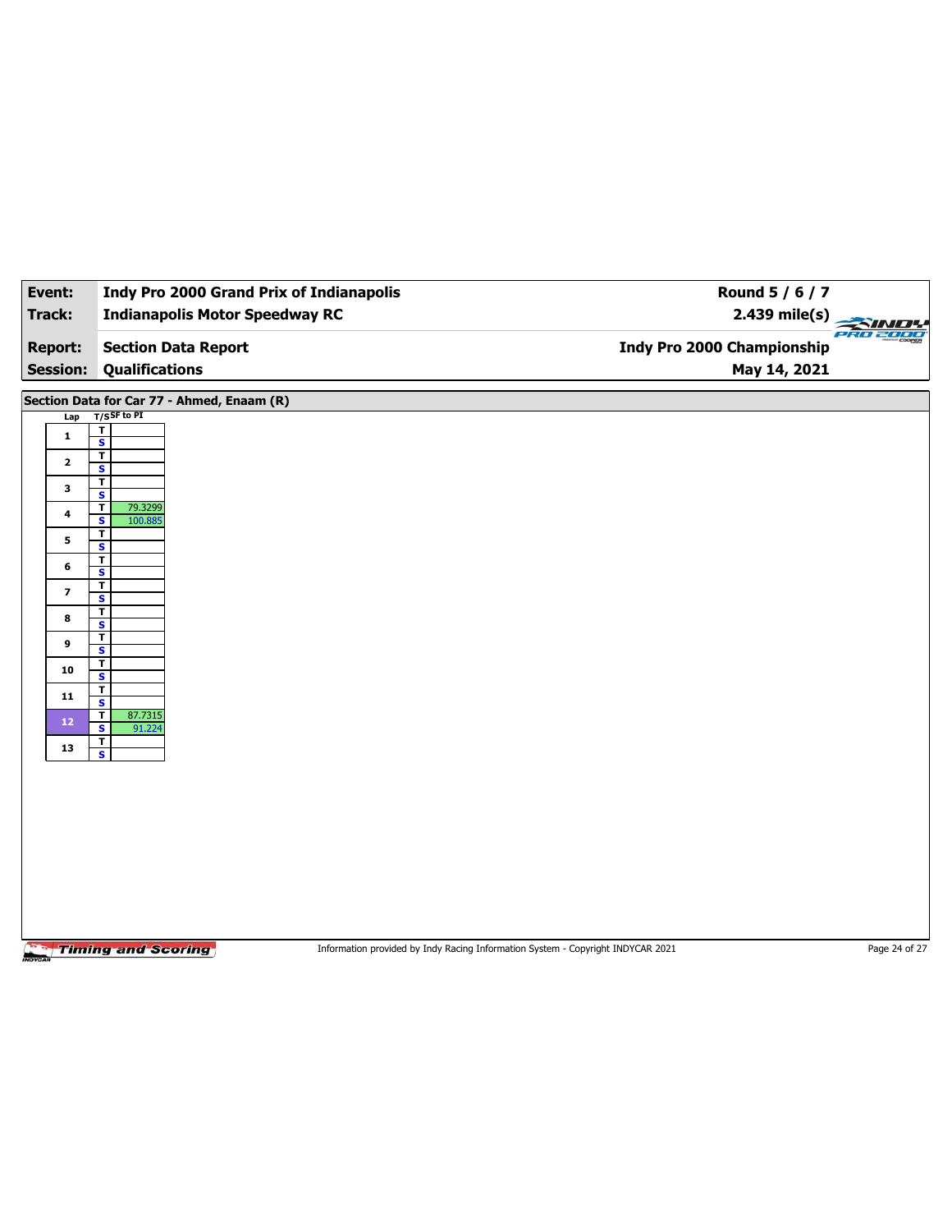| Event:                  | <b>Indy Pro 2000 Grand Prix of Indianapolis</b>    |                                                                                 | Round 5 / 6 / 7                     |
|-------------------------|----------------------------------------------------|---------------------------------------------------------------------------------|-------------------------------------|
| Track:                  | <b>Indianapolis Motor Speedway RC</b>              |                                                                                 | 2.439 mile(s)<br>$\sim$<br>PRO 2000 |
| <b>Report:</b>          | <b>Section Data Report</b>                         | Indy Pro 2000 Championship                                                      |                                     |
| <b>Session:</b>         | <b>Qualifications</b>                              |                                                                                 | May 14, 2021                        |
|                         | Section Data for Car 77 - Ahmed, Enaam (R)         |                                                                                 |                                     |
| Lap                     | $T/S$ SF to PI<br>$\overline{\mathbf{r}}$          |                                                                                 |                                     |
| $\mathbf{1}$            | $\overline{\mathbf{s}}$<br>T                       |                                                                                 |                                     |
| $\mathbf{2}$            | S                                                  |                                                                                 |                                     |
| 3                       | $\overline{\mathbf{r}}$<br>$\overline{\mathbf{s}}$ |                                                                                 |                                     |
| 4                       | $\overline{\mathsf{r}}$<br>79.3299<br>S<br>100.885 |                                                                                 |                                     |
| 5                       | T<br>$\overline{\mathbf{s}}$                       |                                                                                 |                                     |
| 6                       | $\overline{\mathbf{r}}$<br>S                       |                                                                                 |                                     |
| $\overline{\mathbf{z}}$ | $\overline{\mathbf{r}}$<br>$\overline{\mathbf{s}}$ |                                                                                 |                                     |
| 8                       | T<br>S                                             |                                                                                 |                                     |
| 9                       | $\overline{\mathbf{r}}$<br>$\overline{\mathbf{s}}$ |                                                                                 |                                     |
| 10                      | $\overline{\mathbf{r}}$<br>S                       |                                                                                 |                                     |
| $\mathbf{11}$           | $\mathbf T$<br>$\overline{\mathbf{s}}$             |                                                                                 |                                     |
| $12 \quad$              | 87.7315<br>T<br>S                                  |                                                                                 |                                     |
| 13                      | 91.224<br>$\mathbf{T}$                             |                                                                                 |                                     |
|                         | $\overline{\mathbf{s}}$                            |                                                                                 |                                     |
|                         |                                                    |                                                                                 |                                     |
|                         |                                                    |                                                                                 |                                     |
|                         |                                                    |                                                                                 |                                     |
|                         |                                                    |                                                                                 |                                     |
|                         |                                                    |                                                                                 |                                     |
|                         |                                                    |                                                                                 |                                     |
|                         |                                                    |                                                                                 |                                     |
|                         | <b>Timing and Scoring</b>                          | Information provided by Indy Racing Information System - Copyright INDYCAR 2021 | Page 24 of 27                       |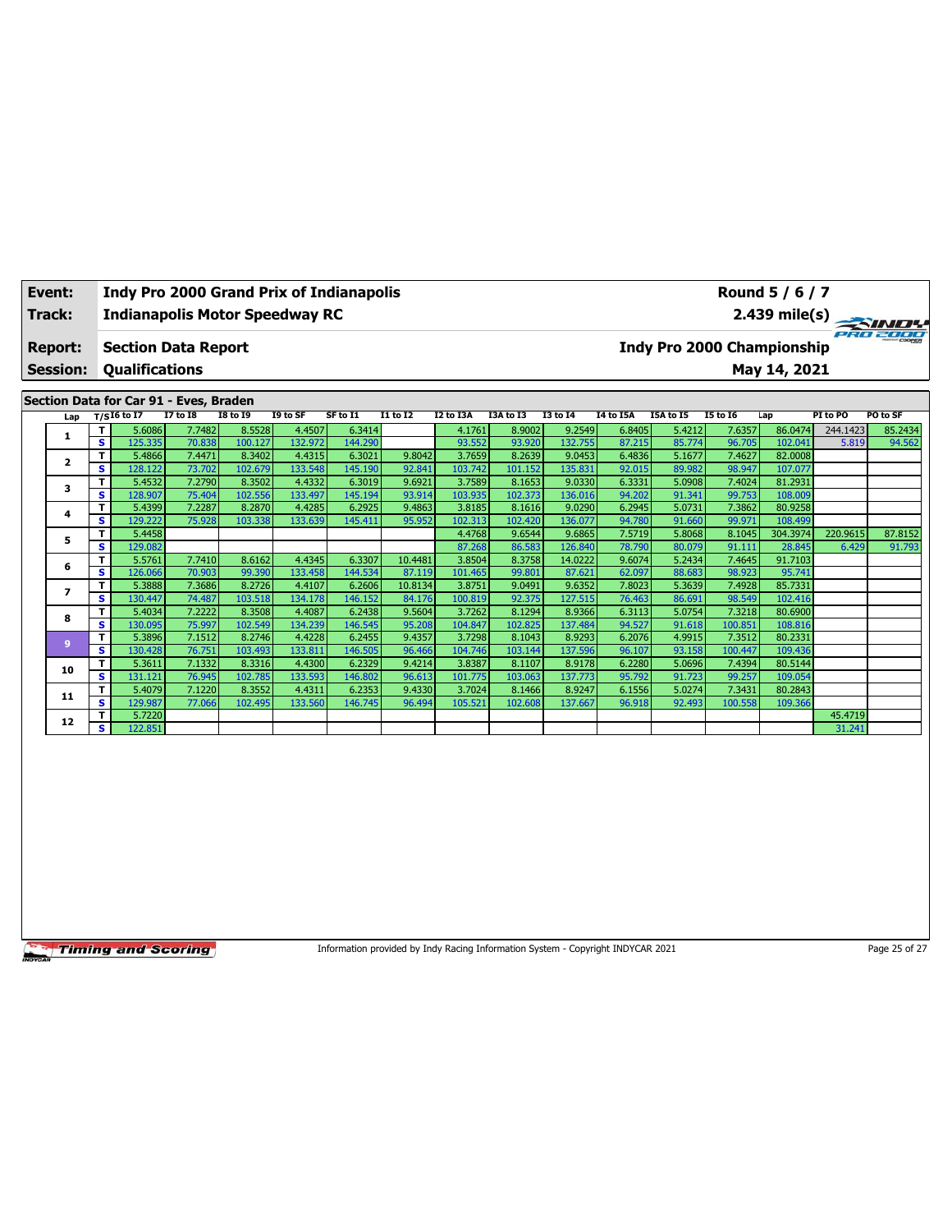| Event:          |      |                       | <b>Indy Pro 2000 Grand Prix of Indianapolis</b> |                 |          |          |                 |                                               | Round 5 / 6 / 7         |                 |           |           |                 |              |          |          |
|-----------------|------|-----------------------|-------------------------------------------------|-----------------|----------|----------|-----------------|-----------------------------------------------|-------------------------|-----------------|-----------|-----------|-----------------|--------------|----------|----------|
| Track:          |      |                       | <b>Indianapolis Motor Speedway RC</b>           |                 |          |          |                 |                                               | $2.439 \text{ mile(s)}$ |                 |           |           |                 |              |          |          |
| <b>Report:</b>  |      |                       | <b>Section Data Report</b>                      |                 |          |          |                 | PRO 2000<br><b>Indy Pro 2000 Championship</b> |                         |                 |           |           |                 |              |          |          |
| <b>Session:</b> |      | <b>Oualifications</b> |                                                 |                 |          |          |                 |                                               |                         |                 |           |           |                 | May 14, 2021 |          |          |
|                 |      |                       | Section Data for Car 91 - Eves, Braden          |                 |          |          |                 |                                               |                         |                 |           |           |                 |              |          |          |
| Lap             |      | $T/SI6$ to I7         | I7 to I8                                        | <b>I8 to I9</b> | I9 to SF | SF to I1 | <b>I1 to I2</b> | I2 to I3A                                     | I3A to I3               | <b>I3 to 14</b> | I4 to I5A | I5A to I5 | <b>I5 to I6</b> | Lap          | PI to PO | PO to SF |
|                 |      | 5.6086                | 7.7482                                          | 8.5528          | 4.4507   | 6.3414   |                 | 4.1761                                        | 8.9002                  | 9.2549          | 6.8405    | 5.4212    | 7.6357          | 86.0474      | 244.1423 | 85.2434  |
|                 | -S I | 125.335               | 70.838                                          | 100.127         | 132.972  | 144.290  |                 | 93.552                                        | 93.920                  | 132.755         | 87.215    | 85.774    | 96.705          | 102.041      | 5.819    | 94.562   |
|                 |      |                       |                                                 |                 |          |          |                 |                                               |                         |                 |           |           |                 |              |          |          |

|                         | s  | 125.335 | 70.838 | 100.127 | 132.972 | 144.290 |         | 93.552  | 93.920  | 132.755 | 87.215 | 85.774 | 96.705  | 102.041  | 5.819    | 94.562  |
|-------------------------|----|---------|--------|---------|---------|---------|---------|---------|---------|---------|--------|--------|---------|----------|----------|---------|
| $\overline{\mathbf{2}}$ | т. | 5.4866  | 7.4471 | 8.3402  | 4.4315  | 6.3021  | 9.8042  | 3.7659  | 8.2639  | 9.0453  | 6.4836 | 5.1677 | 7.4627  | 82,0008  |          |         |
|                         | s  | 128.122 | 73.702 | 102.679 | 133.548 | 145.190 | 92.841  | 103.742 | 101.152 | 135.831 | 92.015 | 89.982 | 98.947  | 107.077  |          |         |
| 3                       |    | 5.4532  | 7.2790 | 8.3502  | 4.4332  | 6.3019  | 9.6921  | 3.7589  | 8.1653  | 9.0330  | 6.3331 | 5.0908 | 7.4024  | 81.2931  |          |         |
|                         | s  | 128.907 | 75.404 | 102.556 | 133.497 | 145.194 | 93.914  | 103.935 | 102.373 | 136.016 | 94.202 | 91.341 | 99.753  | 108.009  |          |         |
| 4                       | т  | 5.4399  | 7.2287 | 8.2870  | 4.4285  | 6.2925  | 9.4863  | 3.8185  | 8.1616  | 9.0290  | 6.2945 | 5.0731 | 7.3862  | 80.9258  |          |         |
|                         | s  | 129.222 | 75.928 | 103.338 | 133.639 | 145.411 | 95.952  | 102.313 | 102.420 | 136.077 | 94.780 | 91.660 | 99.971  | 108.499  |          |         |
| 5                       |    | 5.4458  |        |         |         |         |         | 4.4768  | 9.6544  | 9.6865  | 7.5719 | 5.8068 | 8.1045  | 304.3974 | 220.9615 | 87.8152 |
|                         | s  | 129.082 |        |         |         |         |         | 87.268  | 86.583  | 126.840 | 78.790 | 80.079 | 91.111  | 28.845   | 6.429    | 91.793  |
| 6                       | т  | 5.5761  | 7.7410 | 8.6162  | 4.4345  | 6.3307  | 10.4481 | 3.8504  | 8.3758  | 14.0222 | 9.6074 | 5.2434 | 7.4645  | 91.7103  |          |         |
|                         | s  | 126.066 | 70.903 | 99.390  | 133.458 | 144.534 | 87.119  | 101.465 | 99.801  | 87.621  | 62.097 | 88.683 | 98.923  | 95.741   |          |         |
|                         |    | 5.3888  | 7.3686 | 8.2726  | 4.4107  | 6.2606  | 10.8134 | 3.8751  | 9.0491  | 9.6352  | 7.8023 | 5.3639 | 7.4928  | 85.7331  |          |         |
|                         | s  | 130.447 | 74.487 | 103.518 | 134.178 | 146.152 | 84.176  | 100.819 | 92.375  | 127.515 | 76.463 | 86.691 | 98.549  | 102.416  |          |         |
| 8                       |    | 5.4034  | 7.2222 | 8.3508  | 4.4087  | 6.2438  | 9.5604  | 3.7262  | 8.1294  | 8.9366  | 6.3113 | 5.0754 | 7.3218  | 80.6900  |          |         |
|                         | s  | 130.095 | 75.997 | 102.549 | 134.239 | 146.545 | 95.208  | 104.847 | 102.825 | 137.484 | 94.527 | 91.618 | 100.851 | 108.816  |          |         |
| 9                       | т  | 5.3896  | 7.1512 | 8.2746  | 4.4228  | 6.2455  | 9.4357  | 3.7298  | 8.1043  | 8.9293  | 6.2076 | 4.9915 | 7.3512  | 80.2331  |          |         |
|                         | s  | 130.428 | 76.751 | 103.493 | 133.811 | 146.505 | 96.466  | 104.746 | 103.144 | 137.596 | 96.107 | 93.158 | 100.447 | 109.436  |          |         |
| 10                      | T. | 5.3611  | 7.1332 | 8.3316  | 4.4300  | 6.2329  | 9.4214  | 3.8387  | 8.1107  | 8.9178  | 6.2280 | 5.0696 | 7.4394  | 80.5144  |          |         |
|                         | s  | 131.121 | 76.945 | 102.785 | 133.593 | 146.802 | 96.613  | 101.775 | 103.063 | 137.773 | 95.792 | 91.723 | 99.257  | 109.054  |          |         |
| 11                      |    | 5.4079  | 7.1220 | 8.3552  | 4.4311  | 6.2353  | 9.4330  | 3.7024  | 8.1466  | 8.9247  | 6.1556 | 5.0274 | 7.3431  | 80.2843  |          |         |
|                         | s  | 129.987 | 77.066 | 102.495 | 133.560 | 146.745 | 96.494  | 105.521 | 102.608 | 137.667 | 96.918 | 92.493 | 100.558 | 109.366  |          |         |
| 12                      |    | 5.7220  |        |         |         |         |         |         |         |         |        |        |         |          | 45.4719  |         |
|                         | s. | 122.851 |        |         |         |         |         |         |         |         |        |        |         |          | 31.241   |         |

Information provided by Indy Racing Information System - Copyright INDYCAR 2021 Page 25 of 27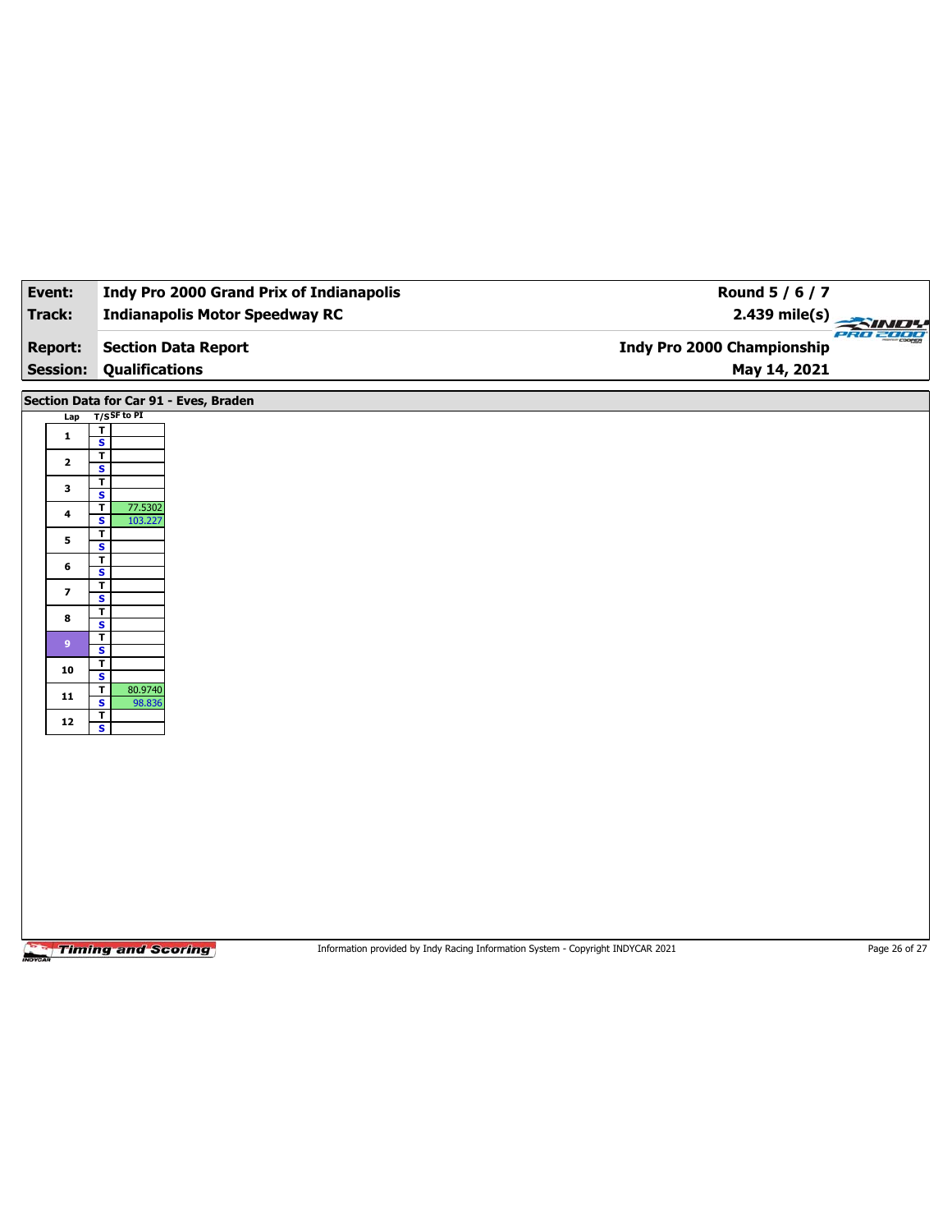| Event:                            | <b>Indy Pro 2000 Grand Prix of Indianapolis</b>                                                              | Round 5 / 6 / 7                                   |               |
|-----------------------------------|--------------------------------------------------------------------------------------------------------------|---------------------------------------------------|---------------|
| Track:                            | <b>Indianapolis Motor Speedway RC</b>                                                                        | $2.439$ mile(s)                                   | <b>SIND!</b>  |
| <b>Report:</b><br><b>Session:</b> | <b>Section Data Report</b><br><b>Qualifications</b>                                                          | <b>Indy Pro 2000 Championship</b><br>May 14, 2021 | PRO 2000      |
|                                   | Section Data for Car 91 - Eves, Braden                                                                       |                                                   |               |
| Lap                               | $T/S$ SF to PI                                                                                               |                                                   |               |
| $\mathbf{1}$                      | $\overline{\mathbf{r}}$<br>$\overline{\mathbf{s}}$                                                           |                                                   |               |
| $\mathbf{2}$                      | $\overline{\mathbf{r}}$                                                                                      |                                                   |               |
|                                   | $\overline{\mathbf{s}}$<br>$\overline{\mathbf{r}}$                                                           |                                                   |               |
| 3                                 | $\overline{\mathbf{s}}$<br>$\overline{\mathbf{r}}$<br>77.5302                                                |                                                   |               |
| 4                                 | $\overline{\mathbf{s}}$<br>103.227                                                                           |                                                   |               |
| 5                                 | $\overline{\mathbf{r}}$<br>$\overline{\mathbf{s}}$                                                           |                                                   |               |
| 6                                 | T<br>S                                                                                                       |                                                   |               |
| $\overline{\mathbf{z}}$           | $\overline{\mathbf{r}}$                                                                                      |                                                   |               |
|                                   | $\overline{\mathbf{s}}$<br>$\overline{\mathbf{r}}$                                                           |                                                   |               |
| 8                                 | S<br>$\mathbf T$                                                                                             |                                                   |               |
| 9 <sup>°</sup>                    | $\overline{\mathbf{s}}$                                                                                      |                                                   |               |
| 10                                | T<br>S                                                                                                       |                                                   |               |
| ${\bf 11}$                        | $\mathbf T$<br>80.9740<br>$\overline{\mathbf{s}}$<br>98.836                                                  |                                                   |               |
| ${\bf 12}$                        | T<br>$\overline{\mathbf{s}}$                                                                                 |                                                   |               |
|                                   |                                                                                                              |                                                   |               |
|                                   |                                                                                                              |                                                   |               |
|                                   |                                                                                                              |                                                   |               |
|                                   |                                                                                                              |                                                   |               |
|                                   |                                                                                                              |                                                   |               |
|                                   |                                                                                                              |                                                   |               |
|                                   |                                                                                                              |                                                   |               |
|                                   |                                                                                                              |                                                   |               |
|                                   |                                                                                                              |                                                   |               |
|                                   |                                                                                                              |                                                   |               |
|                                   | <b>Timing and Scoring</b><br>Information provided by Indy Racing Information System - Copyright INDYCAR 2021 |                                                   | Page 26 of 27 |